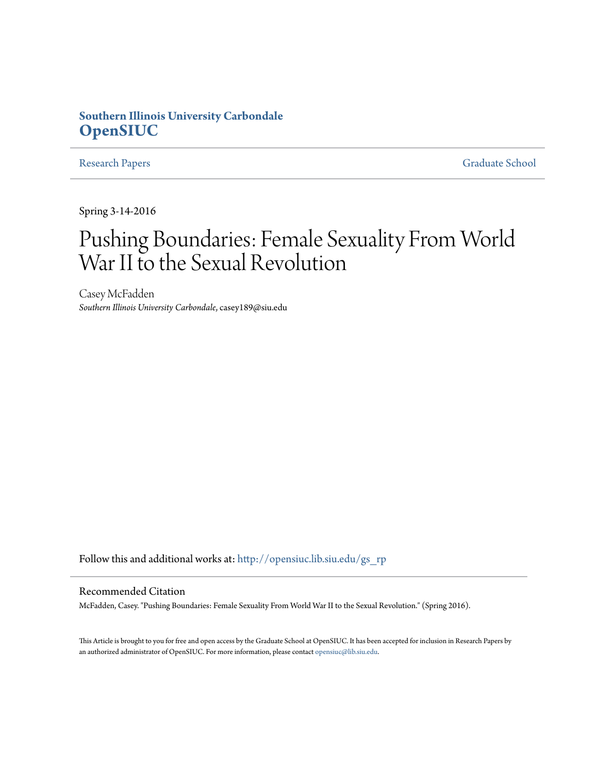# **Southern Illinois University Carbondale [OpenSIUC](http://opensiuc.lib.siu.edu?utm_source=opensiuc.lib.siu.edu%2Fgs_rp%2F691&utm_medium=PDF&utm_campaign=PDFCoverPages)**

[Research Papers](http://opensiuc.lib.siu.edu/gs_rp?utm_source=opensiuc.lib.siu.edu%2Fgs_rp%2F691&utm_medium=PDF&utm_campaign=PDFCoverPages) [Graduate School](http://opensiuc.lib.siu.edu/grad?utm_source=opensiuc.lib.siu.edu%2Fgs_rp%2F691&utm_medium=PDF&utm_campaign=PDFCoverPages)

Spring 3-14-2016

# Pushing Boundaries: Female Sexuality From World War II to the Sexual Revolution

Casey McFadden *Southern Illinois University Carbondale*, casey189@siu.edu

Follow this and additional works at: [http://opensiuc.lib.siu.edu/gs\\_rp](http://opensiuc.lib.siu.edu/gs_rp?utm_source=opensiuc.lib.siu.edu%2Fgs_rp%2F691&utm_medium=PDF&utm_campaign=PDFCoverPages)

#### Recommended Citation

McFadden, Casey. "Pushing Boundaries: Female Sexuality From World War II to the Sexual Revolution." (Spring 2016).

This Article is brought to you for free and open access by the Graduate School at OpenSIUC. It has been accepted for inclusion in Research Papers by an authorized administrator of OpenSIUC. For more information, please contact [opensiuc@lib.siu.edu.](mailto:opensiuc@lib.siu.edu)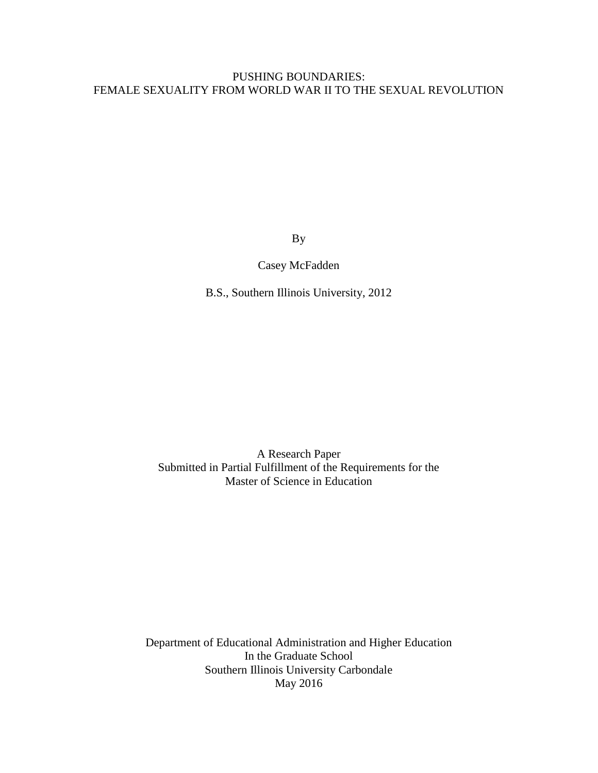# PUSHING BOUNDARIES: FEMALE SEXUALITY FROM WORLD WAR II TO THE SEXUAL REVOLUTION

By

Casey McFadden

B.S., Southern Illinois University, 2012

A Research Paper Submitted in Partial Fulfillment of the Requirements for the Master of Science in Education

Department of Educational Administration and Higher Education In the Graduate School Southern Illinois University Carbondale May 2016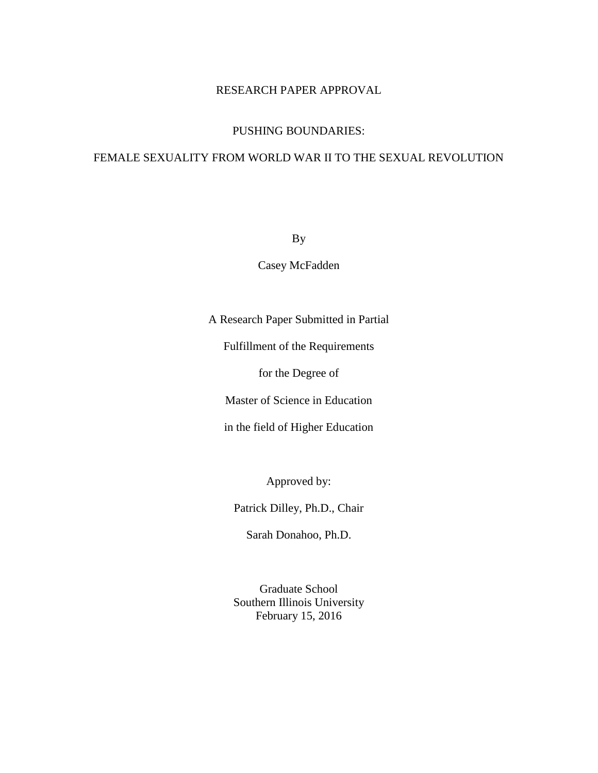# RESEARCH PAPER APPROVAL

# PUSHING BOUNDARIES:

# FEMALE SEXUALITY FROM WORLD WAR II TO THE SEXUAL REVOLUTION

By

Casey McFadden

A Research Paper Submitted in Partial

Fulfillment of the Requirements

for the Degree of

Master of Science in Education

in the field of Higher Education

Approved by:

Patrick Dilley, Ph.D., Chair

Sarah Donahoo, Ph.D.

Graduate School Southern Illinois University February 15, 2016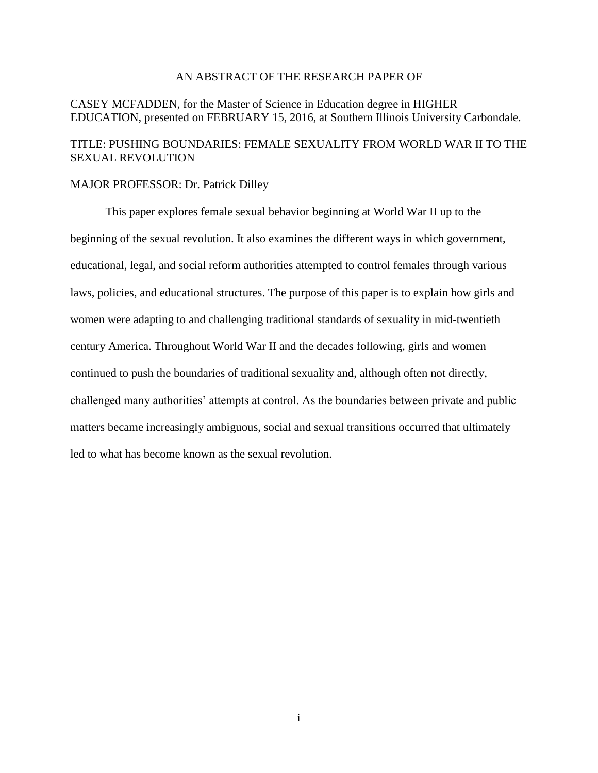### AN ABSTRACT OF THE RESEARCH PAPER OF

## CASEY MCFADDEN, for the Master of Science in Education degree in HIGHER EDUCATION, presented on FEBRUARY 15, 2016, at Southern Illinois University Carbondale.

# TITLE: PUSHING BOUNDARIES: FEMALE SEXUALITY FROM WORLD WAR II TO THE SEXUAL REVOLUTION

#### MAJOR PROFESSOR: Dr. Patrick Dilley

This paper explores female sexual behavior beginning at World War II up to the beginning of the sexual revolution. It also examines the different ways in which government, educational, legal, and social reform authorities attempted to control females through various laws, policies, and educational structures. The purpose of this paper is to explain how girls and women were adapting to and challenging traditional standards of sexuality in mid-twentieth century America. Throughout World War II and the decades following, girls and women continued to push the boundaries of traditional sexuality and, although often not directly, challenged many authorities' attempts at control. As the boundaries between private and public matters became increasingly ambiguous, social and sexual transitions occurred that ultimately led to what has become known as the sexual revolution.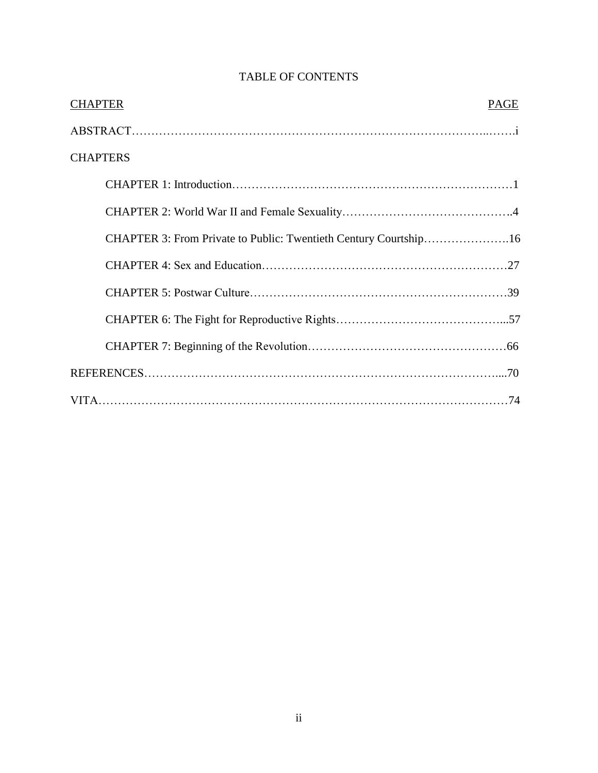| <b>CHAPTER</b>                                                   | <b>PAGE</b> |
|------------------------------------------------------------------|-------------|
|                                                                  |             |
| <b>CHAPTERS</b>                                                  |             |
|                                                                  |             |
|                                                                  |             |
| CHAPTER 3: From Private to Public: Twentieth Century Courtship16 |             |
|                                                                  |             |
|                                                                  |             |
|                                                                  |             |
|                                                                  |             |
|                                                                  |             |
|                                                                  |             |

# TABLE OF CONTENTS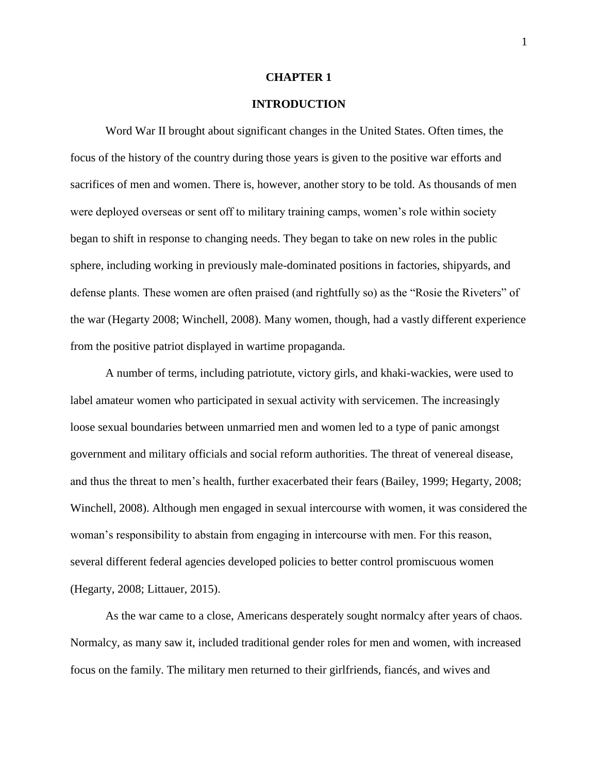#### **CHAPTER 1**

### **INTRODUCTION**

Word War II brought about significant changes in the United States. Often times, the focus of the history of the country during those years is given to the positive war efforts and sacrifices of men and women. There is, however, another story to be told. As thousands of men were deployed overseas or sent off to military training camps, women's role within society began to shift in response to changing needs. They began to take on new roles in the public sphere, including working in previously male-dominated positions in factories, shipyards, and defense plants. These women are often praised (and rightfully so) as the "Rosie the Riveters" of the war (Hegarty 2008; Winchell, 2008). Many women, though, had a vastly different experience from the positive patriot displayed in wartime propaganda.

A number of terms, including patriotute, victory girls, and khaki-wackies, were used to label amateur women who participated in sexual activity with servicemen. The increasingly loose sexual boundaries between unmarried men and women led to a type of panic amongst government and military officials and social reform authorities. The threat of venereal disease, and thus the threat to men's health, further exacerbated their fears (Bailey, 1999; Hegarty, 2008; Winchell, 2008). Although men engaged in sexual intercourse with women, it was considered the woman's responsibility to abstain from engaging in intercourse with men. For this reason, several different federal agencies developed policies to better control promiscuous women (Hegarty, 2008; Littauer, 2015).

As the war came to a close, Americans desperately sought normalcy after years of chaos. Normalcy, as many saw it, included traditional gender roles for men and women, with increased focus on the family. The military men returned to their girlfriends, fiancés, and wives and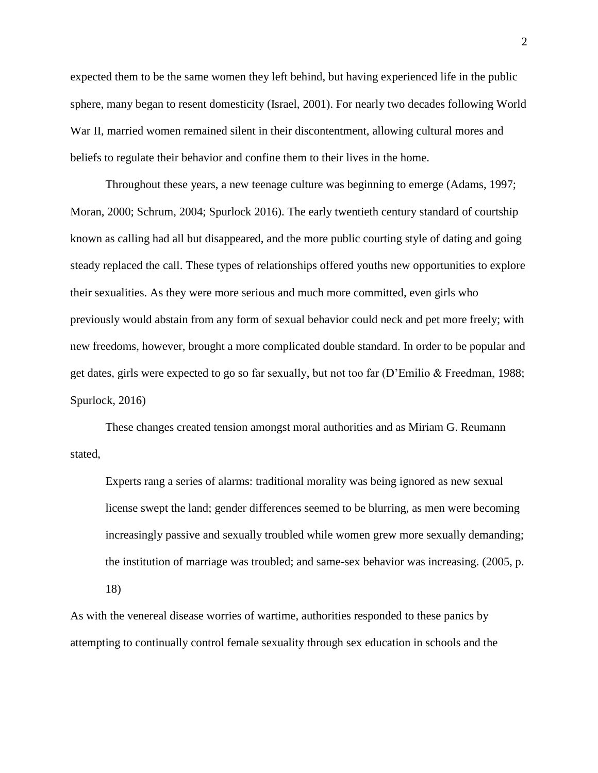expected them to be the same women they left behind, but having experienced life in the public sphere, many began to resent domesticity (Israel, 2001). For nearly two decades following World War II, married women remained silent in their discontentment, allowing cultural mores and beliefs to regulate their behavior and confine them to their lives in the home.

Throughout these years, a new teenage culture was beginning to emerge (Adams, 1997; Moran, 2000; Schrum, 2004; Spurlock 2016). The early twentieth century standard of courtship known as calling had all but disappeared, and the more public courting style of dating and going steady replaced the call. These types of relationships offered youths new opportunities to explore their sexualities. As they were more serious and much more committed, even girls who previously would abstain from any form of sexual behavior could neck and pet more freely; with new freedoms, however, brought a more complicated double standard. In order to be popular and get dates, girls were expected to go so far sexually, but not too far (D'Emilio & Freedman, 1988; Spurlock, 2016)

These changes created tension amongst moral authorities and as Miriam G. Reumann stated,

Experts rang a series of alarms: traditional morality was being ignored as new sexual license swept the land; gender differences seemed to be blurring, as men were becoming increasingly passive and sexually troubled while women grew more sexually demanding; the institution of marriage was troubled; and same-sex behavior was increasing. (2005, p. 18)

As with the venereal disease worries of wartime, authorities responded to these panics by attempting to continually control female sexuality through sex education in schools and the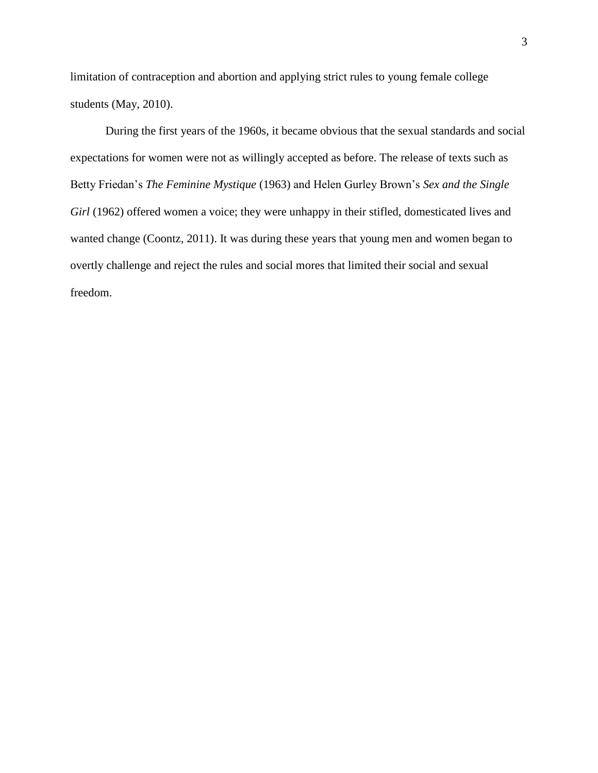limitation of contraception and abortion and applying strict rules to young female college students (May, 2010).

During the first years of the 1960s, it became obvious that the sexual standards and social expectations for women were not as willingly accepted as before. The release of texts such as Betty Friedan's *The Feminine Mystique* (1963) and Helen Gurley Brown's *Sex and the Single*  Girl (1962) offered women a voice; they were unhappy in their stifled, domesticated lives and wanted change (Coontz, 2011). It was during these years that young men and women began to overtly challenge and reject the rules and social mores that limited their social and sexual freedom.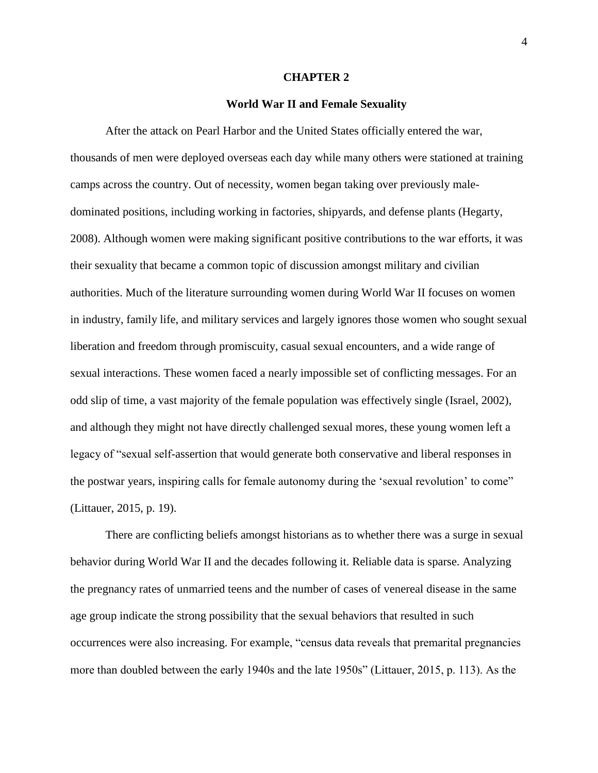#### **CHAPTER 2**

#### **World War II and Female Sexuality**

After the attack on Pearl Harbor and the United States officially entered the war, thousands of men were deployed overseas each day while many others were stationed at training camps across the country. Out of necessity, women began taking over previously maledominated positions, including working in factories, shipyards, and defense plants (Hegarty, 2008). Although women were making significant positive contributions to the war efforts, it was their sexuality that became a common topic of discussion amongst military and civilian authorities. Much of the literature surrounding women during World War II focuses on women in industry, family life, and military services and largely ignores those women who sought sexual liberation and freedom through promiscuity, casual sexual encounters, and a wide range of sexual interactions. These women faced a nearly impossible set of conflicting messages. For an odd slip of time, a vast majority of the female population was effectively single (Israel, 2002), and although they might not have directly challenged sexual mores, these young women left a legacy of "sexual self-assertion that would generate both conservative and liberal responses in the postwar years, inspiring calls for female autonomy during the 'sexual revolution' to come" (Littauer, 2015, p. 19).

There are conflicting beliefs amongst historians as to whether there was a surge in sexual behavior during World War II and the decades following it. Reliable data is sparse. Analyzing the pregnancy rates of unmarried teens and the number of cases of venereal disease in the same age group indicate the strong possibility that the sexual behaviors that resulted in such occurrences were also increasing. For example, "census data reveals that premarital pregnancies more than doubled between the early 1940s and the late 1950s" (Littauer, 2015, p. 113). As the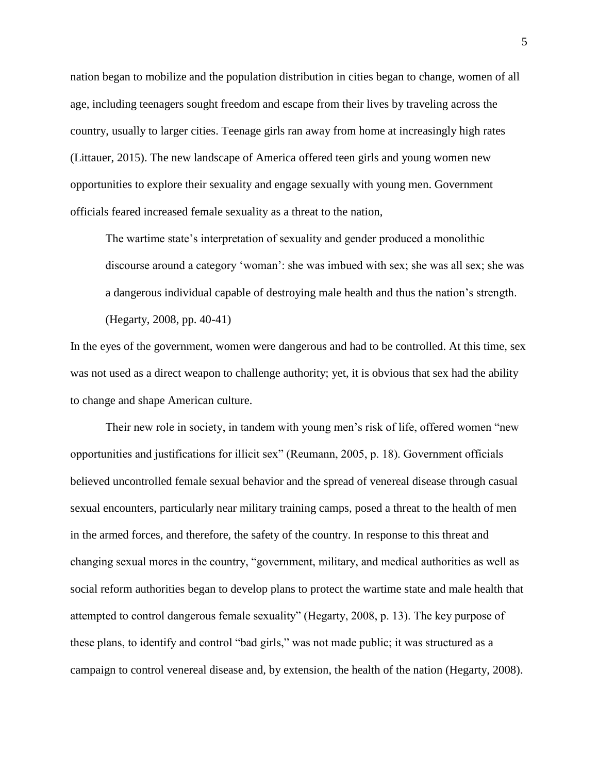nation began to mobilize and the population distribution in cities began to change, women of all age, including teenagers sought freedom and escape from their lives by traveling across the country, usually to larger cities. Teenage girls ran away from home at increasingly high rates (Littauer, 2015). The new landscape of America offered teen girls and young women new opportunities to explore their sexuality and engage sexually with young men. Government officials feared increased female sexuality as a threat to the nation,

The wartime state's interpretation of sexuality and gender produced a monolithic discourse around a category 'woman': she was imbued with sex; she was all sex; she was a dangerous individual capable of destroying male health and thus the nation's strength.

(Hegarty, 2008, pp. 40-41)

In the eyes of the government, women were dangerous and had to be controlled. At this time, sex was not used as a direct weapon to challenge authority; yet, it is obvious that sex had the ability to change and shape American culture.

Their new role in society, in tandem with young men's risk of life, offered women "new opportunities and justifications for illicit sex" (Reumann, 2005, p. 18). Government officials believed uncontrolled female sexual behavior and the spread of venereal disease through casual sexual encounters, particularly near military training camps, posed a threat to the health of men in the armed forces, and therefore, the safety of the country. In response to this threat and changing sexual mores in the country, "government, military, and medical authorities as well as social reform authorities began to develop plans to protect the wartime state and male health that attempted to control dangerous female sexuality" (Hegarty, 2008, p. 13). The key purpose of these plans, to identify and control "bad girls," was not made public; it was structured as a campaign to control venereal disease and, by extension, the health of the nation (Hegarty, 2008).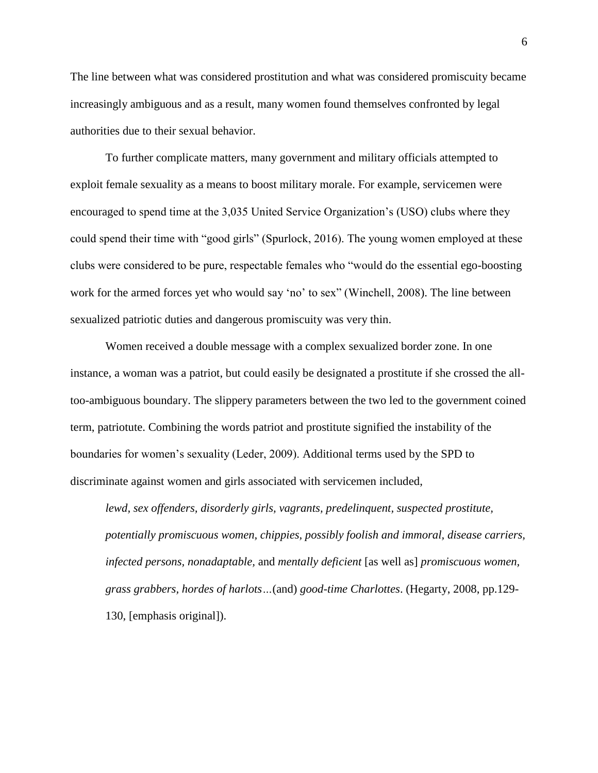The line between what was considered prostitution and what was considered promiscuity became increasingly ambiguous and as a result, many women found themselves confronted by legal authorities due to their sexual behavior.

To further complicate matters, many government and military officials attempted to exploit female sexuality as a means to boost military morale. For example, servicemen were encouraged to spend time at the 3,035 United Service Organization's (USO) clubs where they could spend their time with "good girls" (Spurlock, 2016). The young women employed at these clubs were considered to be pure, respectable females who "would do the essential ego-boosting work for the armed forces yet who would say 'no' to sex" (Winchell, 2008). The line between sexualized patriotic duties and dangerous promiscuity was very thin.

Women received a double message with a complex sexualized border zone. In one instance, a woman was a patriot, but could easily be designated a prostitute if she crossed the alltoo-ambiguous boundary. The slippery parameters between the two led to the government coined term, patriotute. Combining the words patriot and prostitute signified the instability of the boundaries for women's sexuality (Leder, 2009). Additional terms used by the SPD to discriminate against women and girls associated with servicemen included,

*lewd, sex offenders, disorderly girls, vagrants, predelinquent, suspected prostitute, potentially promiscuous women, chippies, possibly foolish and immoral, disease carriers, infected persons, nonadaptable,* and *mentally deficient* [as well as] *promiscuous women, grass grabbers, hordes of harlots…*(and) *good-time Charlottes*. (Hegarty, 2008, pp.129- 130, [emphasis original]).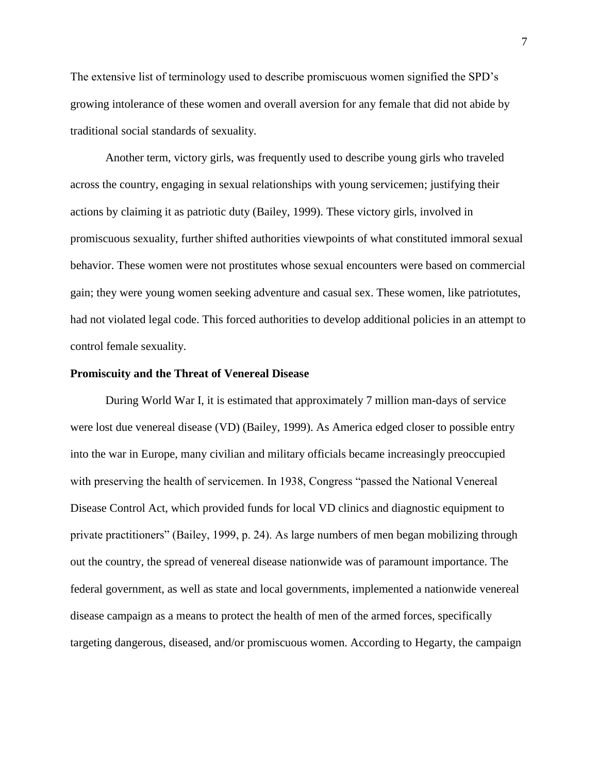The extensive list of terminology used to describe promiscuous women signified the SPD's growing intolerance of these women and overall aversion for any female that did not abide by traditional social standards of sexuality.

Another term, victory girls, was frequently used to describe young girls who traveled across the country, engaging in sexual relationships with young servicemen; justifying their actions by claiming it as patriotic duty (Bailey, 1999). These victory girls, involved in promiscuous sexuality, further shifted authorities viewpoints of what constituted immoral sexual behavior. These women were not prostitutes whose sexual encounters were based on commercial gain; they were young women seeking adventure and casual sex. These women, like patriotutes, had not violated legal code. This forced authorities to develop additional policies in an attempt to control female sexuality.

#### **Promiscuity and the Threat of Venereal Disease**

During World War I, it is estimated that approximately 7 million man-days of service were lost due venereal disease (VD) (Bailey, 1999). As America edged closer to possible entry into the war in Europe, many civilian and military officials became increasingly preoccupied with preserving the health of servicemen. In 1938, Congress "passed the National Venereal Disease Control Act, which provided funds for local VD clinics and diagnostic equipment to private practitioners" (Bailey, 1999, p. 24). As large numbers of men began mobilizing through out the country, the spread of venereal disease nationwide was of paramount importance. The federal government, as well as state and local governments, implemented a nationwide venereal disease campaign as a means to protect the health of men of the armed forces, specifically targeting dangerous, diseased, and/or promiscuous women. According to Hegarty, the campaign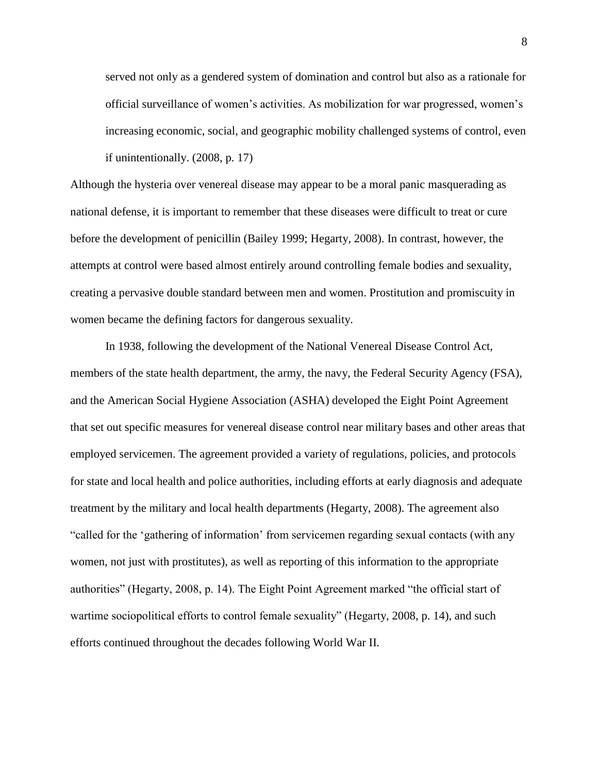served not only as a gendered system of domination and control but also as a rationale for official surveillance of women's activities. As mobilization for war progressed, women's increasing economic, social, and geographic mobility challenged systems of control, even if unintentionally. (2008, p. 17)

Although the hysteria over venereal disease may appear to be a moral panic masquerading as national defense, it is important to remember that these diseases were difficult to treat or cure before the development of penicillin (Bailey 1999; Hegarty, 2008). In contrast, however, the attempts at control were based almost entirely around controlling female bodies and sexuality, creating a pervasive double standard between men and women. Prostitution and promiscuity in women became the defining factors for dangerous sexuality.

In 1938, following the development of the National Venereal Disease Control Act, members of the state health department, the army, the navy, the Federal Security Agency (FSA), and the American Social Hygiene Association (ASHA) developed the Eight Point Agreement that set out specific measures for venereal disease control near military bases and other areas that employed servicemen. The agreement provided a variety of regulations, policies, and protocols for state and local health and police authorities, including efforts at early diagnosis and adequate treatment by the military and local health departments (Hegarty, 2008). The agreement also "called for the 'gathering of information' from servicemen regarding sexual contacts (with any women, not just with prostitutes), as well as reporting of this information to the appropriate authorities" (Hegarty, 2008, p. 14). The Eight Point Agreement marked "the official start of wartime sociopolitical efforts to control female sexuality" (Hegarty, 2008, p. 14), and such efforts continued throughout the decades following World War II.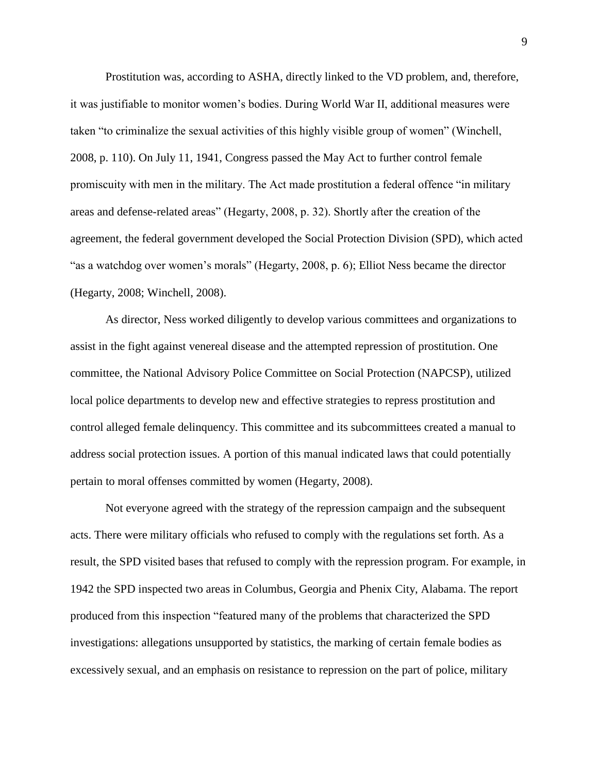Prostitution was, according to ASHA, directly linked to the VD problem, and, therefore, it was justifiable to monitor women's bodies. During World War II, additional measures were taken "to criminalize the sexual activities of this highly visible group of women" (Winchell, 2008, p. 110). On July 11, 1941, Congress passed the May Act to further control female promiscuity with men in the military. The Act made prostitution a federal offence "in military areas and defense-related areas" (Hegarty, 2008, p. 32). Shortly after the creation of the agreement, the federal government developed the Social Protection Division (SPD), which acted "as a watchdog over women's morals" (Hegarty, 2008, p. 6); Elliot Ness became the director (Hegarty, 2008; Winchell, 2008).

As director, Ness worked diligently to develop various committees and organizations to assist in the fight against venereal disease and the attempted repression of prostitution. One committee, the National Advisory Police Committee on Social Protection (NAPCSP), utilized local police departments to develop new and effective strategies to repress prostitution and control alleged female delinquency. This committee and its subcommittees created a manual to address social protection issues. A portion of this manual indicated laws that could potentially pertain to moral offenses committed by women (Hegarty, 2008).

Not everyone agreed with the strategy of the repression campaign and the subsequent acts. There were military officials who refused to comply with the regulations set forth. As a result, the SPD visited bases that refused to comply with the repression program. For example, in 1942 the SPD inspected two areas in Columbus, Georgia and Phenix City, Alabama. The report produced from this inspection "featured many of the problems that characterized the SPD investigations: allegations unsupported by statistics, the marking of certain female bodies as excessively sexual, and an emphasis on resistance to repression on the part of police, military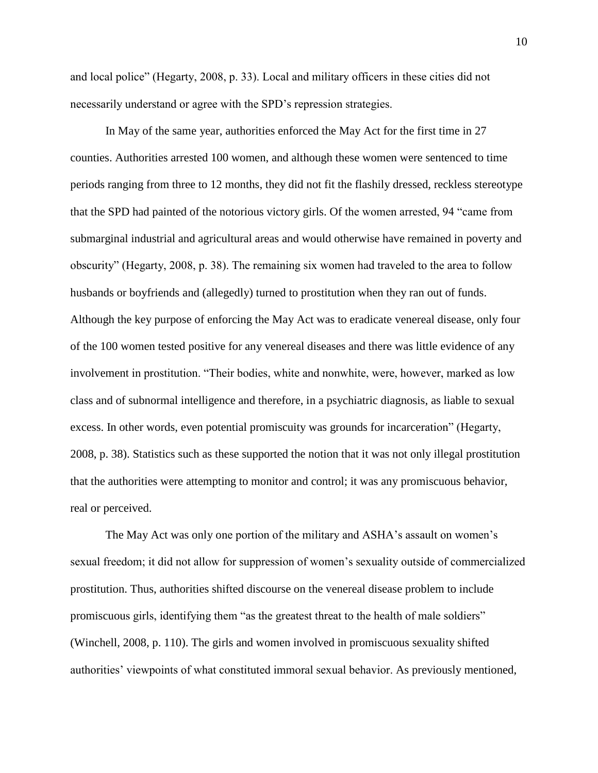and local police" (Hegarty, 2008, p. 33). Local and military officers in these cities did not necessarily understand or agree with the SPD's repression strategies.

In May of the same year, authorities enforced the May Act for the first time in 27 counties. Authorities arrested 100 women, and although these women were sentenced to time periods ranging from three to 12 months, they did not fit the flashily dressed, reckless stereotype that the SPD had painted of the notorious victory girls. Of the women arrested, 94 "came from submarginal industrial and agricultural areas and would otherwise have remained in poverty and obscurity" (Hegarty, 2008, p. 38). The remaining six women had traveled to the area to follow husbands or boyfriends and (allegedly) turned to prostitution when they ran out of funds. Although the key purpose of enforcing the May Act was to eradicate venereal disease, only four of the 100 women tested positive for any venereal diseases and there was little evidence of any involvement in prostitution. "Their bodies, white and nonwhite, were, however, marked as low class and of subnormal intelligence and therefore, in a psychiatric diagnosis, as liable to sexual excess. In other words, even potential promiscuity was grounds for incarceration" (Hegarty, 2008, p. 38). Statistics such as these supported the notion that it was not only illegal prostitution that the authorities were attempting to monitor and control; it was any promiscuous behavior, real or perceived.

The May Act was only one portion of the military and ASHA's assault on women's sexual freedom; it did not allow for suppression of women's sexuality outside of commercialized prostitution. Thus, authorities shifted discourse on the venereal disease problem to include promiscuous girls, identifying them "as the greatest threat to the health of male soldiers" (Winchell, 2008, p. 110). The girls and women involved in promiscuous sexuality shifted authorities' viewpoints of what constituted immoral sexual behavior. As previously mentioned,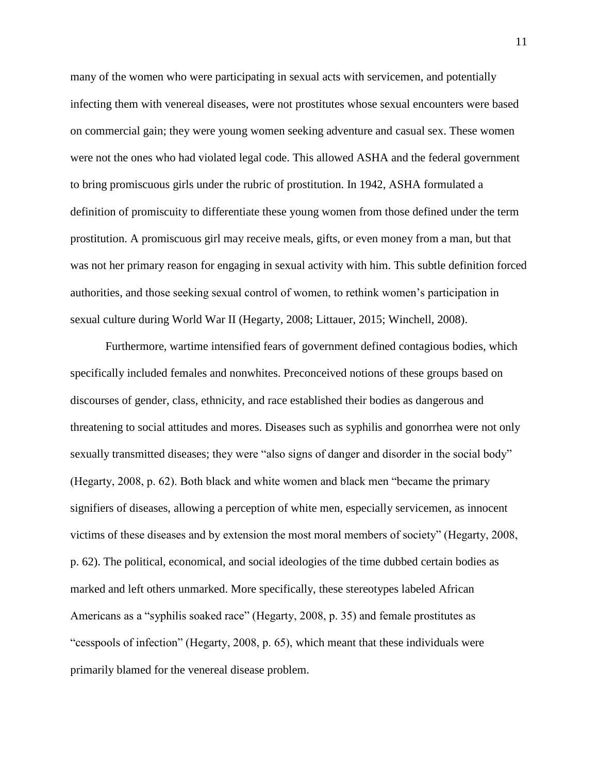many of the women who were participating in sexual acts with servicemen, and potentially infecting them with venereal diseases, were not prostitutes whose sexual encounters were based on commercial gain; they were young women seeking adventure and casual sex. These women were not the ones who had violated legal code. This allowed ASHA and the federal government to bring promiscuous girls under the rubric of prostitution. In 1942, ASHA formulated a definition of promiscuity to differentiate these young women from those defined under the term prostitution. A promiscuous girl may receive meals, gifts, or even money from a man, but that was not her primary reason for engaging in sexual activity with him. This subtle definition forced authorities, and those seeking sexual control of women, to rethink women's participation in sexual culture during World War II (Hegarty, 2008; Littauer, 2015; Winchell, 2008).

Furthermore, wartime intensified fears of government defined contagious bodies, which specifically included females and nonwhites. Preconceived notions of these groups based on discourses of gender, class, ethnicity, and race established their bodies as dangerous and threatening to social attitudes and mores. Diseases such as syphilis and gonorrhea were not only sexually transmitted diseases; they were "also signs of danger and disorder in the social body" (Hegarty, 2008, p. 62). Both black and white women and black men "became the primary signifiers of diseases, allowing a perception of white men, especially servicemen, as innocent victims of these diseases and by extension the most moral members of society" (Hegarty, 2008, p. 62). The political, economical, and social ideologies of the time dubbed certain bodies as marked and left others unmarked. More specifically, these stereotypes labeled African Americans as a "syphilis soaked race" (Hegarty, 2008, p. 35) and female prostitutes as "cesspools of infection" (Hegarty, 2008, p. 65), which meant that these individuals were primarily blamed for the venereal disease problem.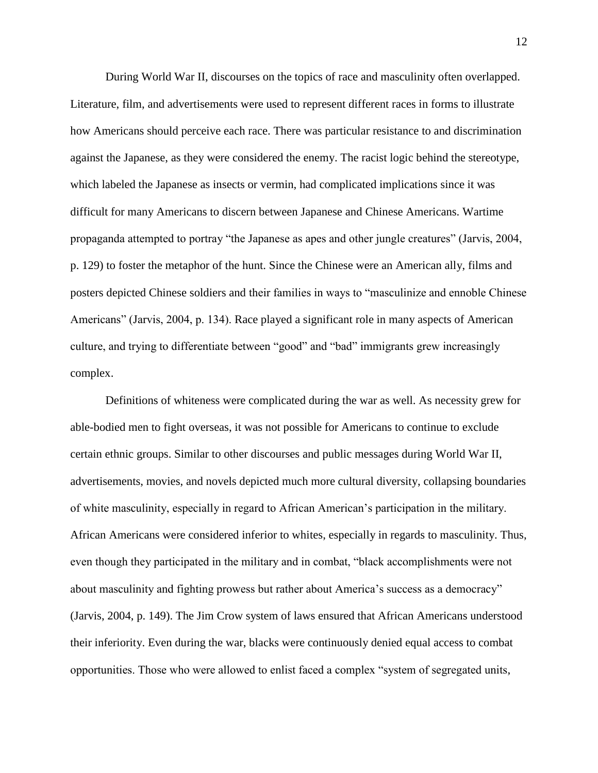During World War II, discourses on the topics of race and masculinity often overlapped. Literature, film, and advertisements were used to represent different races in forms to illustrate how Americans should perceive each race. There was particular resistance to and discrimination against the Japanese, as they were considered the enemy. The racist logic behind the stereotype, which labeled the Japanese as insects or vermin, had complicated implications since it was difficult for many Americans to discern between Japanese and Chinese Americans. Wartime propaganda attempted to portray "the Japanese as apes and other jungle creatures" (Jarvis, 2004, p. 129) to foster the metaphor of the hunt. Since the Chinese were an American ally, films and posters depicted Chinese soldiers and their families in ways to "masculinize and ennoble Chinese Americans" (Jarvis, 2004, p. 134). Race played a significant role in many aspects of American culture, and trying to differentiate between "good" and "bad" immigrants grew increasingly complex.

Definitions of whiteness were complicated during the war as well. As necessity grew for able-bodied men to fight overseas, it was not possible for Americans to continue to exclude certain ethnic groups. Similar to other discourses and public messages during World War II, advertisements, movies, and novels depicted much more cultural diversity, collapsing boundaries of white masculinity, especially in regard to African American's participation in the military. African Americans were considered inferior to whites, especially in regards to masculinity. Thus, even though they participated in the military and in combat, "black accomplishments were not about masculinity and fighting prowess but rather about America's success as a democracy" (Jarvis, 2004, p. 149). The Jim Crow system of laws ensured that African Americans understood their inferiority. Even during the war, blacks were continuously denied equal access to combat opportunities. Those who were allowed to enlist faced a complex "system of segregated units,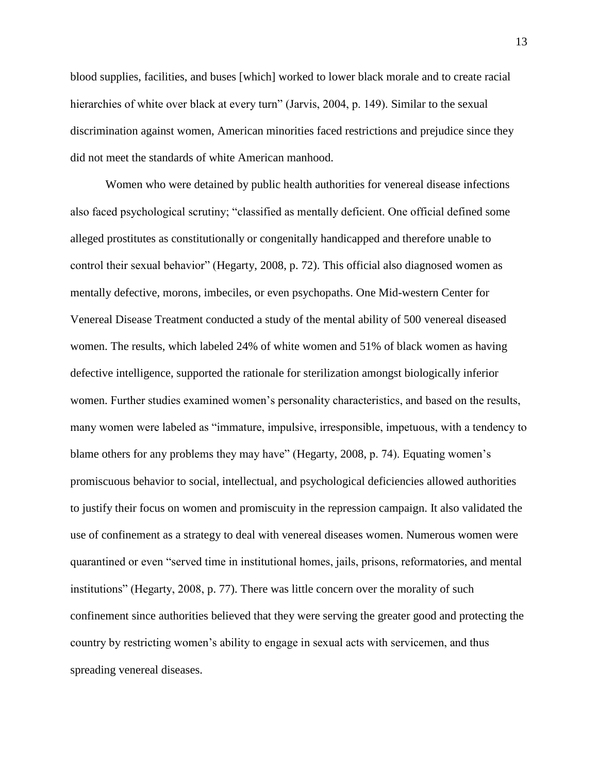blood supplies, facilities, and buses [which] worked to lower black morale and to create racial hierarchies of white over black at every turn" (Jarvis, 2004, p. 149). Similar to the sexual discrimination against women, American minorities faced restrictions and prejudice since they did not meet the standards of white American manhood.

Women who were detained by public health authorities for venereal disease infections also faced psychological scrutiny; "classified as mentally deficient. One official defined some alleged prostitutes as constitutionally or congenitally handicapped and therefore unable to control their sexual behavior" (Hegarty, 2008, p. 72). This official also diagnosed women as mentally defective, morons, imbeciles, or even psychopaths. One Mid-western Center for Venereal Disease Treatment conducted a study of the mental ability of 500 venereal diseased women. The results, which labeled 24% of white women and 51% of black women as having defective intelligence, supported the rationale for sterilization amongst biologically inferior women. Further studies examined women's personality characteristics, and based on the results, many women were labeled as "immature, impulsive, irresponsible, impetuous, with a tendency to blame others for any problems they may have" (Hegarty, 2008, p. 74). Equating women's promiscuous behavior to social, intellectual, and psychological deficiencies allowed authorities to justify their focus on women and promiscuity in the repression campaign. It also validated the use of confinement as a strategy to deal with venereal diseases women. Numerous women were quarantined or even "served time in institutional homes, jails, prisons, reformatories, and mental institutions" (Hegarty, 2008, p. 77). There was little concern over the morality of such confinement since authorities believed that they were serving the greater good and protecting the country by restricting women's ability to engage in sexual acts with servicemen, and thus spreading venereal diseases.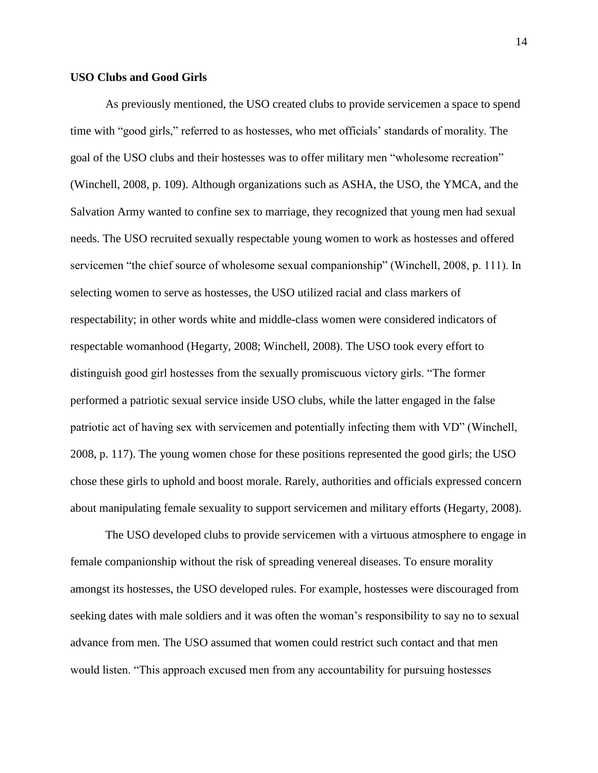#### **USO Clubs and Good Girls**

As previously mentioned, the USO created clubs to provide servicemen a space to spend time with "good girls," referred to as hostesses, who met officials' standards of morality. The goal of the USO clubs and their hostesses was to offer military men "wholesome recreation" (Winchell, 2008, p. 109). Although organizations such as ASHA, the USO, the YMCA, and the Salvation Army wanted to confine sex to marriage, they recognized that young men had sexual needs. The USO recruited sexually respectable young women to work as hostesses and offered servicemen "the chief source of wholesome sexual companionship" (Winchell, 2008, p. 111). In selecting women to serve as hostesses, the USO utilized racial and class markers of respectability; in other words white and middle-class women were considered indicators of respectable womanhood (Hegarty, 2008; Winchell, 2008). The USO took every effort to distinguish good girl hostesses from the sexually promiscuous victory girls. "The former performed a patriotic sexual service inside USO clubs, while the latter engaged in the false patriotic act of having sex with servicemen and potentially infecting them with VD" (Winchell, 2008, p. 117). The young women chose for these positions represented the good girls; the USO chose these girls to uphold and boost morale. Rarely, authorities and officials expressed concern about manipulating female sexuality to support servicemen and military efforts (Hegarty, 2008).

The USO developed clubs to provide servicemen with a virtuous atmosphere to engage in female companionship without the risk of spreading venereal diseases. To ensure morality amongst its hostesses, the USO developed rules. For example, hostesses were discouraged from seeking dates with male soldiers and it was often the woman's responsibility to say no to sexual advance from men. The USO assumed that women could restrict such contact and that men would listen. "This approach excused men from any accountability for pursuing hostesses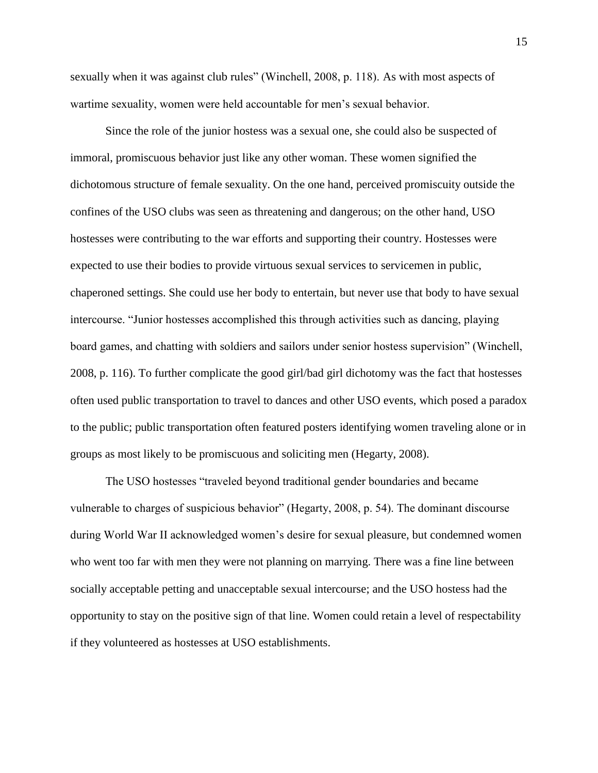sexually when it was against club rules" (Winchell, 2008, p. 118). As with most aspects of wartime sexuality, women were held accountable for men's sexual behavior.

Since the role of the junior hostess was a sexual one, she could also be suspected of immoral, promiscuous behavior just like any other woman. These women signified the dichotomous structure of female sexuality. On the one hand, perceived promiscuity outside the confines of the USO clubs was seen as threatening and dangerous; on the other hand, USO hostesses were contributing to the war efforts and supporting their country. Hostesses were expected to use their bodies to provide virtuous sexual services to servicemen in public, chaperoned settings. She could use her body to entertain, but never use that body to have sexual intercourse. "Junior hostesses accomplished this through activities such as dancing, playing board games, and chatting with soldiers and sailors under senior hostess supervision" (Winchell, 2008, p. 116). To further complicate the good girl/bad girl dichotomy was the fact that hostesses often used public transportation to travel to dances and other USO events, which posed a paradox to the public; public transportation often featured posters identifying women traveling alone or in groups as most likely to be promiscuous and soliciting men (Hegarty, 2008).

The USO hostesses "traveled beyond traditional gender boundaries and became vulnerable to charges of suspicious behavior" (Hegarty, 2008, p. 54). The dominant discourse during World War II acknowledged women's desire for sexual pleasure, but condemned women who went too far with men they were not planning on marrying. There was a fine line between socially acceptable petting and unacceptable sexual intercourse; and the USO hostess had the opportunity to stay on the positive sign of that line. Women could retain a level of respectability if they volunteered as hostesses at USO establishments.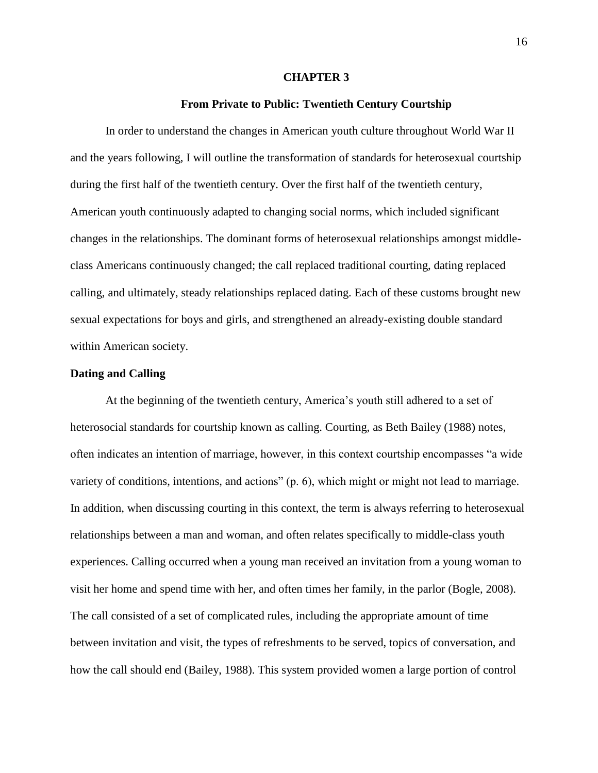#### **CHAPTER 3**

#### **From Private to Public: Twentieth Century Courtship**

In order to understand the changes in American youth culture throughout World War II and the years following, I will outline the transformation of standards for heterosexual courtship during the first half of the twentieth century. Over the first half of the twentieth century, American youth continuously adapted to changing social norms, which included significant changes in the relationships. The dominant forms of heterosexual relationships amongst middleclass Americans continuously changed; the call replaced traditional courting, dating replaced calling, and ultimately, steady relationships replaced dating. Each of these customs brought new sexual expectations for boys and girls, and strengthened an already-existing double standard within American society.

#### **Dating and Calling**

At the beginning of the twentieth century, America's youth still adhered to a set of heterosocial standards for courtship known as calling. Courting, as Beth Bailey (1988) notes, often indicates an intention of marriage, however, in this context courtship encompasses "a wide variety of conditions, intentions, and actions" (p. 6), which might or might not lead to marriage. In addition, when discussing courting in this context, the term is always referring to heterosexual relationships between a man and woman, and often relates specifically to middle-class youth experiences. Calling occurred when a young man received an invitation from a young woman to visit her home and spend time with her, and often times her family, in the parlor (Bogle, 2008). The call consisted of a set of complicated rules, including the appropriate amount of time between invitation and visit, the types of refreshments to be served, topics of conversation, and how the call should end (Bailey, 1988). This system provided women a large portion of control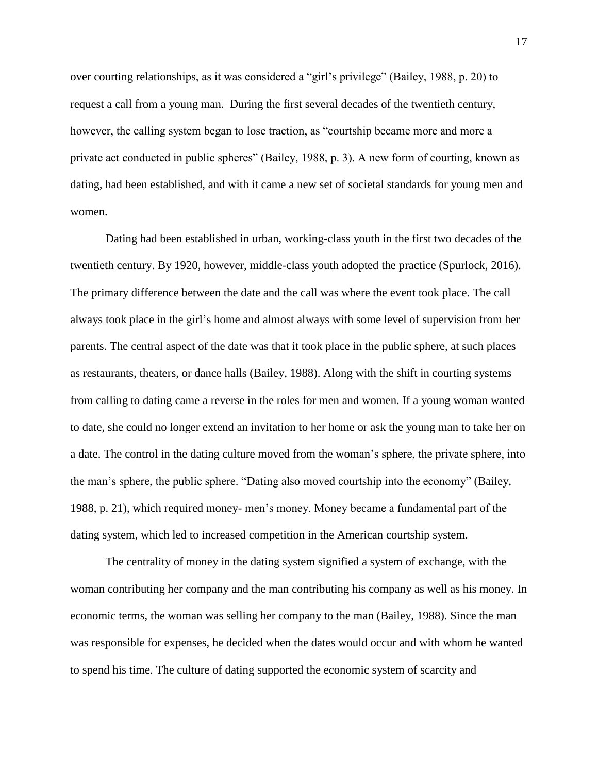over courting relationships, as it was considered a "girl's privilege" (Bailey, 1988, p. 20) to request a call from a young man. During the first several decades of the twentieth century, however, the calling system began to lose traction, as "courtship became more and more a private act conducted in public spheres" (Bailey, 1988, p. 3). A new form of courting, known as dating, had been established, and with it came a new set of societal standards for young men and women.

Dating had been established in urban, working-class youth in the first two decades of the twentieth century. By 1920, however, middle-class youth adopted the practice (Spurlock, 2016). The primary difference between the date and the call was where the event took place. The call always took place in the girl's home and almost always with some level of supervision from her parents. The central aspect of the date was that it took place in the public sphere, at such places as restaurants, theaters, or dance halls (Bailey, 1988). Along with the shift in courting systems from calling to dating came a reverse in the roles for men and women. If a young woman wanted to date, she could no longer extend an invitation to her home or ask the young man to take her on a date. The control in the dating culture moved from the woman's sphere, the private sphere, into the man's sphere, the public sphere. "Dating also moved courtship into the economy" (Bailey, 1988, p. 21), which required money- men's money. Money became a fundamental part of the dating system, which led to increased competition in the American courtship system.

The centrality of money in the dating system signified a system of exchange, with the woman contributing her company and the man contributing his company as well as his money. In economic terms, the woman was selling her company to the man (Bailey, 1988). Since the man was responsible for expenses, he decided when the dates would occur and with whom he wanted to spend his time. The culture of dating supported the economic system of scarcity and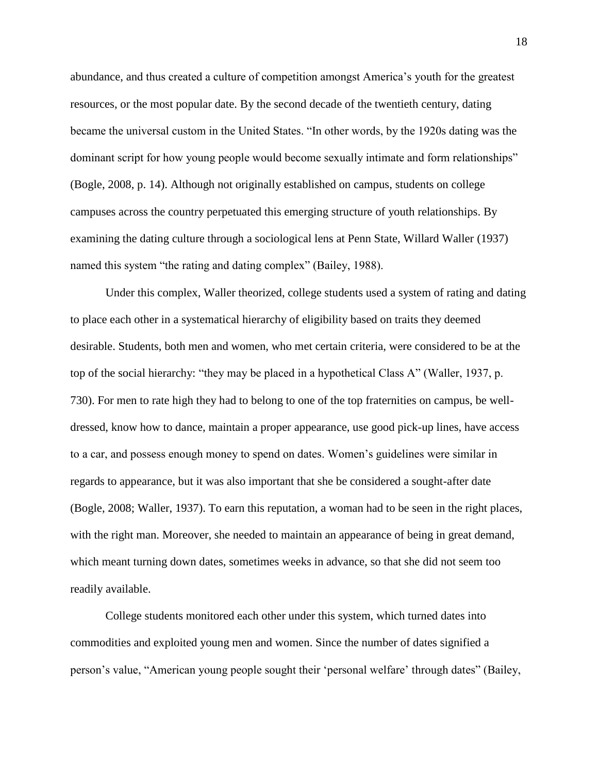abundance, and thus created a culture of competition amongst America's youth for the greatest resources, or the most popular date. By the second decade of the twentieth century, dating became the universal custom in the United States. "In other words, by the 1920s dating was the dominant script for how young people would become sexually intimate and form relationships" (Bogle, 2008, p. 14). Although not originally established on campus, students on college campuses across the country perpetuated this emerging structure of youth relationships. By examining the dating culture through a sociological lens at Penn State, Willard Waller (1937) named this system "the rating and dating complex" (Bailey, 1988).

Under this complex, Waller theorized, college students used a system of rating and dating to place each other in a systematical hierarchy of eligibility based on traits they deemed desirable. Students, both men and women, who met certain criteria, were considered to be at the top of the social hierarchy: "they may be placed in a hypothetical Class A" (Waller, 1937, p. 730). For men to rate high they had to belong to one of the top fraternities on campus, be welldressed, know how to dance, maintain a proper appearance, use good pick-up lines, have access to a car, and possess enough money to spend on dates. Women's guidelines were similar in regards to appearance, but it was also important that she be considered a sought-after date (Bogle, 2008; Waller, 1937). To earn this reputation, a woman had to be seen in the right places, with the right man. Moreover, she needed to maintain an appearance of being in great demand, which meant turning down dates, sometimes weeks in advance, so that she did not seem too readily available.

College students monitored each other under this system, which turned dates into commodities and exploited young men and women. Since the number of dates signified a person's value, "American young people sought their 'personal welfare' through dates" (Bailey,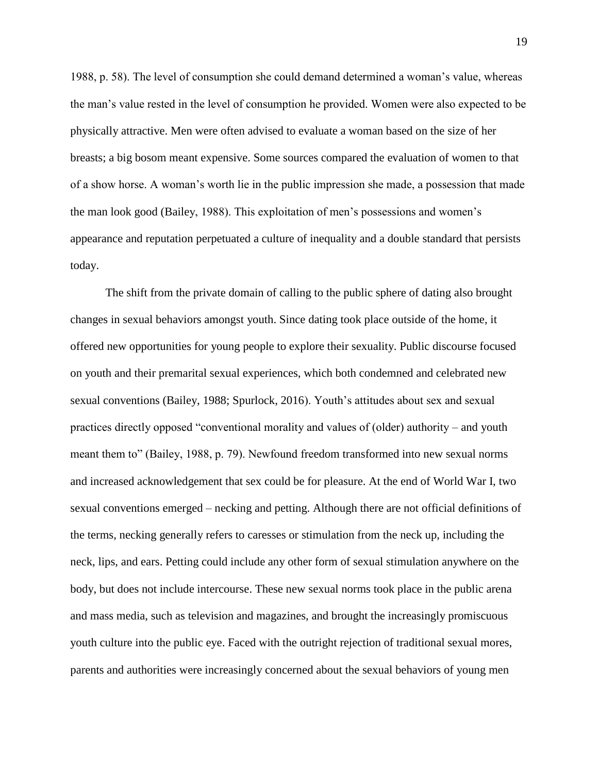1988, p. 58). The level of consumption she could demand determined a woman's value, whereas the man's value rested in the level of consumption he provided. Women were also expected to be physically attractive. Men were often advised to evaluate a woman based on the size of her breasts; a big bosom meant expensive. Some sources compared the evaluation of women to that of a show horse. A woman's worth lie in the public impression she made, a possession that made the man look good (Bailey, 1988). This exploitation of men's possessions and women's appearance and reputation perpetuated a culture of inequality and a double standard that persists today.

The shift from the private domain of calling to the public sphere of dating also brought changes in sexual behaviors amongst youth. Since dating took place outside of the home, it offered new opportunities for young people to explore their sexuality. Public discourse focused on youth and their premarital sexual experiences, which both condemned and celebrated new sexual conventions (Bailey, 1988; Spurlock, 2016). Youth's attitudes about sex and sexual practices directly opposed "conventional morality and values of (older) authority – and youth meant them to" (Bailey, 1988, p. 79). Newfound freedom transformed into new sexual norms and increased acknowledgement that sex could be for pleasure. At the end of World War I, two sexual conventions emerged – necking and petting. Although there are not official definitions of the terms, necking generally refers to caresses or stimulation from the neck up, including the neck, lips, and ears. Petting could include any other form of sexual stimulation anywhere on the body, but does not include intercourse. These new sexual norms took place in the public arena and mass media, such as television and magazines, and brought the increasingly promiscuous youth culture into the public eye. Faced with the outright rejection of traditional sexual mores, parents and authorities were increasingly concerned about the sexual behaviors of young men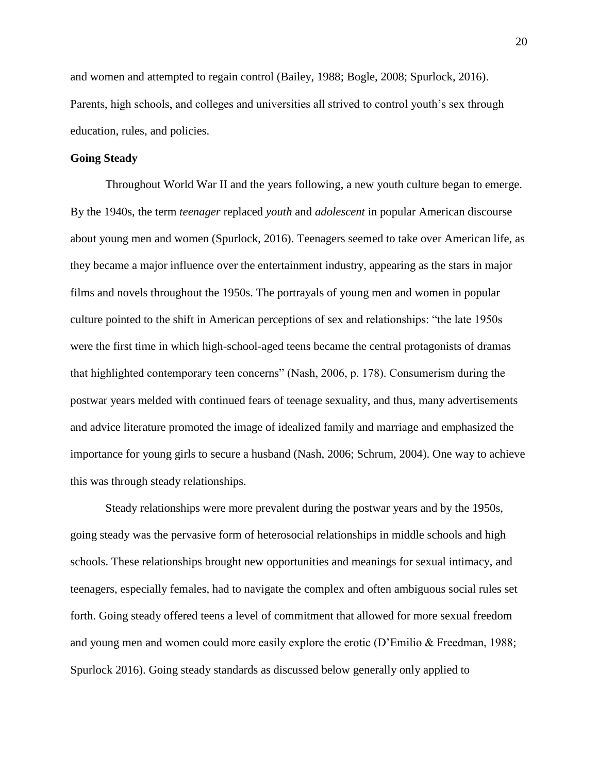and women and attempted to regain control (Bailey, 1988; Bogle, 2008; Spurlock, 2016). Parents, high schools, and colleges and universities all strived to control youth's sex through education, rules, and policies.

#### **Going Steady**

Throughout World War II and the years following, a new youth culture began to emerge. By the 1940s, the term *teenager* replaced *youth* and *adolescent* in popular American discourse about young men and women (Spurlock, 2016). Teenagers seemed to take over American life, as they became a major influence over the entertainment industry, appearing as the stars in major films and novels throughout the 1950s. The portrayals of young men and women in popular culture pointed to the shift in American perceptions of sex and relationships: "the late 1950s were the first time in which high-school-aged teens became the central protagonists of dramas that highlighted contemporary teen concerns" (Nash, 2006, p. 178). Consumerism during the postwar years melded with continued fears of teenage sexuality, and thus, many advertisements and advice literature promoted the image of idealized family and marriage and emphasized the importance for young girls to secure a husband (Nash, 2006; Schrum, 2004). One way to achieve this was through steady relationships.

Steady relationships were more prevalent during the postwar years and by the 1950s, going steady was the pervasive form of heterosocial relationships in middle schools and high schools. These relationships brought new opportunities and meanings for sexual intimacy, and teenagers, especially females, had to navigate the complex and often ambiguous social rules set forth. Going steady offered teens a level of commitment that allowed for more sexual freedom and young men and women could more easily explore the erotic (D'Emilio & Freedman, 1988; Spurlock 2016). Going steady standards as discussed below generally only applied to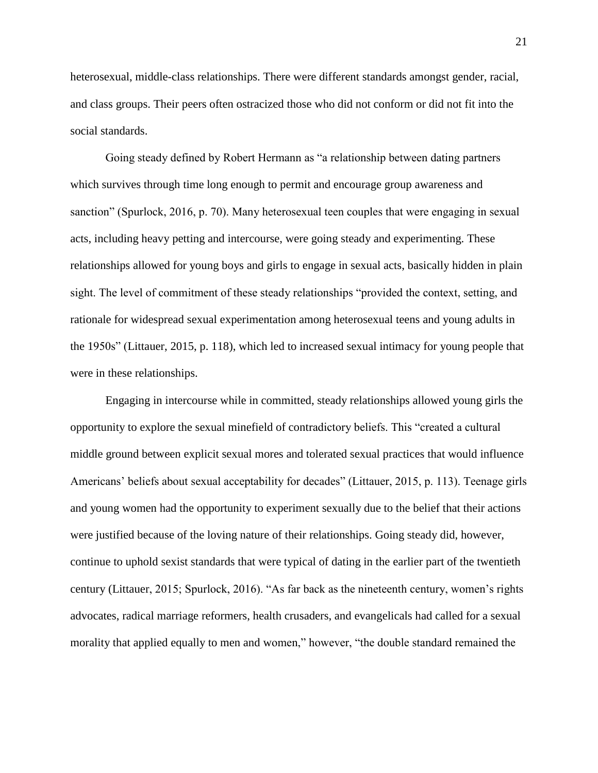heterosexual, middle-class relationships. There were different standards amongst gender, racial, and class groups. Their peers often ostracized those who did not conform or did not fit into the social standards.

Going steady defined by Robert Hermann as "a relationship between dating partners which survives through time long enough to permit and encourage group awareness and sanction" (Spurlock, 2016, p. 70). Many heterosexual teen couples that were engaging in sexual acts, including heavy petting and intercourse, were going steady and experimenting. These relationships allowed for young boys and girls to engage in sexual acts, basically hidden in plain sight. The level of commitment of these steady relationships "provided the context, setting, and rationale for widespread sexual experimentation among heterosexual teens and young adults in the 1950s" (Littauer, 2015, p. 118), which led to increased sexual intimacy for young people that were in these relationships.

Engaging in intercourse while in committed, steady relationships allowed young girls the opportunity to explore the sexual minefield of contradictory beliefs. This "created a cultural middle ground between explicit sexual mores and tolerated sexual practices that would influence Americans' beliefs about sexual acceptability for decades" (Littauer, 2015, p. 113). Teenage girls and young women had the opportunity to experiment sexually due to the belief that their actions were justified because of the loving nature of their relationships. Going steady did, however, continue to uphold sexist standards that were typical of dating in the earlier part of the twentieth century (Littauer, 2015; Spurlock, 2016). "As far back as the nineteenth century, women's rights advocates, radical marriage reformers, health crusaders, and evangelicals had called for a sexual morality that applied equally to men and women," however, "the double standard remained the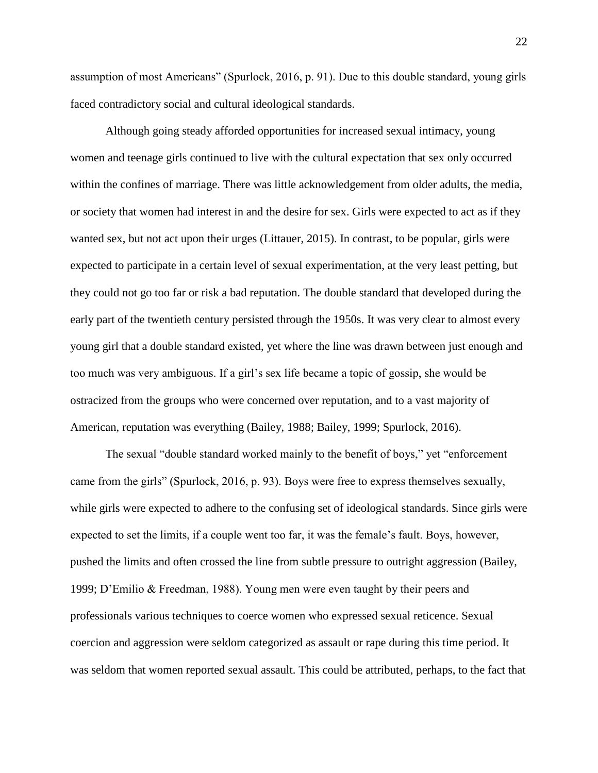assumption of most Americans" (Spurlock, 2016, p. 91). Due to this double standard, young girls faced contradictory social and cultural ideological standards.

Although going steady afforded opportunities for increased sexual intimacy, young women and teenage girls continued to live with the cultural expectation that sex only occurred within the confines of marriage. There was little acknowledgement from older adults, the media, or society that women had interest in and the desire for sex. Girls were expected to act as if they wanted sex, but not act upon their urges (Littauer, 2015). In contrast, to be popular, girls were expected to participate in a certain level of sexual experimentation, at the very least petting, but they could not go too far or risk a bad reputation. The double standard that developed during the early part of the twentieth century persisted through the 1950s. It was very clear to almost every young girl that a double standard existed, yet where the line was drawn between just enough and too much was very ambiguous. If a girl's sex life became a topic of gossip, she would be ostracized from the groups who were concerned over reputation, and to a vast majority of American, reputation was everything (Bailey, 1988; Bailey, 1999; Spurlock, 2016).

The sexual "double standard worked mainly to the benefit of boys," yet "enforcement came from the girls" (Spurlock, 2016, p. 93). Boys were free to express themselves sexually, while girls were expected to adhere to the confusing set of ideological standards. Since girls were expected to set the limits, if a couple went too far, it was the female's fault. Boys, however, pushed the limits and often crossed the line from subtle pressure to outright aggression (Bailey, 1999; D'Emilio & Freedman, 1988). Young men were even taught by their peers and professionals various techniques to coerce women who expressed sexual reticence. Sexual coercion and aggression were seldom categorized as assault or rape during this time period. It was seldom that women reported sexual assault. This could be attributed, perhaps, to the fact that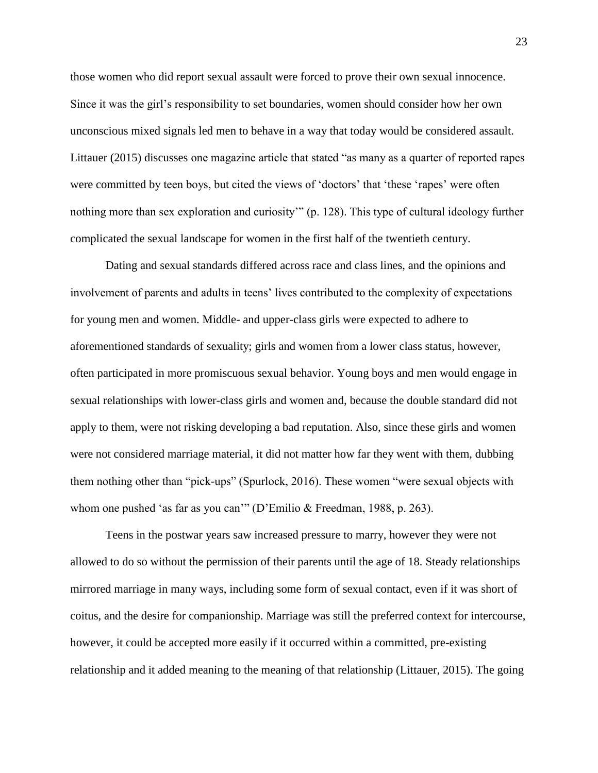those women who did report sexual assault were forced to prove their own sexual innocence. Since it was the girl's responsibility to set boundaries, women should consider how her own unconscious mixed signals led men to behave in a way that today would be considered assault. Littauer (2015) discusses one magazine article that stated "as many as a quarter of reported rapes were committed by teen boys, but cited the views of 'doctors' that 'these 'rapes' were often nothing more than sex exploration and curiosity'" (p. 128). This type of cultural ideology further complicated the sexual landscape for women in the first half of the twentieth century.

Dating and sexual standards differed across race and class lines, and the opinions and involvement of parents and adults in teens' lives contributed to the complexity of expectations for young men and women. Middle- and upper-class girls were expected to adhere to aforementioned standards of sexuality; girls and women from a lower class status, however, often participated in more promiscuous sexual behavior. Young boys and men would engage in sexual relationships with lower-class girls and women and, because the double standard did not apply to them, were not risking developing a bad reputation. Also, since these girls and women were not considered marriage material, it did not matter how far they went with them, dubbing them nothing other than "pick-ups" (Spurlock, 2016). These women "were sexual objects with whom one pushed 'as far as you can'" (D'Emilio & Freedman, 1988, p. 263).

Teens in the postwar years saw increased pressure to marry, however they were not allowed to do so without the permission of their parents until the age of 18. Steady relationships mirrored marriage in many ways, including some form of sexual contact, even if it was short of coitus, and the desire for companionship. Marriage was still the preferred context for intercourse, however, it could be accepted more easily if it occurred within a committed, pre-existing relationship and it added meaning to the meaning of that relationship (Littauer, 2015). The going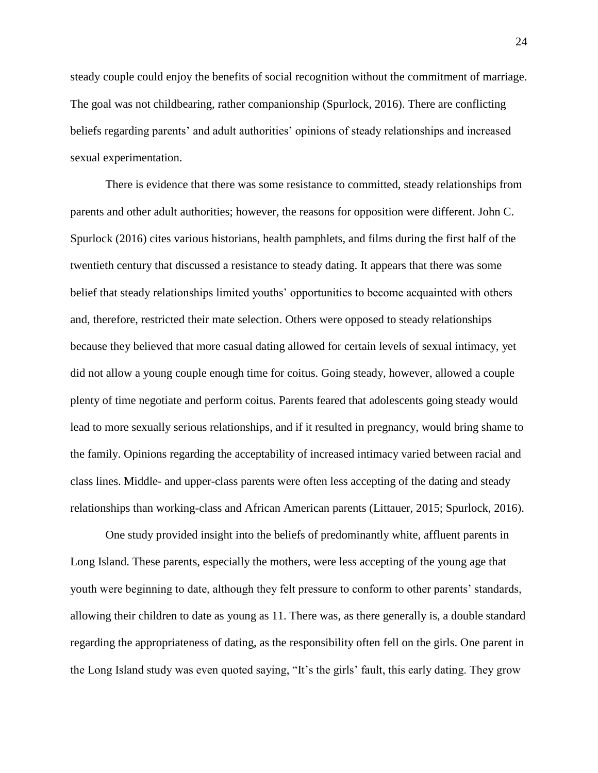steady couple could enjoy the benefits of social recognition without the commitment of marriage. The goal was not childbearing, rather companionship (Spurlock, 2016). There are conflicting beliefs regarding parents' and adult authorities' opinions of steady relationships and increased sexual experimentation.

There is evidence that there was some resistance to committed, steady relationships from parents and other adult authorities; however, the reasons for opposition were different. John C. Spurlock (2016) cites various historians, health pamphlets, and films during the first half of the twentieth century that discussed a resistance to steady dating. It appears that there was some belief that steady relationships limited youths' opportunities to become acquainted with others and, therefore, restricted their mate selection. Others were opposed to steady relationships because they believed that more casual dating allowed for certain levels of sexual intimacy, yet did not allow a young couple enough time for coitus. Going steady, however, allowed a couple plenty of time negotiate and perform coitus. Parents feared that adolescents going steady would lead to more sexually serious relationships, and if it resulted in pregnancy, would bring shame to the family. Opinions regarding the acceptability of increased intimacy varied between racial and class lines. Middle- and upper-class parents were often less accepting of the dating and steady relationships than working-class and African American parents (Littauer, 2015; Spurlock, 2016).

One study provided insight into the beliefs of predominantly white, affluent parents in Long Island. These parents, especially the mothers, were less accepting of the young age that youth were beginning to date, although they felt pressure to conform to other parents' standards, allowing their children to date as young as 11. There was, as there generally is, a double standard regarding the appropriateness of dating, as the responsibility often fell on the girls. One parent in the Long Island study was even quoted saying, "It's the girls' fault, this early dating. They grow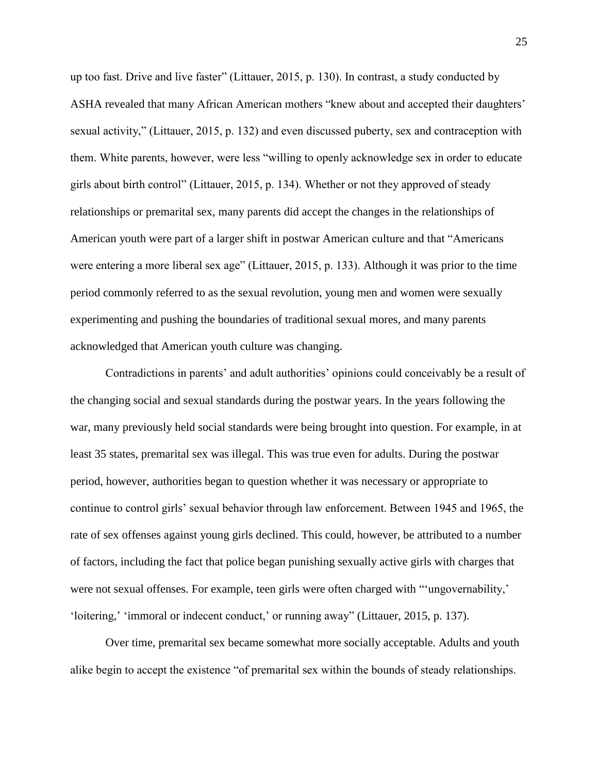up too fast. Drive and live faster" (Littauer, 2015, p. 130). In contrast, a study conducted by ASHA revealed that many African American mothers "knew about and accepted their daughters' sexual activity," (Littauer, 2015, p. 132) and even discussed puberty, sex and contraception with them. White parents, however, were less "willing to openly acknowledge sex in order to educate girls about birth control" (Littauer, 2015, p. 134). Whether or not they approved of steady relationships or premarital sex, many parents did accept the changes in the relationships of American youth were part of a larger shift in postwar American culture and that "Americans were entering a more liberal sex age" (Littauer, 2015, p. 133). Although it was prior to the time period commonly referred to as the sexual revolution, young men and women were sexually experimenting and pushing the boundaries of traditional sexual mores, and many parents acknowledged that American youth culture was changing.

Contradictions in parents' and adult authorities' opinions could conceivably be a result of the changing social and sexual standards during the postwar years. In the years following the war, many previously held social standards were being brought into question. For example, in at least 35 states, premarital sex was illegal. This was true even for adults. During the postwar period, however, authorities began to question whether it was necessary or appropriate to continue to control girls' sexual behavior through law enforcement. Between 1945 and 1965, the rate of sex offenses against young girls declined. This could, however, be attributed to a number of factors, including the fact that police began punishing sexually active girls with charges that were not sexual offenses. For example, teen girls were often charged with "'ungovernability,' 'loitering,' 'immoral or indecent conduct,' or running away" (Littauer, 2015, p. 137).

Over time, premarital sex became somewhat more socially acceptable. Adults and youth alike begin to accept the existence "of premarital sex within the bounds of steady relationships.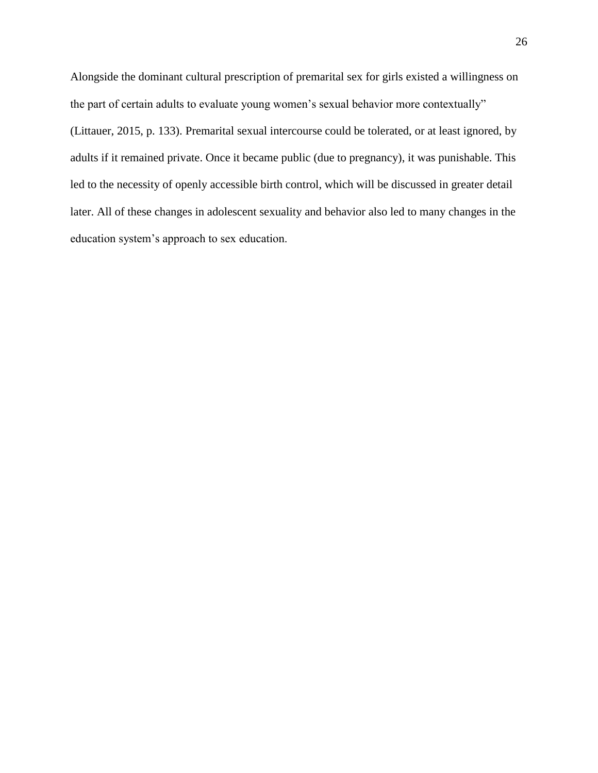Alongside the dominant cultural prescription of premarital sex for girls existed a willingness on the part of certain adults to evaluate young women's sexual behavior more contextually" (Littauer, 2015, p. 133). Premarital sexual intercourse could be tolerated, or at least ignored, by adults if it remained private. Once it became public (due to pregnancy), it was punishable. This led to the necessity of openly accessible birth control, which will be discussed in greater detail later. All of these changes in adolescent sexuality and behavior also led to many changes in the education system's approach to sex education.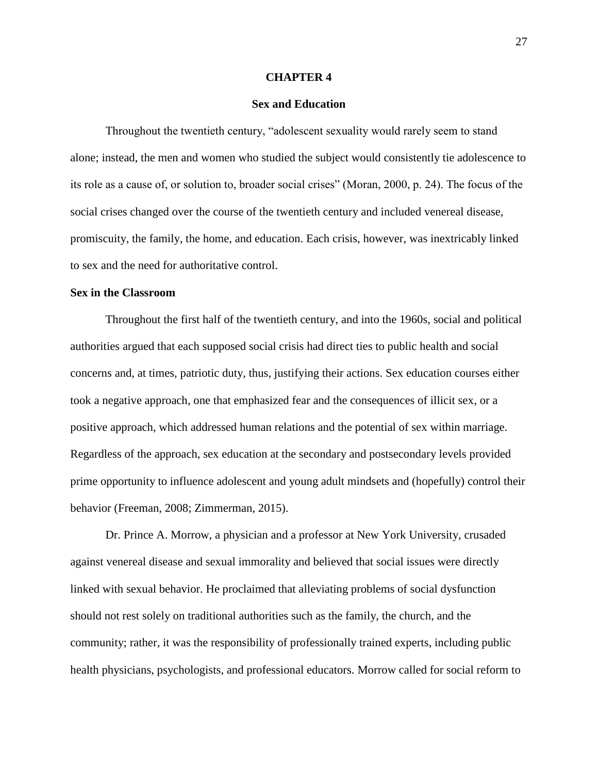#### **CHAPTER 4**

### **Sex and Education**

Throughout the twentieth century, "adolescent sexuality would rarely seem to stand alone; instead, the men and women who studied the subject would consistently tie adolescence to its role as a cause of, or solution to, broader social crises" (Moran, 2000, p. 24). The focus of the social crises changed over the course of the twentieth century and included venereal disease, promiscuity, the family, the home, and education. Each crisis, however, was inextricably linked to sex and the need for authoritative control.

#### **Sex in the Classroom**

Throughout the first half of the twentieth century, and into the 1960s, social and political authorities argued that each supposed social crisis had direct ties to public health and social concerns and, at times, patriotic duty, thus, justifying their actions. Sex education courses either took a negative approach, one that emphasized fear and the consequences of illicit sex, or a positive approach, which addressed human relations and the potential of sex within marriage. Regardless of the approach, sex education at the secondary and postsecondary levels provided prime opportunity to influence adolescent and young adult mindsets and (hopefully) control their behavior (Freeman, 2008; Zimmerman, 2015).

Dr. Prince A. Morrow, a physician and a professor at New York University, crusaded against venereal disease and sexual immorality and believed that social issues were directly linked with sexual behavior. He proclaimed that alleviating problems of social dysfunction should not rest solely on traditional authorities such as the family, the church, and the community; rather, it was the responsibility of professionally trained experts, including public health physicians, psychologists, and professional educators. Morrow called for social reform to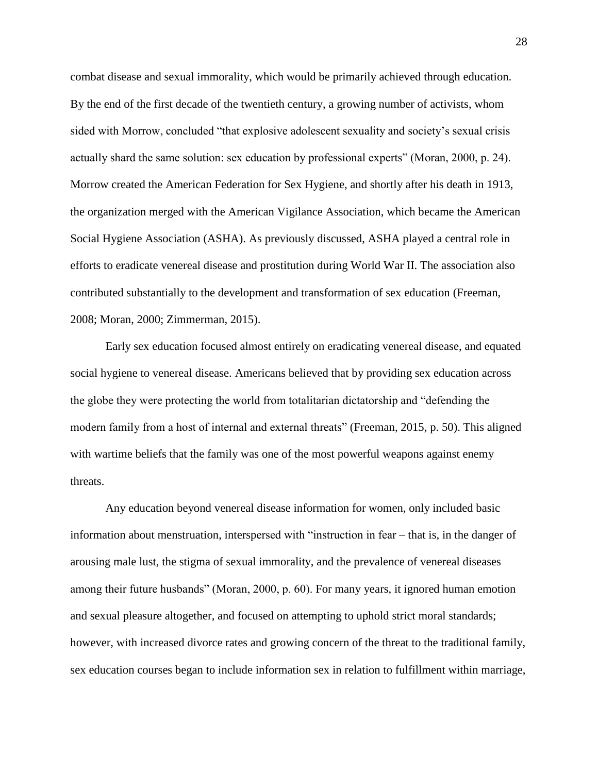combat disease and sexual immorality, which would be primarily achieved through education. By the end of the first decade of the twentieth century, a growing number of activists, whom sided with Morrow, concluded "that explosive adolescent sexuality and society's sexual crisis actually shard the same solution: sex education by professional experts" (Moran, 2000, p. 24). Morrow created the American Federation for Sex Hygiene, and shortly after his death in 1913, the organization merged with the American Vigilance Association, which became the American Social Hygiene Association (ASHA). As previously discussed, ASHA played a central role in efforts to eradicate venereal disease and prostitution during World War II. The association also contributed substantially to the development and transformation of sex education (Freeman, 2008; Moran, 2000; Zimmerman, 2015).

Early sex education focused almost entirely on eradicating venereal disease, and equated social hygiene to venereal disease. Americans believed that by providing sex education across the globe they were protecting the world from totalitarian dictatorship and "defending the modern family from a host of internal and external threats" (Freeman, 2015, p. 50). This aligned with wartime beliefs that the family was one of the most powerful weapons against enemy threats.

Any education beyond venereal disease information for women, only included basic information about menstruation, interspersed with "instruction in fear – that is, in the danger of arousing male lust, the stigma of sexual immorality, and the prevalence of venereal diseases among their future husbands" (Moran, 2000, p. 60). For many years, it ignored human emotion and sexual pleasure altogether, and focused on attempting to uphold strict moral standards; however, with increased divorce rates and growing concern of the threat to the traditional family, sex education courses began to include information sex in relation to fulfillment within marriage,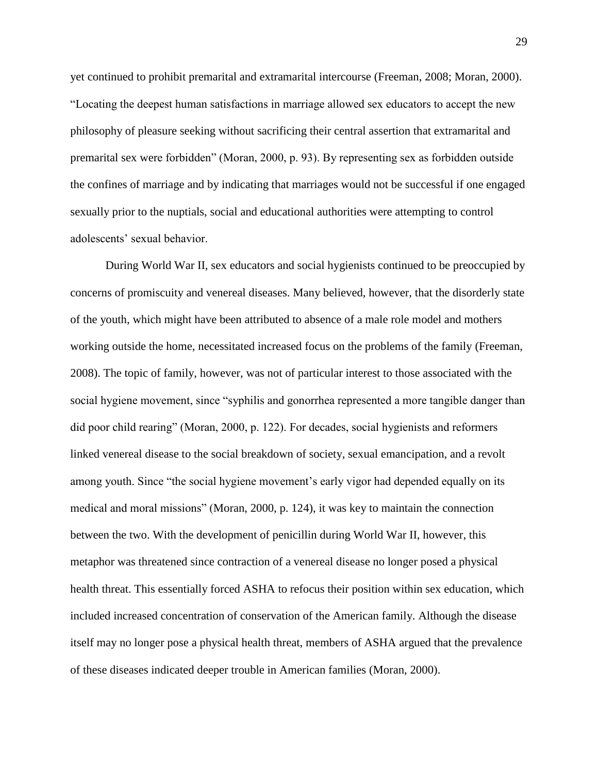yet continued to prohibit premarital and extramarital intercourse (Freeman, 2008; Moran, 2000). "Locating the deepest human satisfactions in marriage allowed sex educators to accept the new philosophy of pleasure seeking without sacrificing their central assertion that extramarital and premarital sex were forbidden" (Moran, 2000, p. 93). By representing sex as forbidden outside the confines of marriage and by indicating that marriages would not be successful if one engaged sexually prior to the nuptials, social and educational authorities were attempting to control adolescents' sexual behavior.

During World War II, sex educators and social hygienists continued to be preoccupied by concerns of promiscuity and venereal diseases. Many believed, however, that the disorderly state of the youth, which might have been attributed to absence of a male role model and mothers working outside the home, necessitated increased focus on the problems of the family (Freeman, 2008). The topic of family, however, was not of particular interest to those associated with the social hygiene movement, since "syphilis and gonorrhea represented a more tangible danger than did poor child rearing" (Moran, 2000, p. 122). For decades, social hygienists and reformers linked venereal disease to the social breakdown of society, sexual emancipation, and a revolt among youth. Since "the social hygiene movement's early vigor had depended equally on its medical and moral missions" (Moran, 2000, p. 124), it was key to maintain the connection between the two. With the development of penicillin during World War II, however, this metaphor was threatened since contraction of a venereal disease no longer posed a physical health threat. This essentially forced ASHA to refocus their position within sex education, which included increased concentration of conservation of the American family. Although the disease itself may no longer pose a physical health threat, members of ASHA argued that the prevalence of these diseases indicated deeper trouble in American families (Moran, 2000).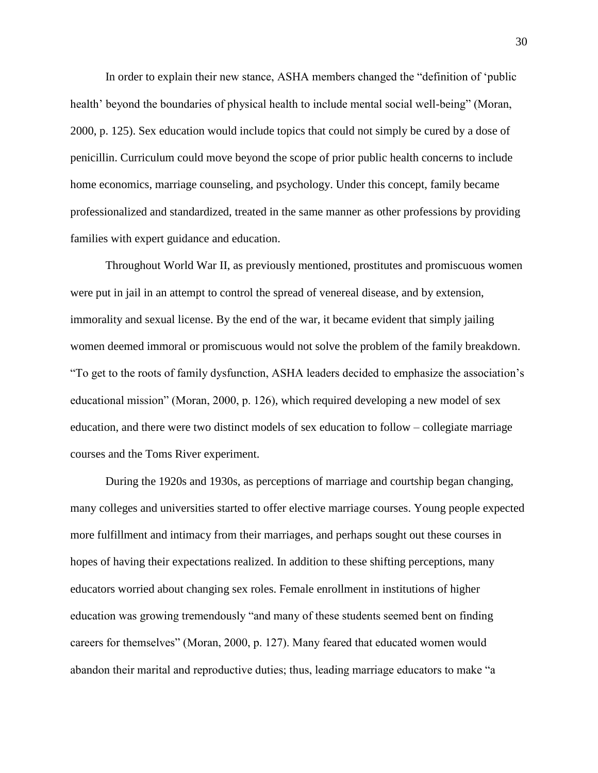In order to explain their new stance, ASHA members changed the "definition of 'public health' beyond the boundaries of physical health to include mental social well-being" (Moran, 2000, p. 125). Sex education would include topics that could not simply be cured by a dose of penicillin. Curriculum could move beyond the scope of prior public health concerns to include home economics, marriage counseling, and psychology. Under this concept, family became professionalized and standardized, treated in the same manner as other professions by providing families with expert guidance and education.

Throughout World War II, as previously mentioned, prostitutes and promiscuous women were put in jail in an attempt to control the spread of venereal disease, and by extension, immorality and sexual license. By the end of the war, it became evident that simply jailing women deemed immoral or promiscuous would not solve the problem of the family breakdown. "To get to the roots of family dysfunction, ASHA leaders decided to emphasize the association's educational mission" (Moran, 2000, p. 126), which required developing a new model of sex education, and there were two distinct models of sex education to follow – collegiate marriage courses and the Toms River experiment.

During the 1920s and 1930s, as perceptions of marriage and courtship began changing, many colleges and universities started to offer elective marriage courses. Young people expected more fulfillment and intimacy from their marriages, and perhaps sought out these courses in hopes of having their expectations realized. In addition to these shifting perceptions, many educators worried about changing sex roles. Female enrollment in institutions of higher education was growing tremendously "and many of these students seemed bent on finding careers for themselves" (Moran, 2000, p. 127). Many feared that educated women would abandon their marital and reproductive duties; thus, leading marriage educators to make "a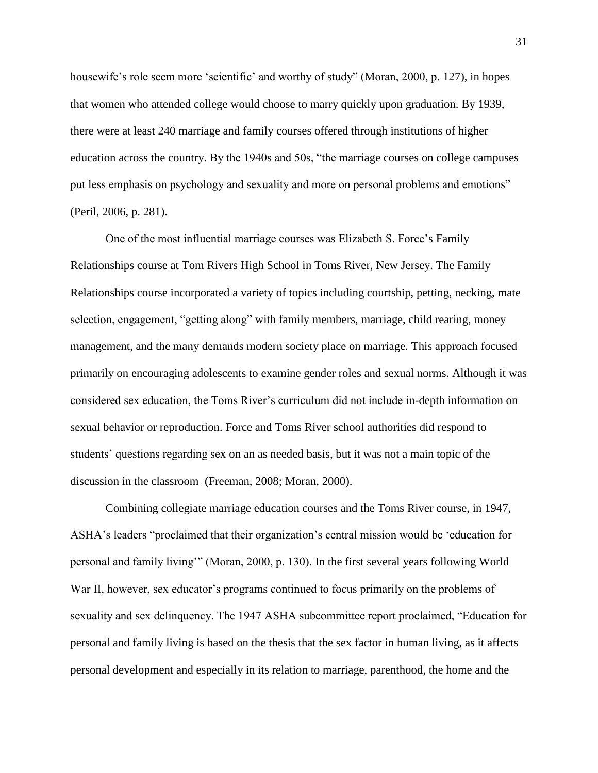housewife's role seem more 'scientific' and worthy of study" (Moran, 2000, p. 127), in hopes that women who attended college would choose to marry quickly upon graduation. By 1939, there were at least 240 marriage and family courses offered through institutions of higher education across the country. By the 1940s and 50s, "the marriage courses on college campuses put less emphasis on psychology and sexuality and more on personal problems and emotions" (Peril, 2006, p. 281).

One of the most influential marriage courses was Elizabeth S. Force's Family Relationships course at Tom Rivers High School in Toms River, New Jersey. The Family Relationships course incorporated a variety of topics including courtship, petting, necking, mate selection, engagement, "getting along" with family members, marriage, child rearing, money management, and the many demands modern society place on marriage. This approach focused primarily on encouraging adolescents to examine gender roles and sexual norms. Although it was considered sex education, the Toms River's curriculum did not include in-depth information on sexual behavior or reproduction. Force and Toms River school authorities did respond to students' questions regarding sex on an as needed basis, but it was not a main topic of the discussion in the classroom (Freeman, 2008; Moran, 2000).

Combining collegiate marriage education courses and the Toms River course, in 1947, ASHA's leaders "proclaimed that their organization's central mission would be 'education for personal and family living'" (Moran, 2000, p. 130). In the first several years following World War II, however, sex educator's programs continued to focus primarily on the problems of sexuality and sex delinquency. The 1947 ASHA subcommittee report proclaimed, "Education for personal and family living is based on the thesis that the sex factor in human living, as it affects personal development and especially in its relation to marriage, parenthood, the home and the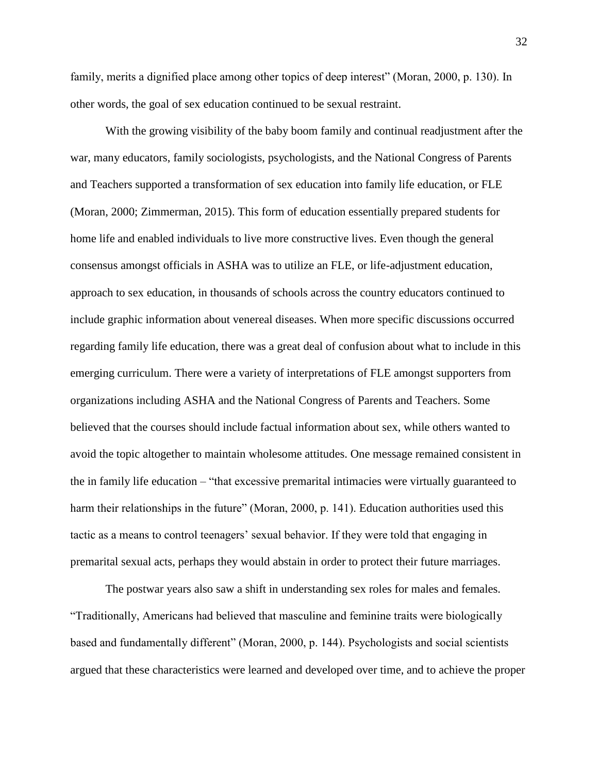family, merits a dignified place among other topics of deep interest" (Moran, 2000, p. 130). In other words, the goal of sex education continued to be sexual restraint.

With the growing visibility of the baby boom family and continual readjustment after the war, many educators, family sociologists, psychologists, and the National Congress of Parents and Teachers supported a transformation of sex education into family life education, or FLE (Moran, 2000; Zimmerman, 2015). This form of education essentially prepared students for home life and enabled individuals to live more constructive lives. Even though the general consensus amongst officials in ASHA was to utilize an FLE, or life-adjustment education, approach to sex education, in thousands of schools across the country educators continued to include graphic information about venereal diseases. When more specific discussions occurred regarding family life education, there was a great deal of confusion about what to include in this emerging curriculum. There were a variety of interpretations of FLE amongst supporters from organizations including ASHA and the National Congress of Parents and Teachers. Some believed that the courses should include factual information about sex, while others wanted to avoid the topic altogether to maintain wholesome attitudes. One message remained consistent in the in family life education – "that excessive premarital intimacies were virtually guaranteed to harm their relationships in the future" (Moran, 2000, p. 141). Education authorities used this tactic as a means to control teenagers' sexual behavior. If they were told that engaging in premarital sexual acts, perhaps they would abstain in order to protect their future marriages.

The postwar years also saw a shift in understanding sex roles for males and females. "Traditionally, Americans had believed that masculine and feminine traits were biologically based and fundamentally different" (Moran, 2000, p. 144). Psychologists and social scientists argued that these characteristics were learned and developed over time, and to achieve the proper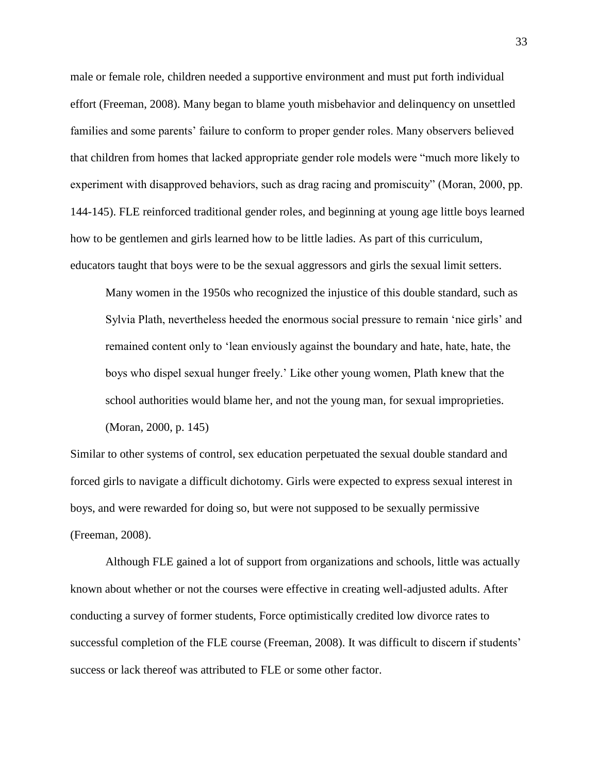male or female role, children needed a supportive environment and must put forth individual effort (Freeman, 2008). Many began to blame youth misbehavior and delinquency on unsettled families and some parents' failure to conform to proper gender roles. Many observers believed that children from homes that lacked appropriate gender role models were "much more likely to experiment with disapproved behaviors, such as drag racing and promiscuity" (Moran, 2000, pp. 144-145). FLE reinforced traditional gender roles, and beginning at young age little boys learned how to be gentlemen and girls learned how to be little ladies. As part of this curriculum, educators taught that boys were to be the sexual aggressors and girls the sexual limit setters.

Many women in the 1950s who recognized the injustice of this double standard, such as Sylvia Plath, nevertheless heeded the enormous social pressure to remain 'nice girls' and remained content only to 'lean enviously against the boundary and hate, hate, hate, the boys who dispel sexual hunger freely.' Like other young women, Plath knew that the school authorities would blame her, and not the young man, for sexual improprieties. (Moran, 2000, p. 145)

Similar to other systems of control, sex education perpetuated the sexual double standard and forced girls to navigate a difficult dichotomy. Girls were expected to express sexual interest in boys, and were rewarded for doing so, but were not supposed to be sexually permissive (Freeman, 2008).

Although FLE gained a lot of support from organizations and schools, little was actually known about whether or not the courses were effective in creating well-adjusted adults. After conducting a survey of former students, Force optimistically credited low divorce rates to successful completion of the FLE course (Freeman, 2008). It was difficult to discern if students' success or lack thereof was attributed to FLE or some other factor.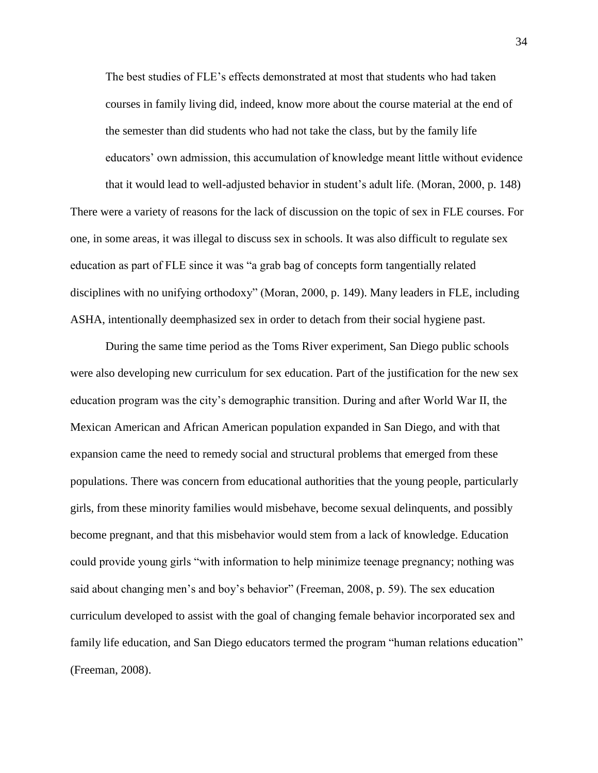The best studies of FLE's effects demonstrated at most that students who had taken courses in family living did, indeed, know more about the course material at the end of the semester than did students who had not take the class, but by the family life educators' own admission, this accumulation of knowledge meant little without evidence that it would lead to well-adjusted behavior in student's adult life. (Moran, 2000, p. 148) There were a variety of reasons for the lack of discussion on the topic of sex in FLE courses. For one, in some areas, it was illegal to discuss sex in schools. It was also difficult to regulate sex

disciplines with no unifying orthodoxy" (Moran, 2000, p. 149). Many leaders in FLE, including ASHA, intentionally deemphasized sex in order to detach from their social hygiene past.

education as part of FLE since it was "a grab bag of concepts form tangentially related

During the same time period as the Toms River experiment, San Diego public schools were also developing new curriculum for sex education. Part of the justification for the new sex education program was the city's demographic transition. During and after World War II, the Mexican American and African American population expanded in San Diego, and with that expansion came the need to remedy social and structural problems that emerged from these populations. There was concern from educational authorities that the young people, particularly girls, from these minority families would misbehave, become sexual delinquents, and possibly become pregnant, and that this misbehavior would stem from a lack of knowledge. Education could provide young girls "with information to help minimize teenage pregnancy; nothing was said about changing men's and boy's behavior" (Freeman, 2008, p. 59). The sex education curriculum developed to assist with the goal of changing female behavior incorporated sex and family life education, and San Diego educators termed the program "human relations education" (Freeman, 2008).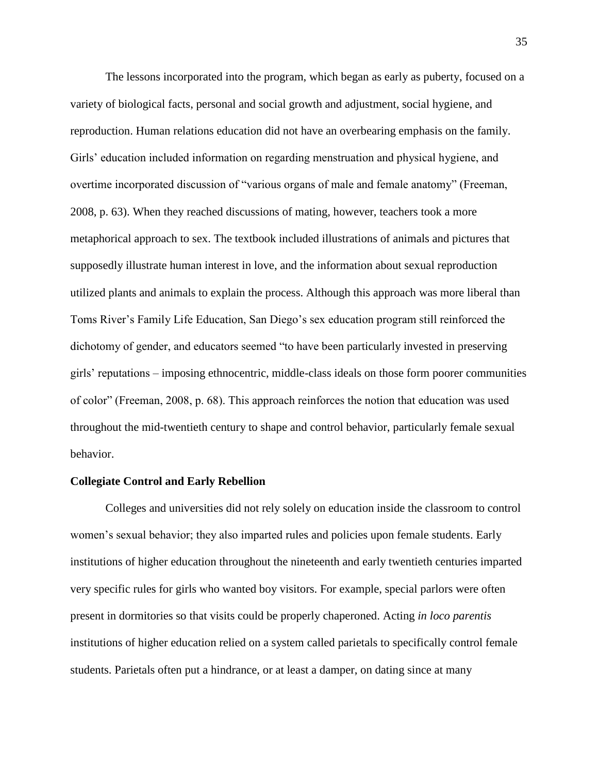The lessons incorporated into the program, which began as early as puberty, focused on a variety of biological facts, personal and social growth and adjustment, social hygiene, and reproduction. Human relations education did not have an overbearing emphasis on the family. Girls' education included information on regarding menstruation and physical hygiene, and overtime incorporated discussion of "various organs of male and female anatomy" (Freeman, 2008, p. 63). When they reached discussions of mating, however, teachers took a more metaphorical approach to sex. The textbook included illustrations of animals and pictures that supposedly illustrate human interest in love, and the information about sexual reproduction utilized plants and animals to explain the process. Although this approach was more liberal than Toms River's Family Life Education, San Diego's sex education program still reinforced the dichotomy of gender, and educators seemed "to have been particularly invested in preserving girls' reputations – imposing ethnocentric, middle-class ideals on those form poorer communities of color" (Freeman, 2008, p. 68). This approach reinforces the notion that education was used throughout the mid-twentieth century to shape and control behavior, particularly female sexual behavior.

### **Collegiate Control and Early Rebellion**

Colleges and universities did not rely solely on education inside the classroom to control women's sexual behavior; they also imparted rules and policies upon female students. Early institutions of higher education throughout the nineteenth and early twentieth centuries imparted very specific rules for girls who wanted boy visitors. For example, special parlors were often present in dormitories so that visits could be properly chaperoned. Acting *in loco parentis* institutions of higher education relied on a system called parietals to specifically control female students. Parietals often put a hindrance, or at least a damper, on dating since at many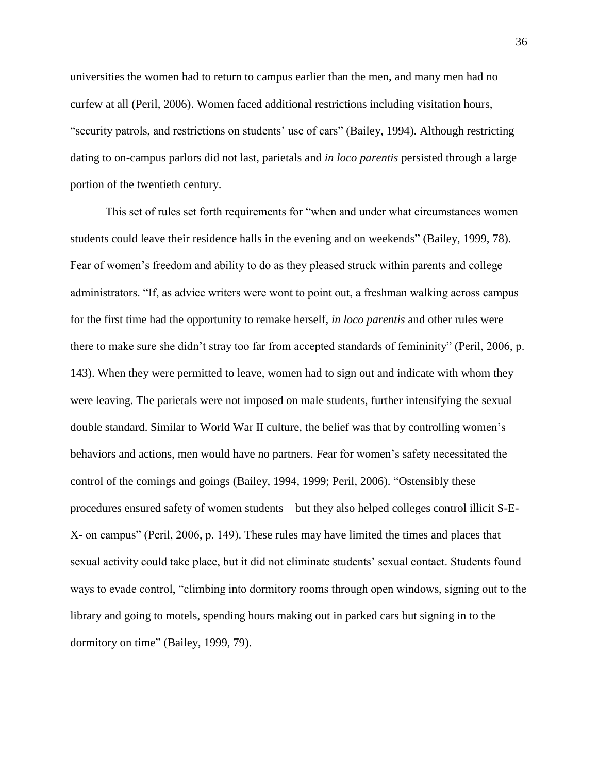universities the women had to return to campus earlier than the men, and many men had no curfew at all (Peril, 2006). Women faced additional restrictions including visitation hours, "security patrols, and restrictions on students' use of cars" (Bailey, 1994). Although restricting dating to on-campus parlors did not last, parietals and *in loco parentis* persisted through a large portion of the twentieth century.

This set of rules set forth requirements for "when and under what circumstances women students could leave their residence halls in the evening and on weekends" (Bailey, 1999, 78). Fear of women's freedom and ability to do as they pleased struck within parents and college administrators. "If, as advice writers were wont to point out, a freshman walking across campus for the first time had the opportunity to remake herself, *in loco parentis* and other rules were there to make sure she didn't stray too far from accepted standards of femininity" (Peril, 2006, p. 143). When they were permitted to leave, women had to sign out and indicate with whom they were leaving. The parietals were not imposed on male students, further intensifying the sexual double standard. Similar to World War II culture, the belief was that by controlling women's behaviors and actions, men would have no partners. Fear for women's safety necessitated the control of the comings and goings (Bailey, 1994, 1999; Peril, 2006). "Ostensibly these procedures ensured safety of women students – but they also helped colleges control illicit S-E-X- on campus" (Peril, 2006, p. 149). These rules may have limited the times and places that sexual activity could take place, but it did not eliminate students' sexual contact. Students found ways to evade control, "climbing into dormitory rooms through open windows, signing out to the library and going to motels, spending hours making out in parked cars but signing in to the dormitory on time" (Bailey, 1999, 79).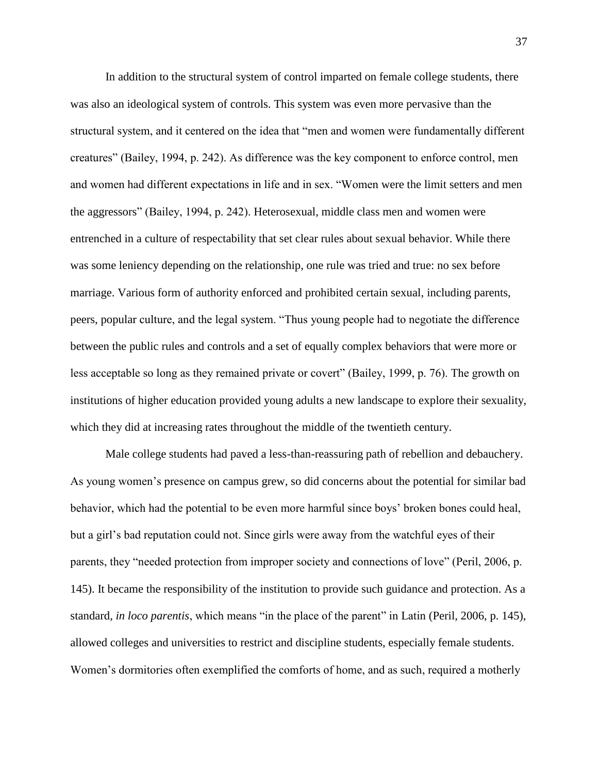In addition to the structural system of control imparted on female college students, there was also an ideological system of controls. This system was even more pervasive than the structural system, and it centered on the idea that "men and women were fundamentally different creatures" (Bailey, 1994, p. 242). As difference was the key component to enforce control, men and women had different expectations in life and in sex. "Women were the limit setters and men the aggressors" (Bailey, 1994, p. 242). Heterosexual, middle class men and women were entrenched in a culture of respectability that set clear rules about sexual behavior. While there was some leniency depending on the relationship, one rule was tried and true: no sex before marriage. Various form of authority enforced and prohibited certain sexual, including parents, peers, popular culture, and the legal system. "Thus young people had to negotiate the difference between the public rules and controls and a set of equally complex behaviors that were more or less acceptable so long as they remained private or covert" (Bailey, 1999, p. 76). The growth on institutions of higher education provided young adults a new landscape to explore their sexuality, which they did at increasing rates throughout the middle of the twentieth century.

Male college students had paved a less-than-reassuring path of rebellion and debauchery. As young women's presence on campus grew, so did concerns about the potential for similar bad behavior, which had the potential to be even more harmful since boys' broken bones could heal, but a girl's bad reputation could not. Since girls were away from the watchful eyes of their parents, they "needed protection from improper society and connections of love" (Peril, 2006, p. 145). It became the responsibility of the institution to provide such guidance and protection. As a standard, *in loco parentis*, which means "in the place of the parent" in Latin (Peril, 2006, p. 145), allowed colleges and universities to restrict and discipline students, especially female students. Women's dormitories often exemplified the comforts of home, and as such, required a motherly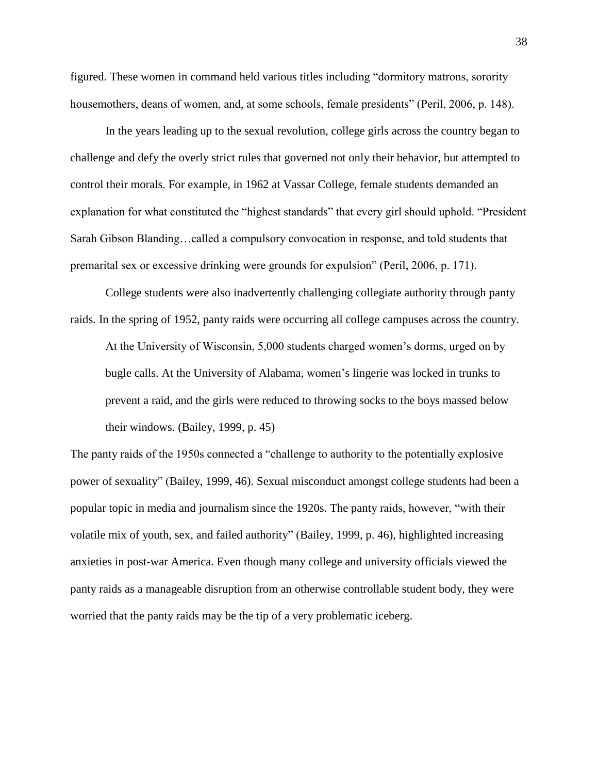figured. These women in command held various titles including "dormitory matrons, sorority housemothers, deans of women, and, at some schools, female presidents" (Peril, 2006, p. 148).

In the years leading up to the sexual revolution, college girls across the country began to challenge and defy the overly strict rules that governed not only their behavior, but attempted to control their morals. For example, in 1962 at Vassar College, female students demanded an explanation for what constituted the "highest standards" that every girl should uphold. "President Sarah Gibson Blanding…called a compulsory convocation in response, and told students that premarital sex or excessive drinking were grounds for expulsion" (Peril, 2006, p. 171).

College students were also inadvertently challenging collegiate authority through panty raids. In the spring of 1952, panty raids were occurring all college campuses across the country. At the University of Wisconsin, 5,000 students charged women's dorms, urged on by bugle calls. At the University of Alabama, women's lingerie was locked in trunks to prevent a raid, and the girls were reduced to throwing socks to the boys massed below their windows. (Bailey, 1999, p. 45)

The panty raids of the 1950s connected a "challenge to authority to the potentially explosive power of sexuality" (Bailey, 1999, 46). Sexual misconduct amongst college students had been a popular topic in media and journalism since the 1920s. The panty raids, however, "with their volatile mix of youth, sex, and failed authority" (Bailey, 1999, p. 46), highlighted increasing anxieties in post-war America. Even though many college and university officials viewed the panty raids as a manageable disruption from an otherwise controllable student body, they were worried that the panty raids may be the tip of a very problematic iceberg.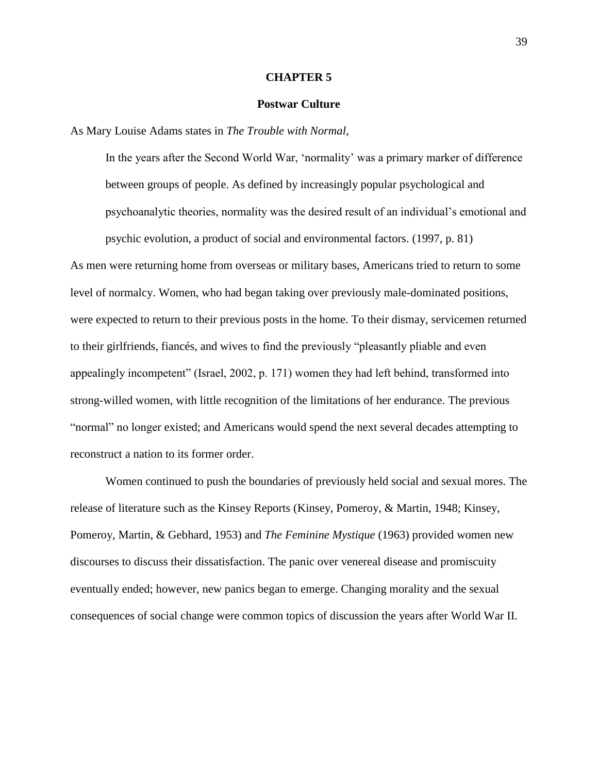### **CHAPTER 5**

### **Postwar Culture**

As Mary Louise Adams states in *The Trouble with Normal*,

In the years after the Second World War, 'normality' was a primary marker of difference between groups of people. As defined by increasingly popular psychological and psychoanalytic theories, normality was the desired result of an individual's emotional and psychic evolution, a product of social and environmental factors. (1997, p. 81)

As men were returning home from overseas or military bases, Americans tried to return to some level of normalcy. Women, who had began taking over previously male-dominated positions, were expected to return to their previous posts in the home. To their dismay, servicemen returned to their girlfriends, fiancés, and wives to find the previously "pleasantly pliable and even appealingly incompetent" (Israel, 2002, p. 171) women they had left behind, transformed into strong-willed women, with little recognition of the limitations of her endurance. The previous "normal" no longer existed; and Americans would spend the next several decades attempting to reconstruct a nation to its former order.

Women continued to push the boundaries of previously held social and sexual mores. The release of literature such as the Kinsey Reports (Kinsey, Pomeroy, & Martin, 1948; Kinsey, Pomeroy, Martin, & Gebhard, 1953) and *The Feminine Mystique* (1963) provided women new discourses to discuss their dissatisfaction. The panic over venereal disease and promiscuity eventually ended; however, new panics began to emerge. Changing morality and the sexual consequences of social change were common topics of discussion the years after World War II.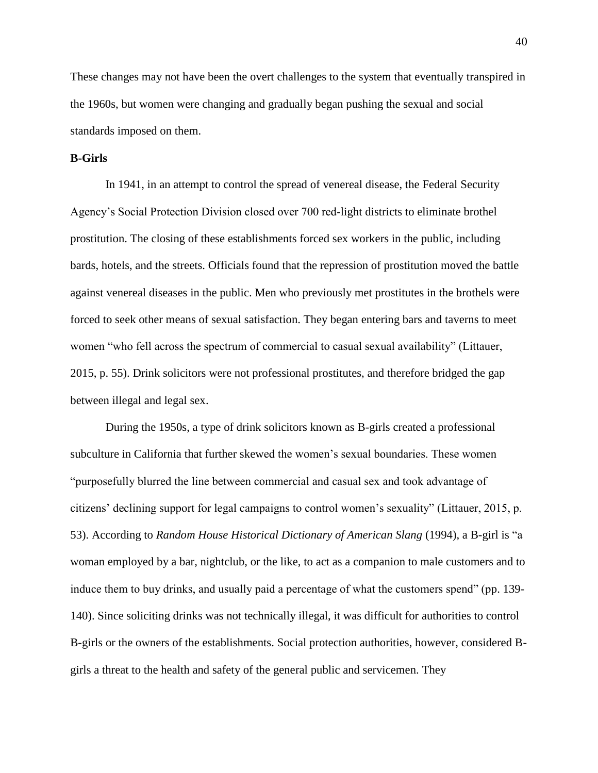These changes may not have been the overt challenges to the system that eventually transpired in the 1960s, but women were changing and gradually began pushing the sexual and social standards imposed on them.

# **B-Girls**

In 1941, in an attempt to control the spread of venereal disease, the Federal Security Agency's Social Protection Division closed over 700 red-light districts to eliminate brothel prostitution. The closing of these establishments forced sex workers in the public, including bards, hotels, and the streets. Officials found that the repression of prostitution moved the battle against venereal diseases in the public. Men who previously met prostitutes in the brothels were forced to seek other means of sexual satisfaction. They began entering bars and taverns to meet women "who fell across the spectrum of commercial to casual sexual availability" (Littauer, 2015, p. 55). Drink solicitors were not professional prostitutes, and therefore bridged the gap between illegal and legal sex.

During the 1950s, a type of drink solicitors known as B-girls created a professional subculture in California that further skewed the women's sexual boundaries. These women "purposefully blurred the line between commercial and casual sex and took advantage of citizens' declining support for legal campaigns to control women's sexuality" (Littauer, 2015, p. 53). According to *Random House Historical Dictionary of American Slang* (1994), a B-girl is "a woman employed by a bar, nightclub, or the like, to act as a companion to male customers and to induce them to buy drinks, and usually paid a percentage of what the customers spend" (pp. 139- 140). Since soliciting drinks was not technically illegal, it was difficult for authorities to control B-girls or the owners of the establishments. Social protection authorities, however, considered Bgirls a threat to the health and safety of the general public and servicemen. They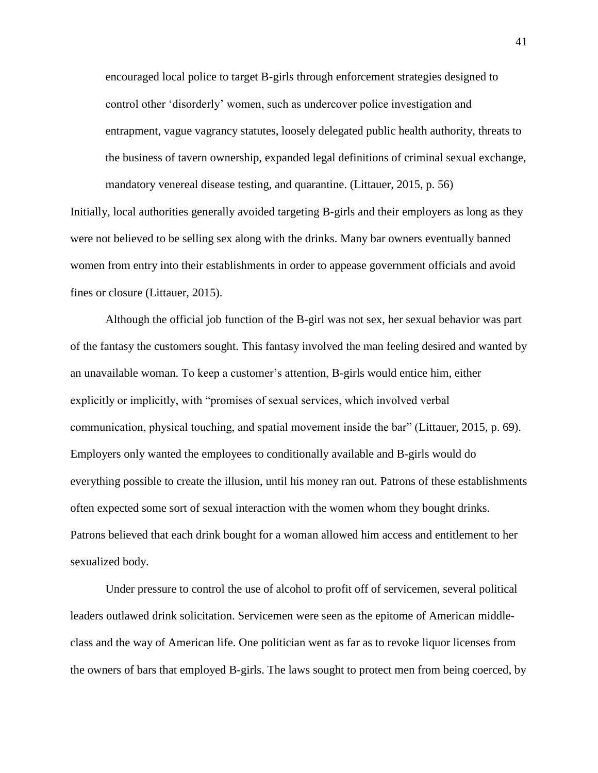encouraged local police to target B-girls through enforcement strategies designed to control other 'disorderly' women, such as undercover police investigation and entrapment, vague vagrancy statutes, loosely delegated public health authority, threats to the business of tavern ownership, expanded legal definitions of criminal sexual exchange, mandatory venereal disease testing, and quarantine. (Littauer, 2015, p. 56)

Initially, local authorities generally avoided targeting B-girls and their employers as long as they were not believed to be selling sex along with the drinks. Many bar owners eventually banned women from entry into their establishments in order to appease government officials and avoid fines or closure (Littauer, 2015).

Although the official job function of the B-girl was not sex, her sexual behavior was part of the fantasy the customers sought. This fantasy involved the man feeling desired and wanted by an unavailable woman. To keep a customer's attention, B-girls would entice him, either explicitly or implicitly, with "promises of sexual services, which involved verbal communication, physical touching, and spatial movement inside the bar" (Littauer, 2015, p. 69). Employers only wanted the employees to conditionally available and B-girls would do everything possible to create the illusion, until his money ran out. Patrons of these establishments often expected some sort of sexual interaction with the women whom they bought drinks. Patrons believed that each drink bought for a woman allowed him access and entitlement to her sexualized body.

Under pressure to control the use of alcohol to profit off of servicemen, several political leaders outlawed drink solicitation. Servicemen were seen as the epitome of American middleclass and the way of American life. One politician went as far as to revoke liquor licenses from the owners of bars that employed B-girls. The laws sought to protect men from being coerced, by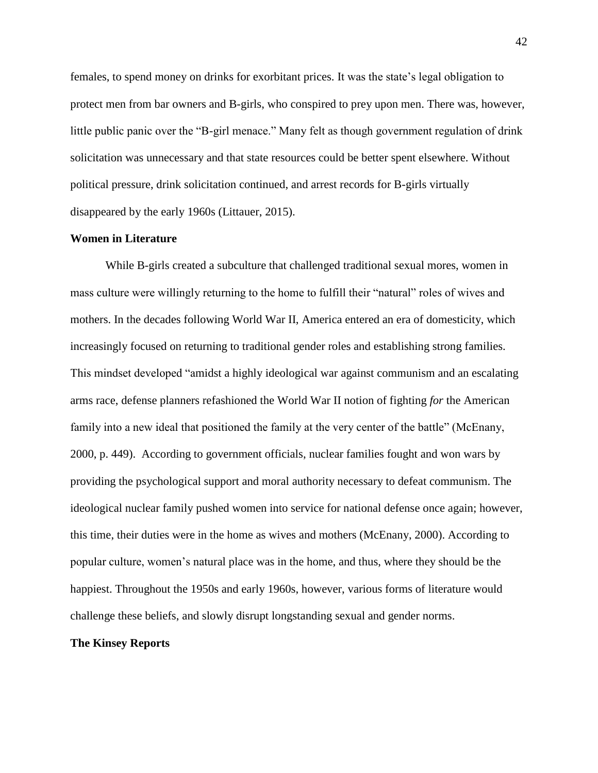females, to spend money on drinks for exorbitant prices. It was the state's legal obligation to protect men from bar owners and B-girls, who conspired to prey upon men. There was, however, little public panic over the "B-girl menace." Many felt as though government regulation of drink solicitation was unnecessary and that state resources could be better spent elsewhere. Without political pressure, drink solicitation continued, and arrest records for B-girls virtually disappeared by the early 1960s (Littauer, 2015).

# **Women in Literature**

While B-girls created a subculture that challenged traditional sexual mores, women in mass culture were willingly returning to the home to fulfill their "natural" roles of wives and mothers. In the decades following World War II, America entered an era of domesticity, which increasingly focused on returning to traditional gender roles and establishing strong families. This mindset developed "amidst a highly ideological war against communism and an escalating arms race, defense planners refashioned the World War II notion of fighting *for* the American family into a new ideal that positioned the family at the very center of the battle" (McEnany, 2000, p. 449). According to government officials, nuclear families fought and won wars by providing the psychological support and moral authority necessary to defeat communism. The ideological nuclear family pushed women into service for national defense once again; however, this time, their duties were in the home as wives and mothers (McEnany, 2000). According to popular culture, women's natural place was in the home, and thus, where they should be the happiest. Throughout the 1950s and early 1960s, however, various forms of literature would challenge these beliefs, and slowly disrupt longstanding sexual and gender norms.

# **The Kinsey Reports**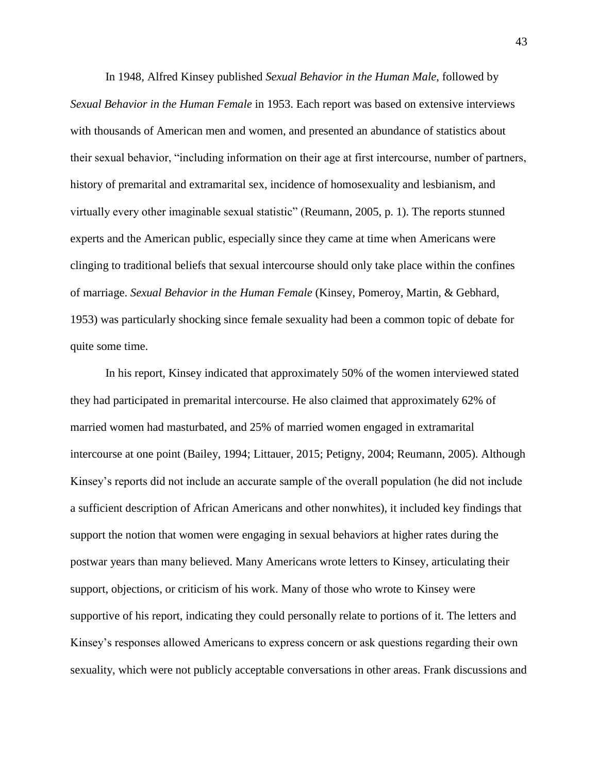In 1948, Alfred Kinsey published *Sexual Behavior in the Human Male*, followed by *Sexual Behavior in the Human Female* in 1953. Each report was based on extensive interviews with thousands of American men and women, and presented an abundance of statistics about their sexual behavior, "including information on their age at first intercourse, number of partners, history of premarital and extramarital sex, incidence of homosexuality and lesbianism, and virtually every other imaginable sexual statistic" (Reumann, 2005, p. 1). The reports stunned experts and the American public, especially since they came at time when Americans were clinging to traditional beliefs that sexual intercourse should only take place within the confines of marriage. *Sexual Behavior in the Human Female* (Kinsey, Pomeroy, Martin, & Gebhard, 1953) was particularly shocking since female sexuality had been a common topic of debate for quite some time.

In his report, Kinsey indicated that approximately 50% of the women interviewed stated they had participated in premarital intercourse. He also claimed that approximately 62% of married women had masturbated, and 25% of married women engaged in extramarital intercourse at one point (Bailey, 1994; Littauer, 2015; Petigny, 2004; Reumann, 2005). Although Kinsey's reports did not include an accurate sample of the overall population (he did not include a sufficient description of African Americans and other nonwhites), it included key findings that support the notion that women were engaging in sexual behaviors at higher rates during the postwar years than many believed. Many Americans wrote letters to Kinsey, articulating their support, objections, or criticism of his work. Many of those who wrote to Kinsey were supportive of his report, indicating they could personally relate to portions of it. The letters and Kinsey's responses allowed Americans to express concern or ask questions regarding their own sexuality, which were not publicly acceptable conversations in other areas. Frank discussions and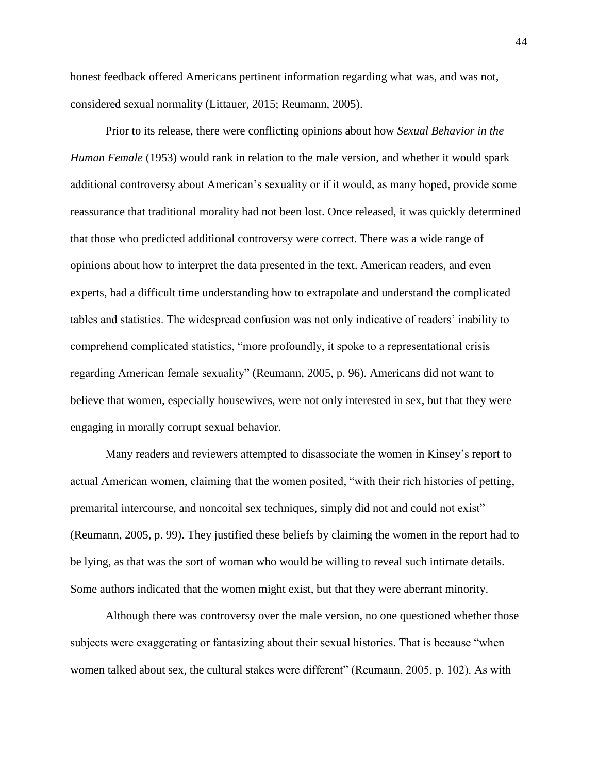honest feedback offered Americans pertinent information regarding what was, and was not, considered sexual normality (Littauer, 2015; Reumann, 2005).

Prior to its release, there were conflicting opinions about how *Sexual Behavior in the Human Female* (1953) would rank in relation to the male version, and whether it would spark additional controversy about American's sexuality or if it would, as many hoped, provide some reassurance that traditional morality had not been lost. Once released, it was quickly determined that those who predicted additional controversy were correct. There was a wide range of opinions about how to interpret the data presented in the text. American readers, and even experts, had a difficult time understanding how to extrapolate and understand the complicated tables and statistics. The widespread confusion was not only indicative of readers' inability to comprehend complicated statistics, "more profoundly, it spoke to a representational crisis regarding American female sexuality" (Reumann, 2005, p. 96). Americans did not want to believe that women, especially housewives, were not only interested in sex, but that they were engaging in morally corrupt sexual behavior.

Many readers and reviewers attempted to disassociate the women in Kinsey's report to actual American women, claiming that the women posited, "with their rich histories of petting, premarital intercourse, and noncoital sex techniques, simply did not and could not exist" (Reumann, 2005, p. 99). They justified these beliefs by claiming the women in the report had to be lying, as that was the sort of woman who would be willing to reveal such intimate details. Some authors indicated that the women might exist, but that they were aberrant minority.

Although there was controversy over the male version, no one questioned whether those subjects were exaggerating or fantasizing about their sexual histories. That is because "when women talked about sex, the cultural stakes were different" (Reumann, 2005, p. 102). As with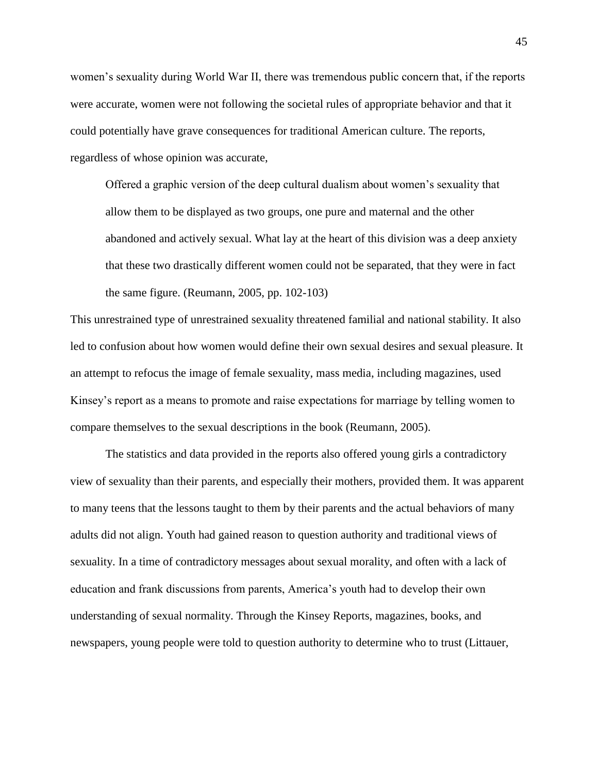women's sexuality during World War II, there was tremendous public concern that, if the reports were accurate, women were not following the societal rules of appropriate behavior and that it could potentially have grave consequences for traditional American culture. The reports, regardless of whose opinion was accurate,

Offered a graphic version of the deep cultural dualism about women's sexuality that allow them to be displayed as two groups, one pure and maternal and the other abandoned and actively sexual. What lay at the heart of this division was a deep anxiety that these two drastically different women could not be separated, that they were in fact the same figure. (Reumann, 2005, pp. 102-103)

This unrestrained type of unrestrained sexuality threatened familial and national stability. It also led to confusion about how women would define their own sexual desires and sexual pleasure. It an attempt to refocus the image of female sexuality, mass media, including magazines, used Kinsey's report as a means to promote and raise expectations for marriage by telling women to compare themselves to the sexual descriptions in the book (Reumann, 2005).

The statistics and data provided in the reports also offered young girls a contradictory view of sexuality than their parents, and especially their mothers, provided them. It was apparent to many teens that the lessons taught to them by their parents and the actual behaviors of many adults did not align. Youth had gained reason to question authority and traditional views of sexuality. In a time of contradictory messages about sexual morality, and often with a lack of education and frank discussions from parents, America's youth had to develop their own understanding of sexual normality. Through the Kinsey Reports, magazines, books, and newspapers, young people were told to question authority to determine who to trust (Littauer,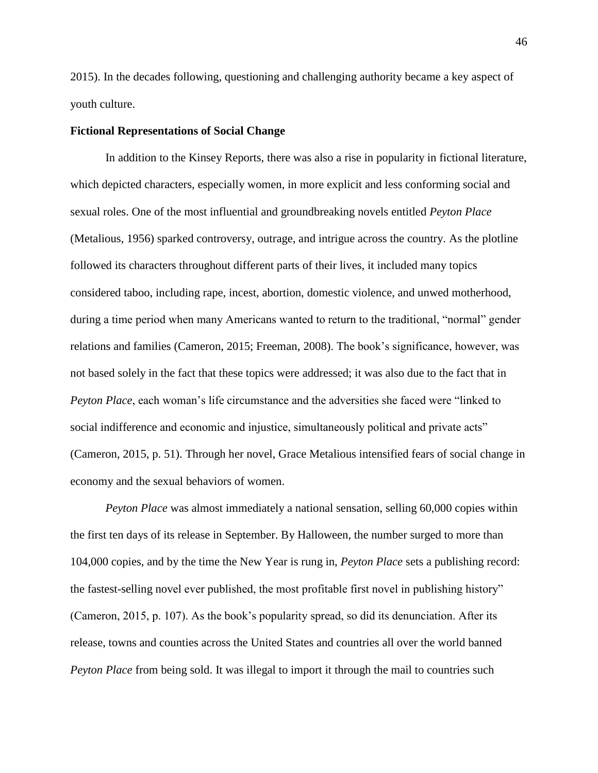2015). In the decades following, questioning and challenging authority became a key aspect of youth culture.

# **Fictional Representations of Social Change**

In addition to the Kinsey Reports, there was also a rise in popularity in fictional literature, which depicted characters, especially women, in more explicit and less conforming social and sexual roles. One of the most influential and groundbreaking novels entitled *Peyton Place* (Metalious, 1956) sparked controversy, outrage, and intrigue across the country. As the plotline followed its characters throughout different parts of their lives, it included many topics considered taboo, including rape, incest, abortion, domestic violence, and unwed motherhood, during a time period when many Americans wanted to return to the traditional, "normal" gender relations and families (Cameron, 2015; Freeman, 2008). The book's significance, however, was not based solely in the fact that these topics were addressed; it was also due to the fact that in *Peyton Place*, each woman's life circumstance and the adversities she faced were "linked to social indifference and economic and injustice, simultaneously political and private acts" (Cameron, 2015, p. 51). Through her novel, Grace Metalious intensified fears of social change in economy and the sexual behaviors of women.

*Peyton Place* was almost immediately a national sensation, selling 60,000 copies within the first ten days of its release in September. By Halloween, the number surged to more than 104,000 copies, and by the time the New Year is rung in, *Peyton Place* sets a publishing record: the fastest-selling novel ever published, the most profitable first novel in publishing history" (Cameron, 2015, p. 107). As the book's popularity spread, so did its denunciation. After its release, towns and counties across the United States and countries all over the world banned *Peyton Place* from being sold. It was illegal to import it through the mail to countries such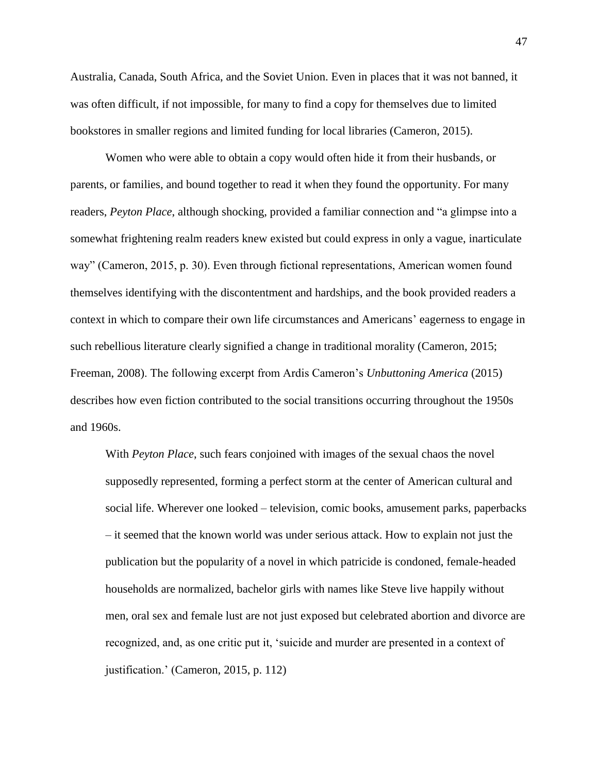Australia, Canada, South Africa, and the Soviet Union. Even in places that it was not banned, it was often difficult, if not impossible, for many to find a copy for themselves due to limited bookstores in smaller regions and limited funding for local libraries (Cameron, 2015).

Women who were able to obtain a copy would often hide it from their husbands, or parents, or families, and bound together to read it when they found the opportunity. For many readers, *Peyton Place*, although shocking, provided a familiar connection and "a glimpse into a somewhat frightening realm readers knew existed but could express in only a vague, inarticulate way" (Cameron, 2015, p. 30). Even through fictional representations, American women found themselves identifying with the discontentment and hardships, and the book provided readers a context in which to compare their own life circumstances and Americans' eagerness to engage in such rebellious literature clearly signified a change in traditional morality (Cameron, 2015; Freeman, 2008). The following excerpt from Ardis Cameron's *Unbuttoning America* (2015) describes how even fiction contributed to the social transitions occurring throughout the 1950s and 1960s.

With *Peyton Place*, such fears conjoined with images of the sexual chaos the novel supposedly represented, forming a perfect storm at the center of American cultural and social life. Wherever one looked – television, comic books, amusement parks, paperbacks – it seemed that the known world was under serious attack. How to explain not just the publication but the popularity of a novel in which patricide is condoned, female-headed households are normalized, bachelor girls with names like Steve live happily without men, oral sex and female lust are not just exposed but celebrated abortion and divorce are recognized, and, as one critic put it, 'suicide and murder are presented in a context of justification.' (Cameron, 2015, p. 112)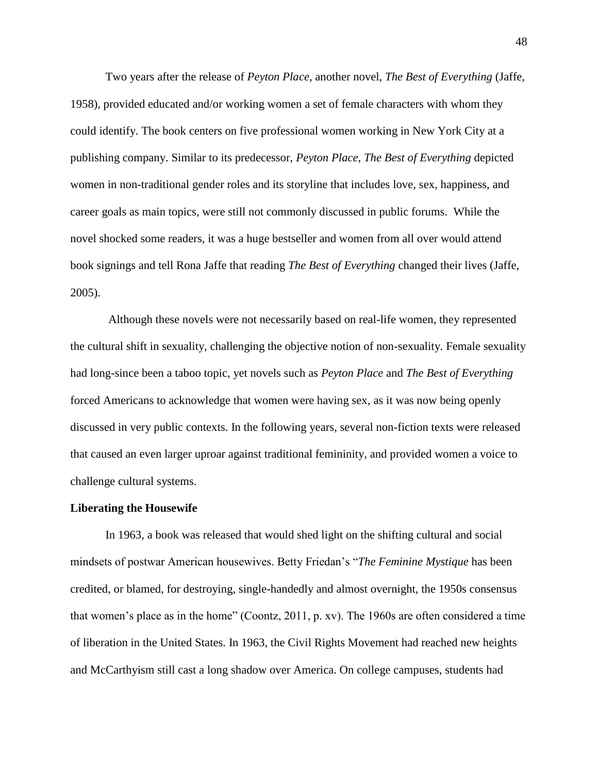Two years after the release of *Peyton Place*, another novel, *The Best of Everything* (Jaffe, 1958), provided educated and/or working women a set of female characters with whom they could identify. The book centers on five professional women working in New York City at a publishing company. Similar to its predecessor, *Peyton Place*, *The Best of Everything* depicted women in non-traditional gender roles and its storyline that includes love, sex, happiness, and career goals as main topics, were still not commonly discussed in public forums. While the novel shocked some readers, it was a huge bestseller and women from all over would attend book signings and tell Rona Jaffe that reading *The Best of Everything* changed their lives (Jaffe, 2005).

Although these novels were not necessarily based on real-life women, they represented the cultural shift in sexuality, challenging the objective notion of non-sexuality. Female sexuality had long-since been a taboo topic, yet novels such as *Peyton Place* and *The Best of Everything* forced Americans to acknowledge that women were having sex, as it was now being openly discussed in very public contexts. In the following years, several non-fiction texts were released that caused an even larger uproar against traditional femininity, and provided women a voice to challenge cultural systems.

#### **Liberating the Housewife**

In 1963, a book was released that would shed light on the shifting cultural and social mindsets of postwar American housewives. Betty Friedan's "*The Feminine Mystique* has been credited, or blamed, for destroying, single-handedly and almost overnight, the 1950s consensus that women's place as in the home" (Coontz, 2011, p. xv). The 1960s are often considered a time of liberation in the United States. In 1963, the Civil Rights Movement had reached new heights and McCarthyism still cast a long shadow over America. On college campuses, students had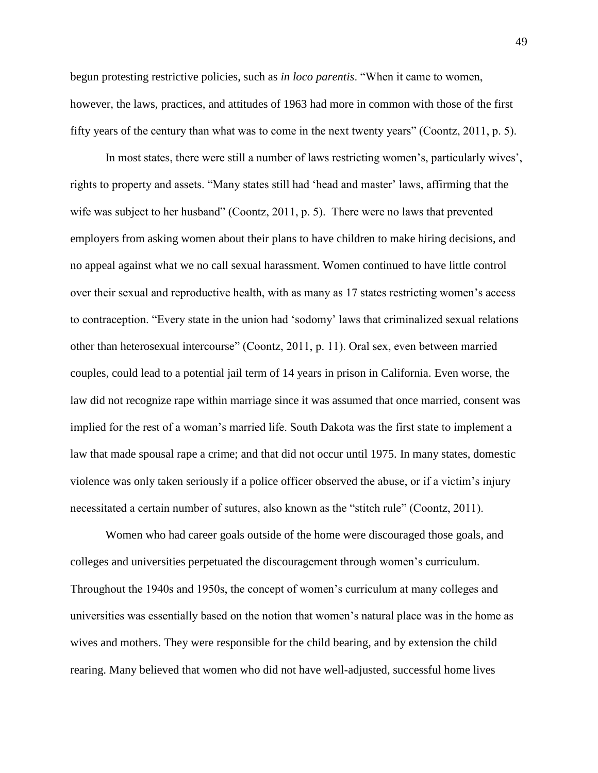begun protesting restrictive policies, such as *in loco parentis*. "When it came to women, however, the laws, practices, and attitudes of 1963 had more in common with those of the first fifty years of the century than what was to come in the next twenty years" (Coontz, 2011, p. 5).

In most states, there were still a number of laws restricting women's, particularly wives', rights to property and assets. "Many states still had 'head and master' laws, affirming that the wife was subject to her husband" (Coontz, 2011, p. 5). There were no laws that prevented employers from asking women about their plans to have children to make hiring decisions, and no appeal against what we no call sexual harassment. Women continued to have little control over their sexual and reproductive health, with as many as 17 states restricting women's access to contraception. "Every state in the union had 'sodomy' laws that criminalized sexual relations other than heterosexual intercourse" (Coontz, 2011, p. 11). Oral sex, even between married couples, could lead to a potential jail term of 14 years in prison in California. Even worse, the law did not recognize rape within marriage since it was assumed that once married, consent was implied for the rest of a woman's married life. South Dakota was the first state to implement a law that made spousal rape a crime; and that did not occur until 1975. In many states, domestic violence was only taken seriously if a police officer observed the abuse, or if a victim's injury necessitated a certain number of sutures, also known as the "stitch rule" (Coontz, 2011).

Women who had career goals outside of the home were discouraged those goals, and colleges and universities perpetuated the discouragement through women's curriculum. Throughout the 1940s and 1950s, the concept of women's curriculum at many colleges and universities was essentially based on the notion that women's natural place was in the home as wives and mothers. They were responsible for the child bearing, and by extension the child rearing. Many believed that women who did not have well-adjusted, successful home lives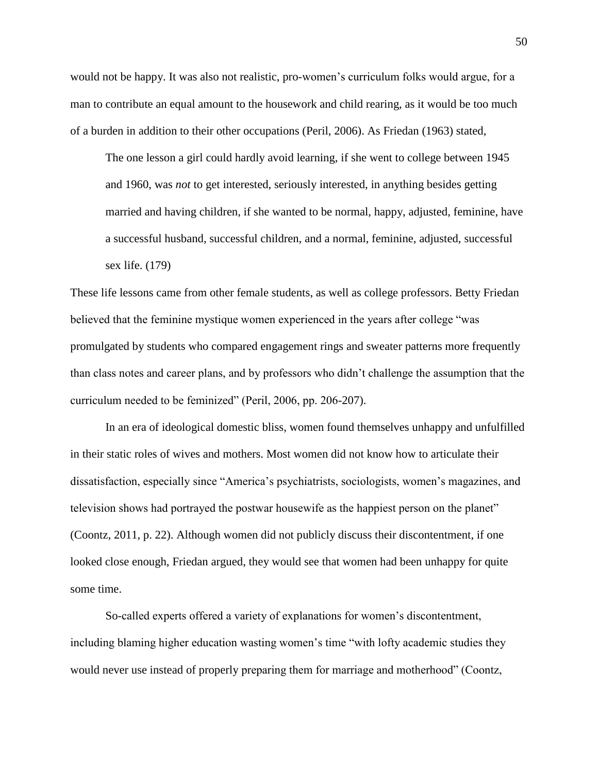would not be happy. It was also not realistic, pro-women's curriculum folks would argue, for a man to contribute an equal amount to the housework and child rearing, as it would be too much of a burden in addition to their other occupations (Peril, 2006). As Friedan (1963) stated,

The one lesson a girl could hardly avoid learning, if she went to college between 1945 and 1960, was *not* to get interested, seriously interested, in anything besides getting married and having children, if she wanted to be normal, happy, adjusted, feminine, have a successful husband, successful children, and a normal, feminine, adjusted, successful sex life. (179)

These life lessons came from other female students, as well as college professors. Betty Friedan believed that the feminine mystique women experienced in the years after college "was promulgated by students who compared engagement rings and sweater patterns more frequently than class notes and career plans, and by professors who didn't challenge the assumption that the curriculum needed to be feminized" (Peril, 2006, pp. 206-207).

In an era of ideological domestic bliss, women found themselves unhappy and unfulfilled in their static roles of wives and mothers. Most women did not know how to articulate their dissatisfaction, especially since "America's psychiatrists, sociologists, women's magazines, and television shows had portrayed the postwar housewife as the happiest person on the planet" (Coontz, 2011, p. 22). Although women did not publicly discuss their discontentment, if one looked close enough, Friedan argued, they would see that women had been unhappy for quite some time.

So-called experts offered a variety of explanations for women's discontentment, including blaming higher education wasting women's time "with lofty academic studies they would never use instead of properly preparing them for marriage and motherhood" (Coontz,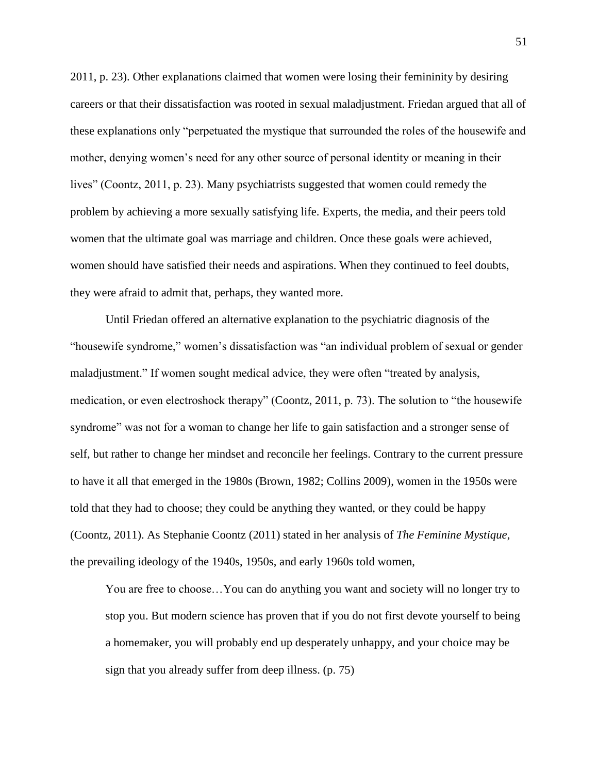2011, p. 23). Other explanations claimed that women were losing their femininity by desiring careers or that their dissatisfaction was rooted in sexual maladjustment. Friedan argued that all of these explanations only "perpetuated the mystique that surrounded the roles of the housewife and mother, denying women's need for any other source of personal identity or meaning in their lives" (Coontz, 2011, p. 23). Many psychiatrists suggested that women could remedy the problem by achieving a more sexually satisfying life. Experts, the media, and their peers told women that the ultimate goal was marriage and children. Once these goals were achieved, women should have satisfied their needs and aspirations. When they continued to feel doubts, they were afraid to admit that, perhaps, they wanted more.

Until Friedan offered an alternative explanation to the psychiatric diagnosis of the "housewife syndrome," women's dissatisfaction was "an individual problem of sexual or gender maladjustment." If women sought medical advice, they were often "treated by analysis, medication, or even electroshock therapy" (Coontz, 2011, p. 73). The solution to "the housewife syndrome" was not for a woman to change her life to gain satisfaction and a stronger sense of self, but rather to change her mindset and reconcile her feelings. Contrary to the current pressure to have it all that emerged in the 1980s (Brown, 1982; Collins 2009), women in the 1950s were told that they had to choose; they could be anything they wanted, or they could be happy (Coontz, 2011). As Stephanie Coontz (2011) stated in her analysis of *The Feminine Mystique*, the prevailing ideology of the 1940s, 1950s, and early 1960s told women,

You are free to choose…You can do anything you want and society will no longer try to stop you. But modern science has proven that if you do not first devote yourself to being a homemaker, you will probably end up desperately unhappy, and your choice may be sign that you already suffer from deep illness. (p. 75)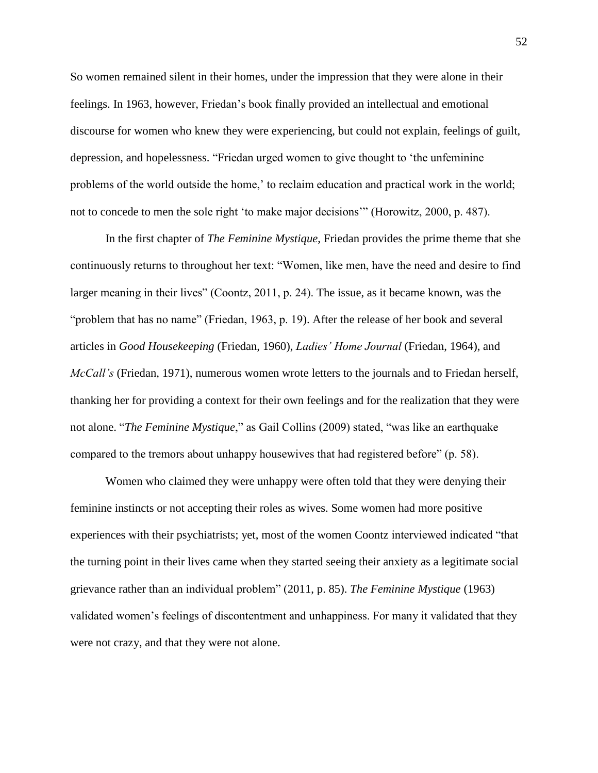So women remained silent in their homes, under the impression that they were alone in their feelings. In 1963, however, Friedan's book finally provided an intellectual and emotional discourse for women who knew they were experiencing, but could not explain, feelings of guilt, depression, and hopelessness. "Friedan urged women to give thought to 'the unfeminine problems of the world outside the home,' to reclaim education and practical work in the world; not to concede to men the sole right 'to make major decisions'" (Horowitz, 2000, p. 487).

In the first chapter of *The Feminine Mystique*, Friedan provides the prime theme that she continuously returns to throughout her text: "Women, like men, have the need and desire to find larger meaning in their lives" (Coontz, 2011, p. 24). The issue, as it became known, was the "problem that has no name" (Friedan, 1963, p. 19). After the release of her book and several articles in *Good Housekeeping* (Friedan, 1960), *Ladies' Home Journal* (Friedan, 1964), and *McCall's* (Friedan, 1971), numerous women wrote letters to the journals and to Friedan herself, thanking her for providing a context for their own feelings and for the realization that they were not alone. "*The Feminine Mystique*," as Gail Collins (2009) stated, "was like an earthquake compared to the tremors about unhappy housewives that had registered before" (p. 58).

Women who claimed they were unhappy were often told that they were denying their feminine instincts or not accepting their roles as wives. Some women had more positive experiences with their psychiatrists; yet, most of the women Coontz interviewed indicated "that the turning point in their lives came when they started seeing their anxiety as a legitimate social grievance rather than an individual problem" (2011, p. 85). *The Feminine Mystique* (1963) validated women's feelings of discontentment and unhappiness. For many it validated that they were not crazy, and that they were not alone.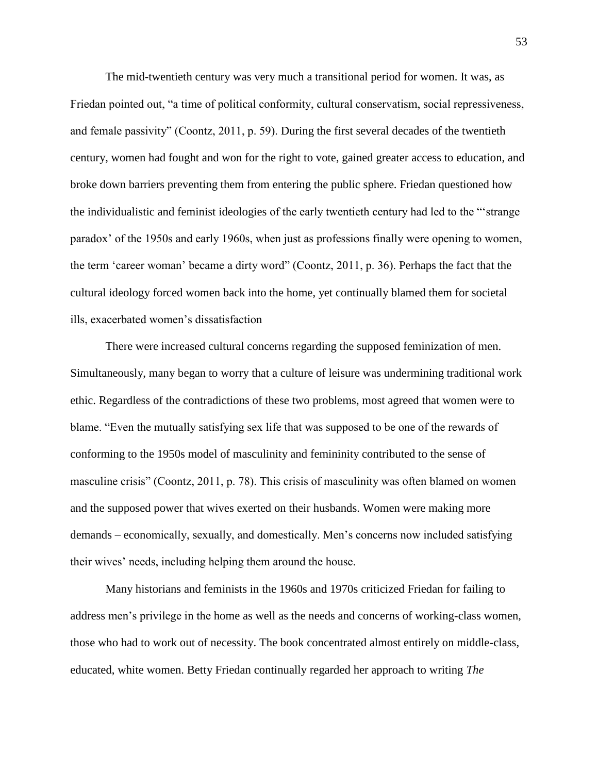The mid-twentieth century was very much a transitional period for women. It was, as Friedan pointed out, "a time of political conformity, cultural conservatism, social repressiveness, and female passivity" (Coontz, 2011, p. 59). During the first several decades of the twentieth century, women had fought and won for the right to vote, gained greater access to education, and broke down barriers preventing them from entering the public sphere. Friedan questioned how the individualistic and feminist ideologies of the early twentieth century had led to the "'strange paradox' of the 1950s and early 1960s, when just as professions finally were opening to women, the term 'career woman' became a dirty word" (Coontz, 2011, p. 36). Perhaps the fact that the cultural ideology forced women back into the home, yet continually blamed them for societal ills, exacerbated women's dissatisfaction

There were increased cultural concerns regarding the supposed feminization of men. Simultaneously, many began to worry that a culture of leisure was undermining traditional work ethic. Regardless of the contradictions of these two problems, most agreed that women were to blame. "Even the mutually satisfying sex life that was supposed to be one of the rewards of conforming to the 1950s model of masculinity and femininity contributed to the sense of masculine crisis" (Coontz, 2011, p. 78). This crisis of masculinity was often blamed on women and the supposed power that wives exerted on their husbands. Women were making more demands – economically, sexually, and domestically. Men's concerns now included satisfying their wives' needs, including helping them around the house.

Many historians and feminists in the 1960s and 1970s criticized Friedan for failing to address men's privilege in the home as well as the needs and concerns of working-class women, those who had to work out of necessity. The book concentrated almost entirely on middle-class, educated, white women. Betty Friedan continually regarded her approach to writing *The*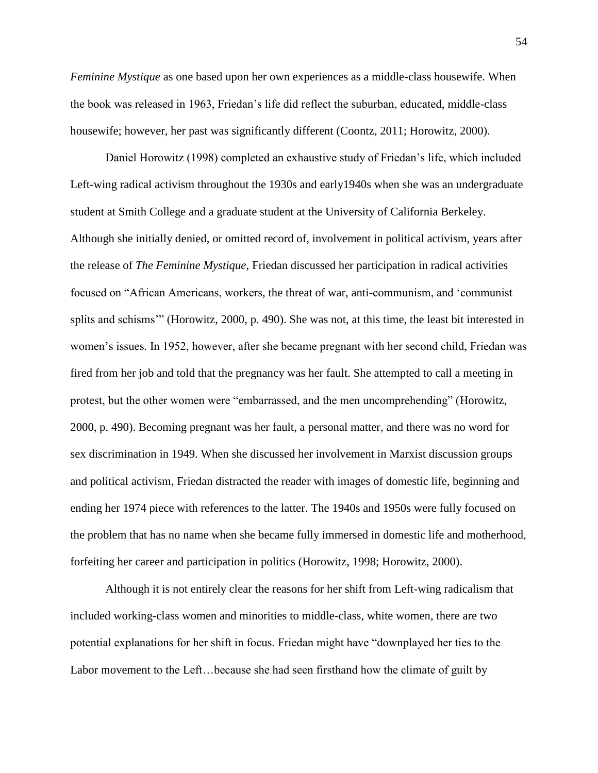*Feminine Mystique* as one based upon her own experiences as a middle-class housewife. When the book was released in 1963, Friedan's life did reflect the suburban, educated, middle-class housewife; however, her past was significantly different (Coontz, 2011; Horowitz, 2000).

Daniel Horowitz (1998) completed an exhaustive study of Friedan's life, which included Left-wing radical activism throughout the 1930s and early1940s when she was an undergraduate student at Smith College and a graduate student at the University of California Berkeley. Although she initially denied, or omitted record of, involvement in political activism, years after the release of *The Feminine Mystique*, Friedan discussed her participation in radical activities focused on "African Americans, workers, the threat of war, anti-communism, and 'communist splits and schisms'" (Horowitz, 2000, p. 490). She was not, at this time, the least bit interested in women's issues. In 1952, however, after she became pregnant with her second child, Friedan was fired from her job and told that the pregnancy was her fault. She attempted to call a meeting in protest, but the other women were "embarrassed, and the men uncomprehending" (Horowitz, 2000, p. 490). Becoming pregnant was her fault, a personal matter, and there was no word for sex discrimination in 1949. When she discussed her involvement in Marxist discussion groups and political activism, Friedan distracted the reader with images of domestic life, beginning and ending her 1974 piece with references to the latter. The 1940s and 1950s were fully focused on the problem that has no name when she became fully immersed in domestic life and motherhood, forfeiting her career and participation in politics (Horowitz, 1998; Horowitz, 2000).

Although it is not entirely clear the reasons for her shift from Left-wing radicalism that included working-class women and minorities to middle-class, white women, there are two potential explanations for her shift in focus. Friedan might have "downplayed her ties to the Labor movement to the Left…because she had seen firsthand how the climate of guilt by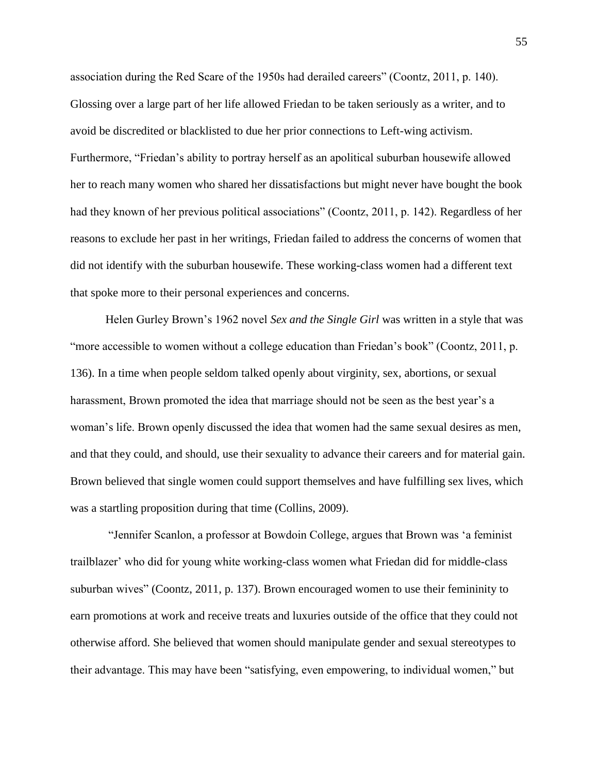association during the Red Scare of the 1950s had derailed careers" (Coontz, 2011, p. 140). Glossing over a large part of her life allowed Friedan to be taken seriously as a writer, and to avoid be discredited or blacklisted to due her prior connections to Left-wing activism. Furthermore, "Friedan's ability to portray herself as an apolitical suburban housewife allowed her to reach many women who shared her dissatisfactions but might never have bought the book had they known of her previous political associations" (Coontz, 2011, p. 142). Regardless of her reasons to exclude her past in her writings, Friedan failed to address the concerns of women that did not identify with the suburban housewife. These working-class women had a different text that spoke more to their personal experiences and concerns.

Helen Gurley Brown's 1962 novel *Sex and the Single Girl* was written in a style that was "more accessible to women without a college education than Friedan's book" (Coontz, 2011, p. 136). In a time when people seldom talked openly about virginity, sex, abortions, or sexual harassment, Brown promoted the idea that marriage should not be seen as the best year's a woman's life. Brown openly discussed the idea that women had the same sexual desires as men, and that they could, and should, use their sexuality to advance their careers and for material gain. Brown believed that single women could support themselves and have fulfilling sex lives, which was a startling proposition during that time (Collins, 2009).

"Jennifer Scanlon, a professor at Bowdoin College, argues that Brown was 'a feminist trailblazer' who did for young white working-class women what Friedan did for middle-class suburban wives" (Coontz, 2011, p. 137). Brown encouraged women to use their femininity to earn promotions at work and receive treats and luxuries outside of the office that they could not otherwise afford. She believed that women should manipulate gender and sexual stereotypes to their advantage. This may have been "satisfying, even empowering, to individual women," but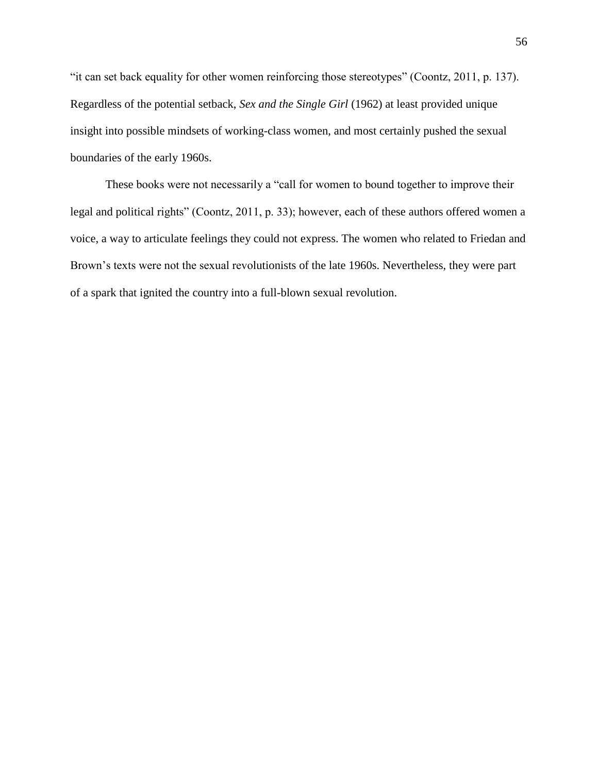"it can set back equality for other women reinforcing those stereotypes" (Coontz, 2011, p. 137). Regardless of the potential setback, *Sex and the Single Girl* (1962) at least provided unique insight into possible mindsets of working-class women, and most certainly pushed the sexual boundaries of the early 1960s.

These books were not necessarily a "call for women to bound together to improve their legal and political rights" (Coontz, 2011, p. 33); however, each of these authors offered women a voice, a way to articulate feelings they could not express. The women who related to Friedan and Brown's texts were not the sexual revolutionists of the late 1960s. Nevertheless, they were part of a spark that ignited the country into a full-blown sexual revolution.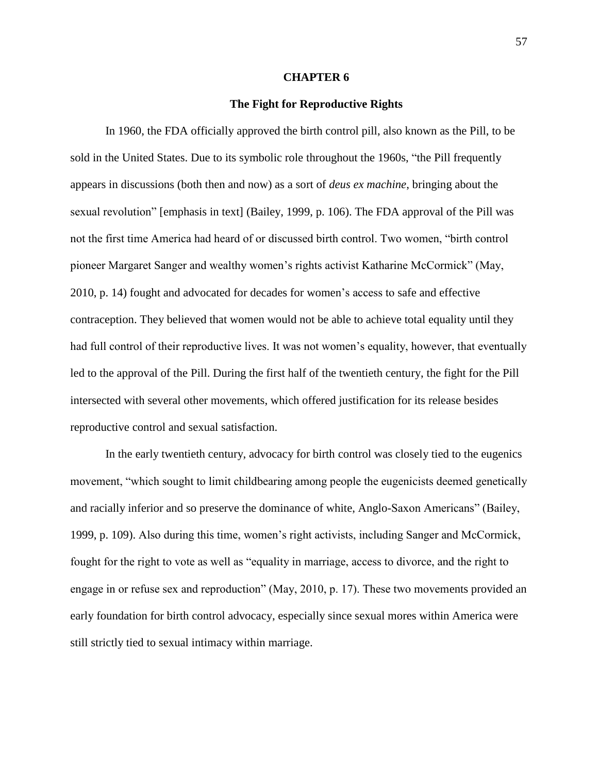#### **CHAPTER 6**

# **The Fight for Reproductive Rights**

In 1960, the FDA officially approved the birth control pill, also known as the Pill, to be sold in the United States. Due to its symbolic role throughout the 1960s, "the Pill frequently appears in discussions (both then and now) as a sort of *deus ex machine*, bringing about the sexual revolution" [emphasis in text] (Bailey, 1999, p. 106). The FDA approval of the Pill was not the first time America had heard of or discussed birth control. Two women, "birth control pioneer Margaret Sanger and wealthy women's rights activist Katharine McCormick" (May, 2010, p. 14) fought and advocated for decades for women's access to safe and effective contraception. They believed that women would not be able to achieve total equality until they had full control of their reproductive lives. It was not women's equality, however, that eventually led to the approval of the Pill. During the first half of the twentieth century, the fight for the Pill intersected with several other movements, which offered justification for its release besides reproductive control and sexual satisfaction.

In the early twentieth century, advocacy for birth control was closely tied to the eugenics movement, "which sought to limit childbearing among people the eugenicists deemed genetically and racially inferior and so preserve the dominance of white, Anglo-Saxon Americans" (Bailey, 1999, p. 109). Also during this time, women's right activists, including Sanger and McCormick, fought for the right to vote as well as "equality in marriage, access to divorce, and the right to engage in or refuse sex and reproduction" (May, 2010, p. 17). These two movements provided an early foundation for birth control advocacy, especially since sexual mores within America were still strictly tied to sexual intimacy within marriage.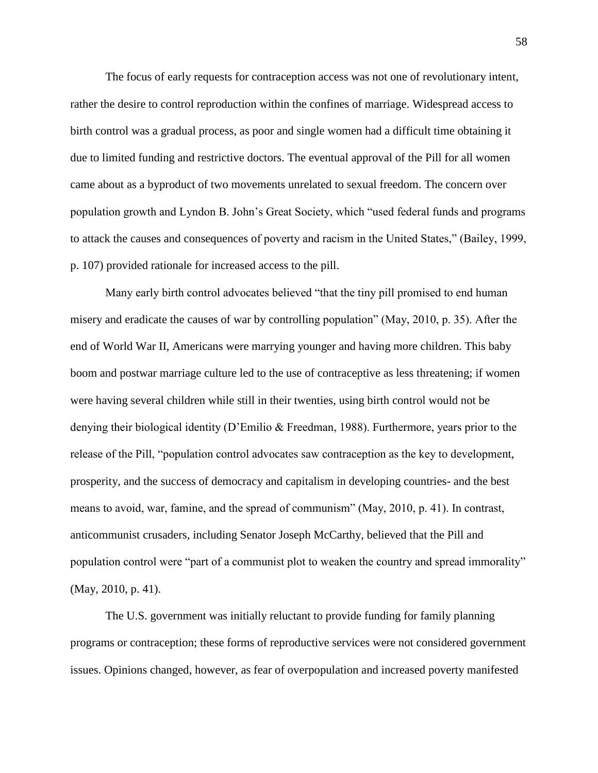The focus of early requests for contraception access was not one of revolutionary intent, rather the desire to control reproduction within the confines of marriage. Widespread access to birth control was a gradual process, as poor and single women had a difficult time obtaining it due to limited funding and restrictive doctors. The eventual approval of the Pill for all women came about as a byproduct of two movements unrelated to sexual freedom. The concern over population growth and Lyndon B. John's Great Society, which "used federal funds and programs to attack the causes and consequences of poverty and racism in the United States," (Bailey, 1999, p. 107) provided rationale for increased access to the pill.

Many early birth control advocates believed "that the tiny pill promised to end human misery and eradicate the causes of war by controlling population" (May, 2010, p. 35). After the end of World War II, Americans were marrying younger and having more children. This baby boom and postwar marriage culture led to the use of contraceptive as less threatening; if women were having several children while still in their twenties, using birth control would not be denying their biological identity (D'Emilio & Freedman, 1988). Furthermore, years prior to the release of the Pill, "population control advocates saw contraception as the key to development, prosperity, and the success of democracy and capitalism in developing countries- and the best means to avoid, war, famine, and the spread of communism" (May, 2010, p. 41). In contrast, anticommunist crusaders, including Senator Joseph McCarthy, believed that the Pill and population control were "part of a communist plot to weaken the country and spread immorality" (May, 2010, p. 41).

The U.S. government was initially reluctant to provide funding for family planning programs or contraception; these forms of reproductive services were not considered government issues. Opinions changed, however, as fear of overpopulation and increased poverty manifested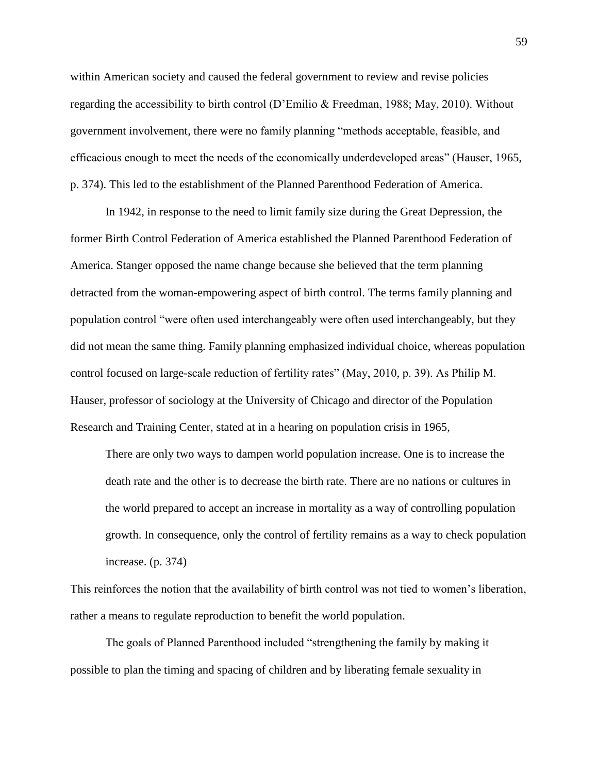within American society and caused the federal government to review and revise policies regarding the accessibility to birth control (D'Emilio & Freedman, 1988; May, 2010). Without government involvement, there were no family planning "methods acceptable, feasible, and efficacious enough to meet the needs of the economically underdeveloped areas" (Hauser, 1965, p. 374). This led to the establishment of the Planned Parenthood Federation of America.

In 1942, in response to the need to limit family size during the Great Depression, the former Birth Control Federation of America established the Planned Parenthood Federation of America. Stanger opposed the name change because she believed that the term planning detracted from the woman-empowering aspect of birth control. The terms family planning and population control "were often used interchangeably were often used interchangeably, but they did not mean the same thing. Family planning emphasized individual choice, whereas population control focused on large-scale reduction of fertility rates" (May, 2010, p. 39). As Philip M. Hauser, professor of sociology at the University of Chicago and director of the Population Research and Training Center, stated at in a hearing on population crisis in 1965,

There are only two ways to dampen world population increase. One is to increase the death rate and the other is to decrease the birth rate. There are no nations or cultures in the world prepared to accept an increase in mortality as a way of controlling population growth. In consequence, only the control of fertility remains as a way to check population increase. (p. 374)

This reinforces the notion that the availability of birth control was not tied to women's liberation, rather a means to regulate reproduction to benefit the world population.

The goals of Planned Parenthood included "strengthening the family by making it possible to plan the timing and spacing of children and by liberating female sexuality in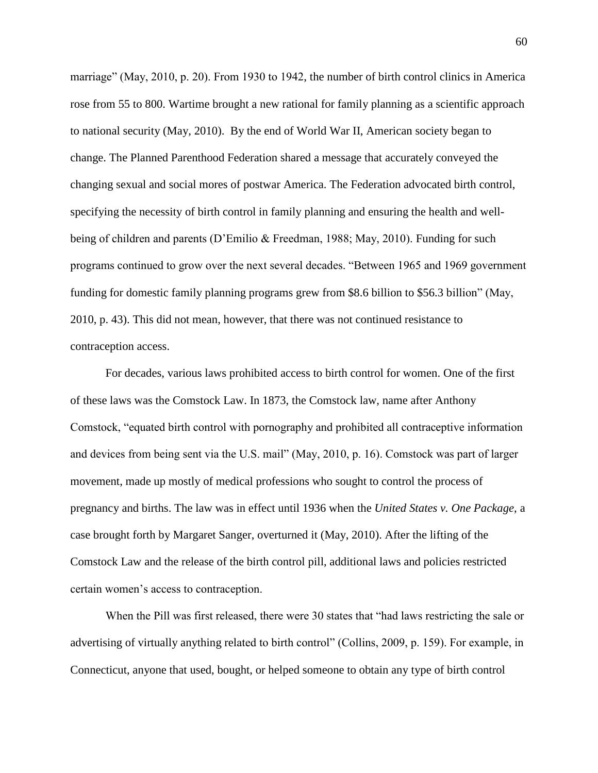marriage" (May, 2010, p. 20). From 1930 to 1942, the number of birth control clinics in America rose from 55 to 800. Wartime brought a new rational for family planning as a scientific approach to national security (May, 2010). By the end of World War II, American society began to change. The Planned Parenthood Federation shared a message that accurately conveyed the changing sexual and social mores of postwar America. The Federation advocated birth control, specifying the necessity of birth control in family planning and ensuring the health and wellbeing of children and parents (D'Emilio & Freedman, 1988; May, 2010). Funding for such programs continued to grow over the next several decades. "Between 1965 and 1969 government funding for domestic family planning programs grew from \$8.6 billion to \$56.3 billion" (May, 2010, p. 43). This did not mean, however, that there was not continued resistance to contraception access.

For decades, various laws prohibited access to birth control for women. One of the first of these laws was the Comstock Law. In 1873, the Comstock law, name after Anthony Comstock, "equated birth control with pornography and prohibited all contraceptive information and devices from being sent via the U.S. mail" (May, 2010, p. 16). Comstock was part of larger movement, made up mostly of medical professions who sought to control the process of pregnancy and births. The law was in effect until 1936 when the *United States v. One Package*, a case brought forth by Margaret Sanger, overturned it (May, 2010). After the lifting of the Comstock Law and the release of the birth control pill, additional laws and policies restricted certain women's access to contraception.

When the Pill was first released, there were 30 states that "had laws restricting the sale or advertising of virtually anything related to birth control" (Collins, 2009, p. 159). For example, in Connecticut, anyone that used, bought, or helped someone to obtain any type of birth control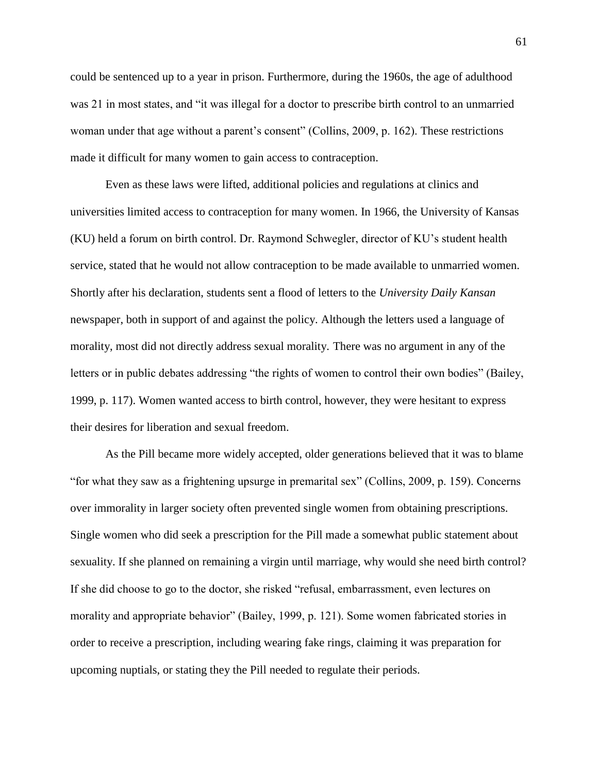could be sentenced up to a year in prison. Furthermore, during the 1960s, the age of adulthood was 21 in most states, and "it was illegal for a doctor to prescribe birth control to an unmarried woman under that age without a parent's consent" (Collins, 2009, p. 162). These restrictions made it difficult for many women to gain access to contraception.

Even as these laws were lifted, additional policies and regulations at clinics and universities limited access to contraception for many women. In 1966, the University of Kansas (KU) held a forum on birth control. Dr. Raymond Schwegler, director of KU's student health service, stated that he would not allow contraception to be made available to unmarried women. Shortly after his declaration, students sent a flood of letters to the *University Daily Kansan* newspaper, both in support of and against the policy. Although the letters used a language of morality, most did not directly address sexual morality. There was no argument in any of the letters or in public debates addressing "the rights of women to control their own bodies" (Bailey, 1999, p. 117). Women wanted access to birth control, however, they were hesitant to express their desires for liberation and sexual freedom.

As the Pill became more widely accepted, older generations believed that it was to blame "for what they saw as a frightening upsurge in premarital sex" (Collins, 2009, p. 159). Concerns over immorality in larger society often prevented single women from obtaining prescriptions. Single women who did seek a prescription for the Pill made a somewhat public statement about sexuality. If she planned on remaining a virgin until marriage, why would she need birth control? If she did choose to go to the doctor, she risked "refusal, embarrassment, even lectures on morality and appropriate behavior" (Bailey, 1999, p. 121). Some women fabricated stories in order to receive a prescription, including wearing fake rings, claiming it was preparation for upcoming nuptials, or stating they the Pill needed to regulate their periods.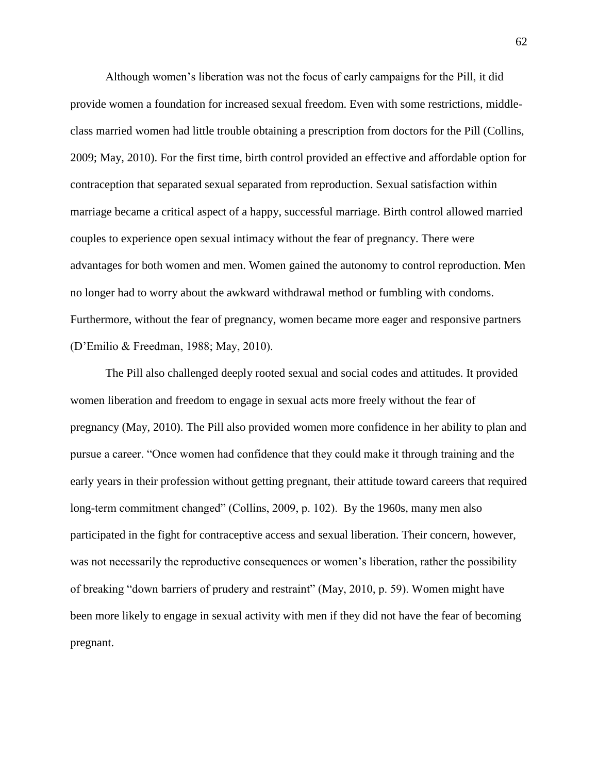Although women's liberation was not the focus of early campaigns for the Pill, it did provide women a foundation for increased sexual freedom. Even with some restrictions, middleclass married women had little trouble obtaining a prescription from doctors for the Pill (Collins, 2009; May, 2010). For the first time, birth control provided an effective and affordable option for contraception that separated sexual separated from reproduction. Sexual satisfaction within marriage became a critical aspect of a happy, successful marriage. Birth control allowed married couples to experience open sexual intimacy without the fear of pregnancy. There were advantages for both women and men. Women gained the autonomy to control reproduction. Men no longer had to worry about the awkward withdrawal method or fumbling with condoms. Furthermore, without the fear of pregnancy, women became more eager and responsive partners (D'Emilio & Freedman, 1988; May, 2010).

The Pill also challenged deeply rooted sexual and social codes and attitudes. It provided women liberation and freedom to engage in sexual acts more freely without the fear of pregnancy (May, 2010). The Pill also provided women more confidence in her ability to plan and pursue a career. "Once women had confidence that they could make it through training and the early years in their profession without getting pregnant, their attitude toward careers that required long-term commitment changed" (Collins, 2009, p. 102). By the 1960s, many men also participated in the fight for contraceptive access and sexual liberation. Their concern, however, was not necessarily the reproductive consequences or women's liberation, rather the possibility of breaking "down barriers of prudery and restraint" (May, 2010, p. 59). Women might have been more likely to engage in sexual activity with men if they did not have the fear of becoming pregnant.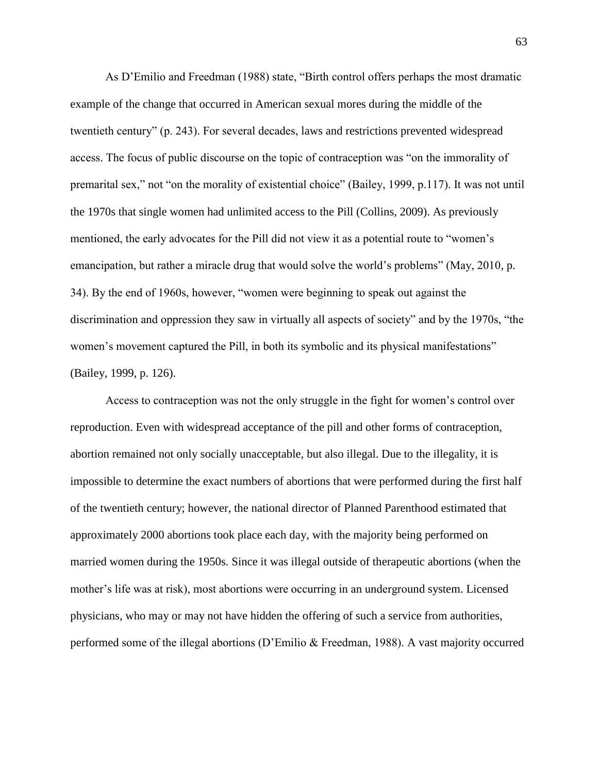As D'Emilio and Freedman (1988) state, "Birth control offers perhaps the most dramatic example of the change that occurred in American sexual mores during the middle of the twentieth century" (p. 243). For several decades, laws and restrictions prevented widespread access. The focus of public discourse on the topic of contraception was "on the immorality of premarital sex," not "on the morality of existential choice" (Bailey, 1999, p.117). It was not until the 1970s that single women had unlimited access to the Pill (Collins, 2009). As previously mentioned, the early advocates for the Pill did not view it as a potential route to "women's emancipation, but rather a miracle drug that would solve the world's problems" (May, 2010, p. 34). By the end of 1960s, however, "women were beginning to speak out against the discrimination and oppression they saw in virtually all aspects of society" and by the 1970s, "the women's movement captured the Pill, in both its symbolic and its physical manifestations" (Bailey, 1999, p. 126).

Access to contraception was not the only struggle in the fight for women's control over reproduction. Even with widespread acceptance of the pill and other forms of contraception, abortion remained not only socially unacceptable, but also illegal. Due to the illegality, it is impossible to determine the exact numbers of abortions that were performed during the first half of the twentieth century; however, the national director of Planned Parenthood estimated that approximately 2000 abortions took place each day, with the majority being performed on married women during the 1950s. Since it was illegal outside of therapeutic abortions (when the mother's life was at risk), most abortions were occurring in an underground system. Licensed physicians, who may or may not have hidden the offering of such a service from authorities, performed some of the illegal abortions (D'Emilio & Freedman, 1988). A vast majority occurred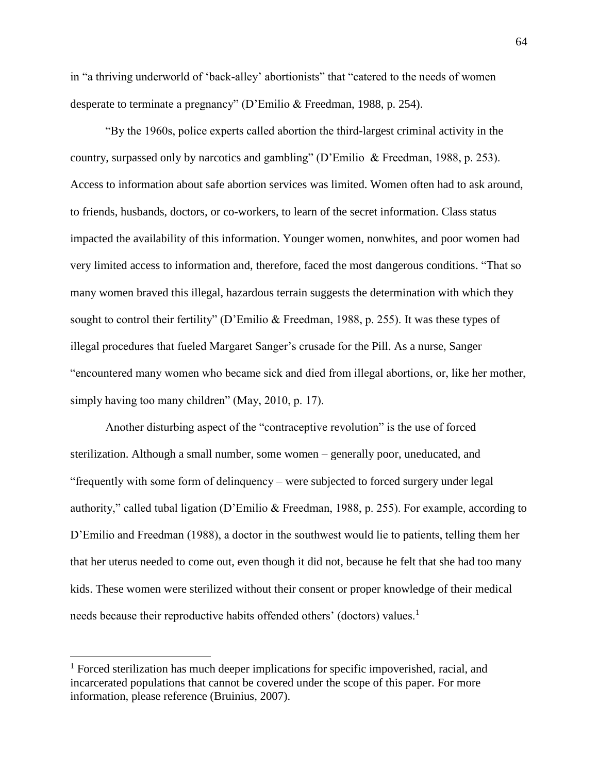in "a thriving underworld of 'back-alley' abortionists" that "catered to the needs of women desperate to terminate a pregnancy" (D'Emilio & Freedman, 1988, p. 254).

"By the 1960s, police experts called abortion the third-largest criminal activity in the country, surpassed only by narcotics and gambling" (D'Emilio & Freedman, 1988, p. 253). Access to information about safe abortion services was limited. Women often had to ask around, to friends, husbands, doctors, or co-workers, to learn of the secret information. Class status impacted the availability of this information. Younger women, nonwhites, and poor women had very limited access to information and, therefore, faced the most dangerous conditions. "That so many women braved this illegal, hazardous terrain suggests the determination with which they sought to control their fertility" (D'Emilio & Freedman, 1988, p. 255). It was these types of illegal procedures that fueled Margaret Sanger's crusade for the Pill. As a nurse, Sanger "encountered many women who became sick and died from illegal abortions, or, like her mother, simply having too many children" (May, 2010, p. 17).

Another disturbing aspect of the "contraceptive revolution" is the use of forced sterilization. Although a small number, some women – generally poor, uneducated, and "frequently with some form of delinquency – were subjected to forced surgery under legal authority," called tubal ligation (D'Emilio & Freedman, 1988, p. 255). For example, according to D'Emilio and Freedman (1988), a doctor in the southwest would lie to patients, telling them her that her uterus needed to come out, even though it did not, because he felt that she had too many kids. These women were sterilized without their consent or proper knowledge of their medical needs because their reproductive habits offended others' (doctors) values.<sup>1</sup>

 $\overline{a}$ 

 $1$  Forced sterilization has much deeper implications for specific impoverished, racial, and incarcerated populations that cannot be covered under the scope of this paper. For more information, please reference (Bruinius, 2007).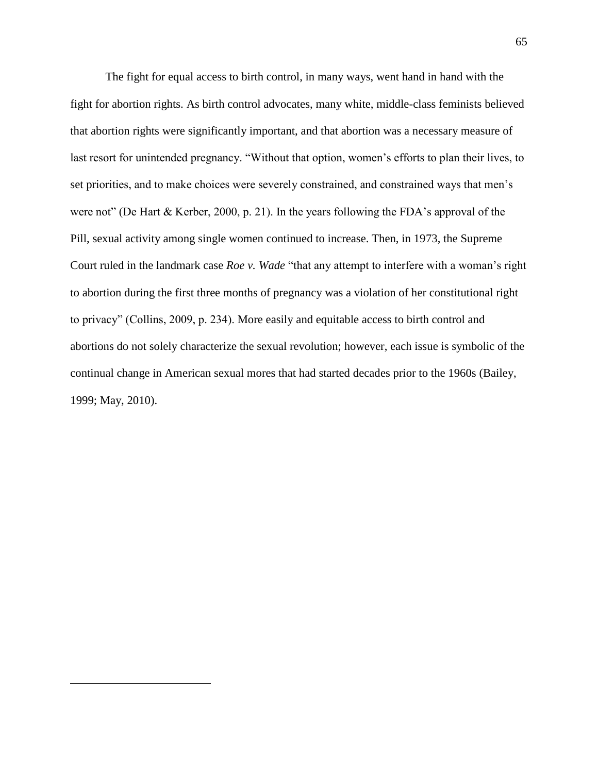The fight for equal access to birth control, in many ways, went hand in hand with the fight for abortion rights. As birth control advocates, many white, middle-class feminists believed that abortion rights were significantly important, and that abortion was a necessary measure of last resort for unintended pregnancy. "Without that option, women's efforts to plan their lives, to set priorities, and to make choices were severely constrained, and constrained ways that men's were not" (De Hart & Kerber, 2000, p. 21). In the years following the FDA's approval of the Pill, sexual activity among single women continued to increase. Then, in 1973, the Supreme Court ruled in the landmark case *Roe v. Wade* "that any attempt to interfere with a woman's right to abortion during the first three months of pregnancy was a violation of her constitutional right to privacy" (Collins, 2009, p. 234). More easily and equitable access to birth control and abortions do not solely characterize the sexual revolution; however, each issue is symbolic of the continual change in American sexual mores that had started decades prior to the 1960s (Bailey, 1999; May, 2010).

 $\overline{a}$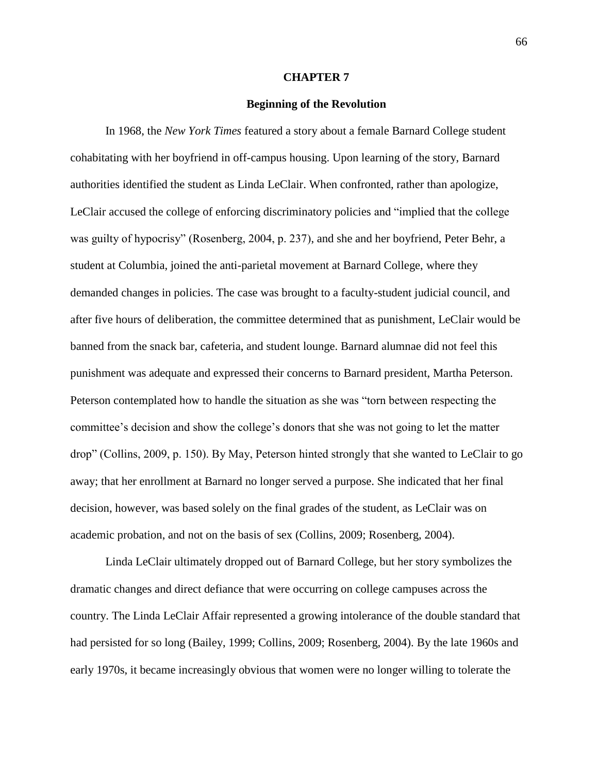#### **CHAPTER 7**

### **Beginning of the Revolution**

In 1968, the *New York Times* featured a story about a female Barnard College student cohabitating with her boyfriend in off-campus housing. Upon learning of the story, Barnard authorities identified the student as Linda LeClair. When confronted, rather than apologize, LeClair accused the college of enforcing discriminatory policies and "implied that the college was guilty of hypocrisy" (Rosenberg, 2004, p. 237), and she and her boyfriend, Peter Behr, a student at Columbia, joined the anti-parietal movement at Barnard College, where they demanded changes in policies. The case was brought to a faculty-student judicial council, and after five hours of deliberation, the committee determined that as punishment, LeClair would be banned from the snack bar, cafeteria, and student lounge. Barnard alumnae did not feel this punishment was adequate and expressed their concerns to Barnard president, Martha Peterson. Peterson contemplated how to handle the situation as she was "torn between respecting the committee's decision and show the college's donors that she was not going to let the matter drop" (Collins, 2009, p. 150). By May, Peterson hinted strongly that she wanted to LeClair to go away; that her enrollment at Barnard no longer served a purpose. She indicated that her final decision, however, was based solely on the final grades of the student, as LeClair was on academic probation, and not on the basis of sex (Collins, 2009; Rosenberg, 2004).

Linda LeClair ultimately dropped out of Barnard College, but her story symbolizes the dramatic changes and direct defiance that were occurring on college campuses across the country. The Linda LeClair Affair represented a growing intolerance of the double standard that had persisted for so long (Bailey, 1999; Collins, 2009; Rosenberg, 2004). By the late 1960s and early 1970s, it became increasingly obvious that women were no longer willing to tolerate the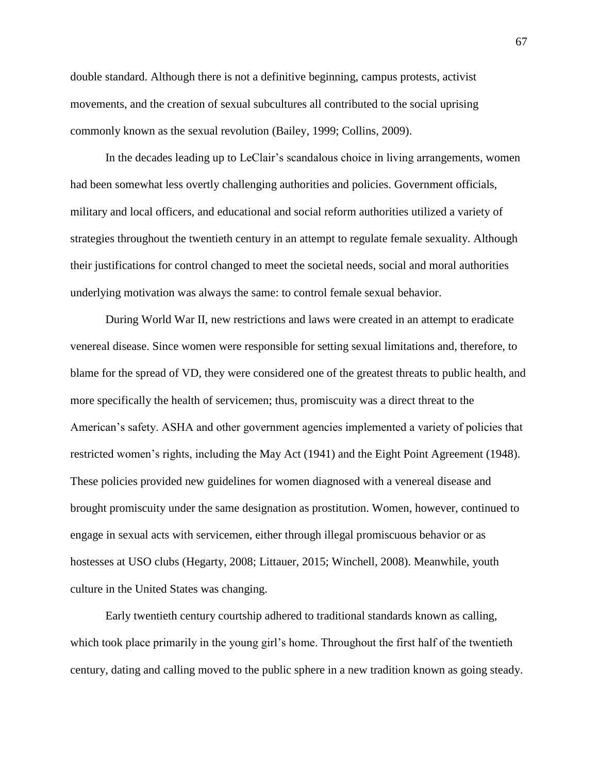double standard. Although there is not a definitive beginning, campus protests, activist movements, and the creation of sexual subcultures all contributed to the social uprising commonly known as the sexual revolution (Bailey, 1999; Collins, 2009).

In the decades leading up to LeClair's scandalous choice in living arrangements, women had been somewhat less overtly challenging authorities and policies. Government officials, military and local officers, and educational and social reform authorities utilized a variety of strategies throughout the twentieth century in an attempt to regulate female sexuality. Although their justifications for control changed to meet the societal needs, social and moral authorities underlying motivation was always the same: to control female sexual behavior.

During World War II, new restrictions and laws were created in an attempt to eradicate venereal disease. Since women were responsible for setting sexual limitations and, therefore, to blame for the spread of VD, they were considered one of the greatest threats to public health, and more specifically the health of servicemen; thus, promiscuity was a direct threat to the American's safety. ASHA and other government agencies implemented a variety of policies that restricted women's rights, including the May Act (1941) and the Eight Point Agreement (1948). These policies provided new guidelines for women diagnosed with a venereal disease and brought promiscuity under the same designation as prostitution. Women, however, continued to engage in sexual acts with servicemen, either through illegal promiscuous behavior or as hostesses at USO clubs (Hegarty, 2008; Littauer, 2015; Winchell, 2008). Meanwhile, youth culture in the United States was changing.

Early twentieth century courtship adhered to traditional standards known as calling, which took place primarily in the young girl's home. Throughout the first half of the twentieth century, dating and calling moved to the public sphere in a new tradition known as going steady.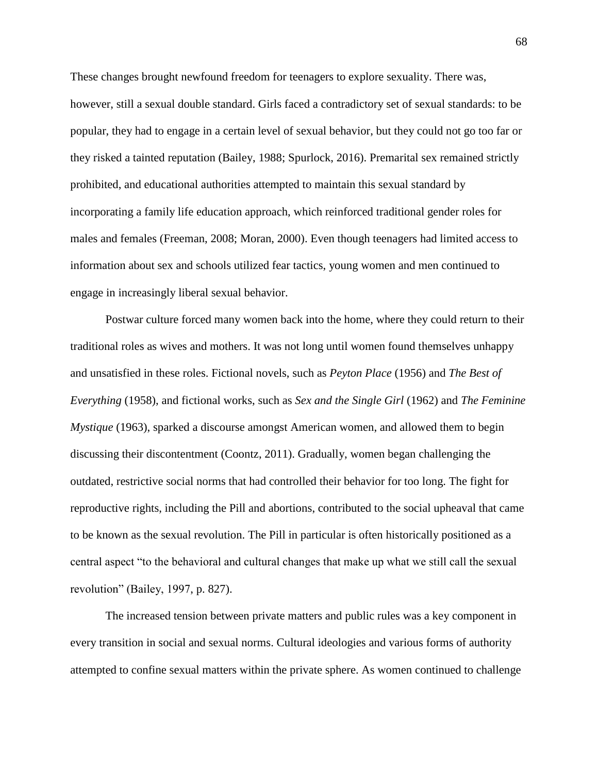These changes brought newfound freedom for teenagers to explore sexuality. There was, however, still a sexual double standard. Girls faced a contradictory set of sexual standards: to be popular, they had to engage in a certain level of sexual behavior, but they could not go too far or they risked a tainted reputation (Bailey, 1988; Spurlock, 2016). Premarital sex remained strictly prohibited, and educational authorities attempted to maintain this sexual standard by incorporating a family life education approach, which reinforced traditional gender roles for males and females (Freeman, 2008; Moran, 2000). Even though teenagers had limited access to information about sex and schools utilized fear tactics, young women and men continued to engage in increasingly liberal sexual behavior.

Postwar culture forced many women back into the home, where they could return to their traditional roles as wives and mothers. It was not long until women found themselves unhappy and unsatisfied in these roles. Fictional novels, such as *Peyton Place* (1956) and *The Best of Everything* (1958), and fictional works, such as *Sex and the Single Girl* (1962) and *The Feminine Mystique* (1963), sparked a discourse amongst American women, and allowed them to begin discussing their discontentment (Coontz, 2011). Gradually, women began challenging the outdated, restrictive social norms that had controlled their behavior for too long. The fight for reproductive rights, including the Pill and abortions, contributed to the social upheaval that came to be known as the sexual revolution. The Pill in particular is often historically positioned as a central aspect "to the behavioral and cultural changes that make up what we still call the sexual revolution" (Bailey, 1997, p. 827).

The increased tension between private matters and public rules was a key component in every transition in social and sexual norms. Cultural ideologies and various forms of authority attempted to confine sexual matters within the private sphere. As women continued to challenge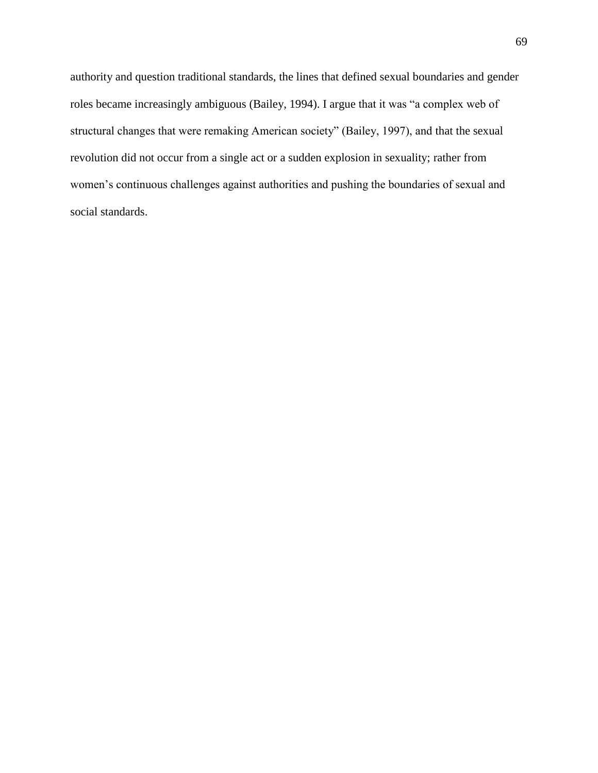authority and question traditional standards, the lines that defined sexual boundaries and gender roles became increasingly ambiguous (Bailey, 1994). I argue that it was "a complex web of structural changes that were remaking American society" (Bailey, 1997), and that the sexual revolution did not occur from a single act or a sudden explosion in sexuality; rather from women's continuous challenges against authorities and pushing the boundaries of sexual and social standards.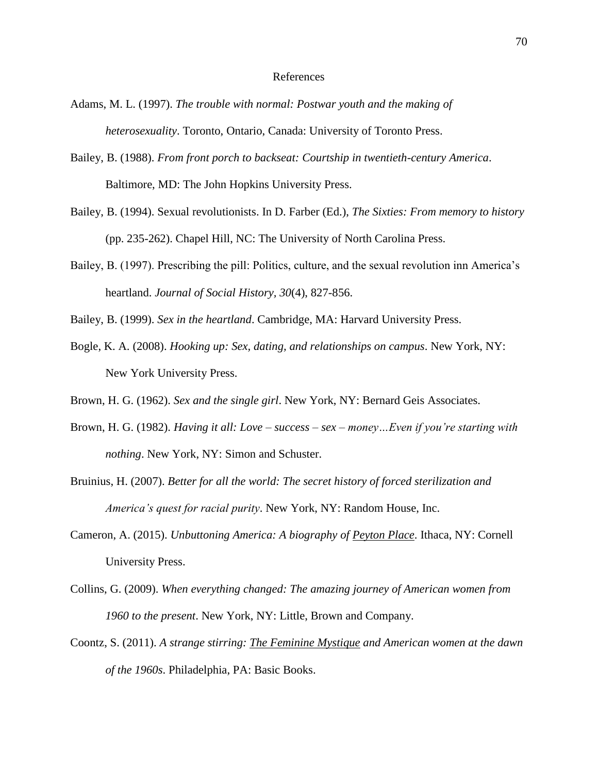## References

- Adams, M. L. (1997). *The trouble with normal: Postwar youth and the making of heterosexuality*. Toronto, Ontario, Canada: University of Toronto Press.
- Bailey, B. (1988). *From front porch to backseat: Courtship in twentieth-century America*. Baltimore, MD: The John Hopkins University Press.
- Bailey, B. (1994). Sexual revolutionists. In D. Farber (Ed.), *The Sixties: From memory to history* (pp. 235-262). Chapel Hill, NC: The University of North Carolina Press.
- Bailey, B. (1997). Prescribing the pill: Politics, culture, and the sexual revolution inn America's heartland. *Journal of Social History, 30*(4), 827-856.
- Bailey, B. (1999). *Sex in the heartland*. Cambridge, MA: Harvard University Press.
- Bogle, K. A. (2008). *Hooking up: Sex, dating, and relationships on campus*. New York, NY: New York University Press.
- Brown, H. G. (1962). *Sex and the single girl*. New York, NY: Bernard Geis Associates.
- Brown, H. G. (1982). *Having it all: Love – success – sex – money…Even if you're starting with nothing*. New York, NY: Simon and Schuster.
- Bruinius, H. (2007). *Better for all the world: The secret history of forced sterilization and America's quest for racial purity*. New York, NY: Random House, Inc.
- Cameron, A. (2015). *Unbuttoning America: A biography of Peyton Place*. Ithaca, NY: Cornell University Press.
- Collins, G. (2009). *When everything changed: The amazing journey of American women from 1960 to the present*. New York, NY: Little, Brown and Company.
- Coontz, S. (2011). *A strange stirring: The Feminine Mystique and American women at the dawn of the 1960s*. Philadelphia, PA: Basic Books.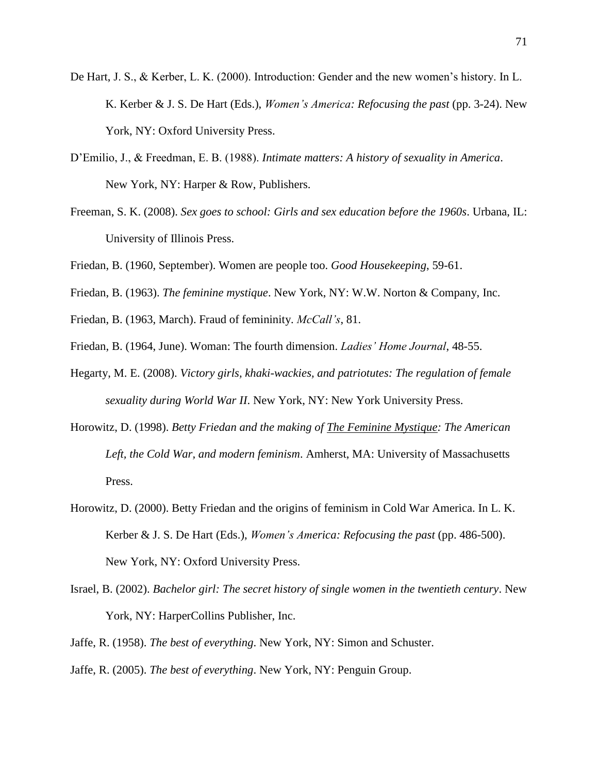- De Hart, J. S., & Kerber, L. K. (2000). Introduction: Gender and the new women's history. In L. K. Kerber & J. S. De Hart (Eds.), *Women's America: Refocusing the past* (pp. 3-24). New York, NY: Oxford University Press.
- D'Emilio, J., & Freedman, E. B. (1988). *Intimate matters: A history of sexuality in America*. New York, NY: Harper & Row, Publishers.
- Freeman, S. K. (2008). *Sex goes to school: Girls and sex education before the 1960s*. Urbana, IL: University of Illinois Press.
- Friedan, B. (1960, September). Women are people too. *Good Housekeeping*, 59-61.
- Friedan, B. (1963). *The feminine mystique*. New York, NY: W.W. Norton & Company, Inc.
- Friedan, B. (1963, March). Fraud of femininity. *McCall's*, 81.
- Friedan, B. (1964, June). Woman: The fourth dimension. *Ladies' Home Journal*, 48-55.
- Hegarty, M. E. (2008). *Victory girls, khaki-wackies, and patriotutes: The regulation of female sexuality during World War II*. New York, NY: New York University Press.
- Horowitz, D. (1998). *Betty Friedan and the making of The Feminine Mystique: The American Left, the Cold War, and modern feminism*. Amherst, MA: University of Massachusetts Press.
- Horowitz, D. (2000). Betty Friedan and the origins of feminism in Cold War America. In L. K. Kerber & J. S. De Hart (Eds.), *Women's America: Refocusing the past* (pp. 486-500). New York, NY: Oxford University Press.
- Israel, B. (2002). *Bachelor girl: The secret history of single women in the twentieth century*. New York, NY: HarperCollins Publisher, Inc.
- Jaffe, R. (1958). *The best of everything*. New York, NY: Simon and Schuster.
- Jaffe, R. (2005). *The best of everything*. New York, NY: Penguin Group.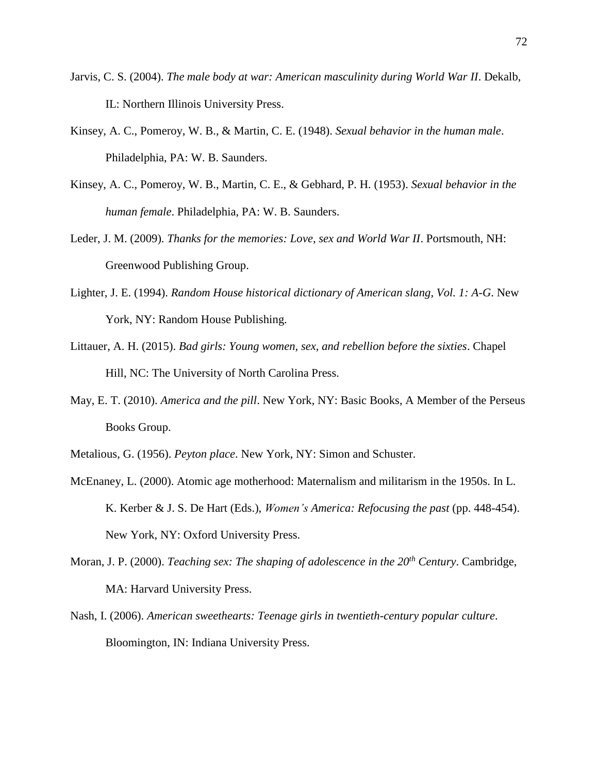- Jarvis, C. S. (2004). *The male body at war: American masculinity during World War II*. Dekalb, IL: Northern Illinois University Press.
- Kinsey, A. C., Pomeroy, W. B., & Martin, C. E. (1948). *Sexual behavior in the human male*. Philadelphia, PA: W. B. Saunders.
- Kinsey, A. C., Pomeroy, W. B., Martin, C. E., & Gebhard, P. H. (1953). *Sexual behavior in the human female*. Philadelphia, PA: W. B. Saunders.
- Leder, J. M. (2009). *Thanks for the memories: Love, sex and World War II*. Portsmouth, NH: Greenwood Publishing Group.
- Lighter, J. E. (1994). *Random House historical dictionary of American slang, Vol. 1: A-G*. New York, NY: Random House Publishing.
- Littauer, A. H. (2015). *Bad girls: Young women, sex, and rebellion before the sixties*. Chapel Hill, NC: The University of North Carolina Press.
- May, E. T. (2010). *America and the pill*. New York, NY: Basic Books, A Member of the Perseus Books Group.
- Metalious, G. (1956). *Peyton place*. New York, NY: Simon and Schuster.
- McEnaney, L. (2000). Atomic age motherhood: Maternalism and militarism in the 1950s. In L. K. Kerber & J. S. De Hart (Eds.), *Women's America: Refocusing the past* (pp. 448-454). New York, NY: Oxford University Press.
- Moran, J. P. (2000). *Teaching sex: The shaping of adolescence in the 20th Century*. Cambridge, MA: Harvard University Press.
- Nash, I. (2006). *American sweethearts: Teenage girls in twentieth-century popular culture*. Bloomington, IN: Indiana University Press.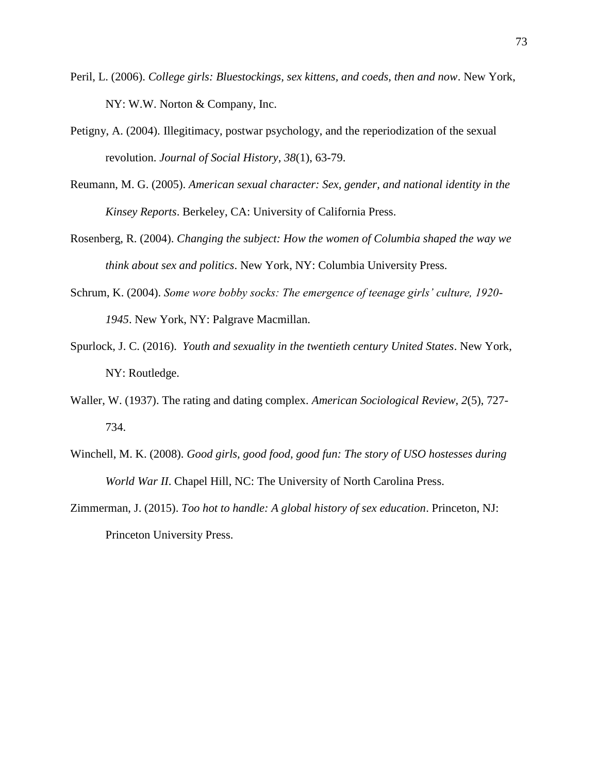- Peril, L. (2006). *College girls: Bluestockings, sex kittens, and coeds, then and now*. New York, NY: W.W. Norton & Company, Inc.
- Petigny, A. (2004). Illegitimacy, postwar psychology, and the reperiodization of the sexual revolution. *Journal of Social History, 38*(1), 63-79.
- Reumann, M. G. (2005). *American sexual character: Sex, gender, and national identity in the Kinsey Reports*. Berkeley, CA: University of California Press.
- Rosenberg, R. (2004). *Changing the subject: How the women of Columbia shaped the way we think about sex and politics*. New York, NY: Columbia University Press.
- Schrum, K. (2004). *Some wore bobby socks: The emergence of teenage girls' culture, 1920- 1945*. New York, NY: Palgrave Macmillan.
- Spurlock, J. C. (2016). *Youth and sexuality in the twentieth century United States*. New York, NY: Routledge.
- Waller, W. (1937). The rating and dating complex. *American Sociological Review, 2*(5), 727- 734.
- Winchell, M. K. (2008). *Good girls, good food, good fun: The story of USO hostesses during World War II*. Chapel Hill, NC: The University of North Carolina Press.
- Zimmerman, J. (2015). *Too hot to handle: A global history of sex education*. Princeton, NJ: Princeton University Press.